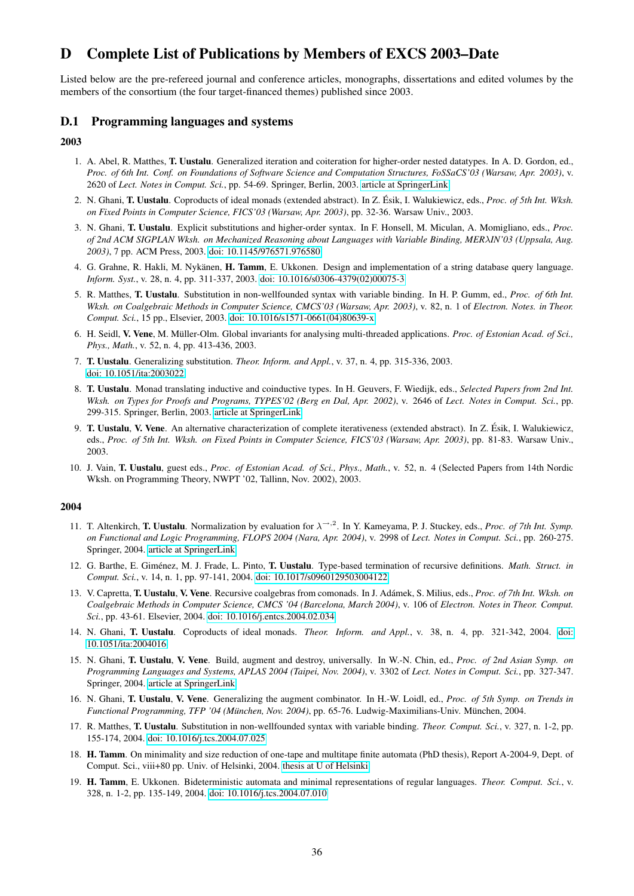# D Complete List of Publications by Members of EXCS 2003–Date

Listed below are the pre-refereed journal and conference articles, monographs, dissertations and edited volumes by the members of the consortium (the four target-financed themes) published since 2003.

# D.1 Programming languages and systems

#### 2003

- 1. A. Abel, R. Matthes, T. Uustalu. Generalized iteration and coiteration for higher-order nested datatypes. In A. D. Gordon, ed., *Proc. of 6th Int. Conf. on Foundations of Software Science and Computation Structures, FoSSaCS'03 (Warsaw, Apr. 2003)*, v. 2620 of *Lect. Notes in Comput. Sci.*, pp. 54-69. Springer, Berlin, 2003. [article at SpringerLink](http://www.springerlink.com/content/vu035yhevud6xy84)
- 2. N. Ghani, **T. Uustalu**. Coproducts of ideal monads (extended abstract). In Z. Ésik, I. Walukiewicz, eds., *Proc. of 5th Int. Wksh. on Fixed Points in Computer Science, FICS'03 (Warsaw, Apr. 2003)*, pp. 32-36. Warsaw Univ., 2003.
- 3. N. Ghani, T. Uustalu. Explicit substitutions and higher-order syntax. In F. Honsell, M. Miculan, A. Momigliano, eds., *Proc. of 2nd ACM SIGPLAN Wksh. on Mechanized Reasoning about Languages with Variable Binding, MER*λ*IN'03 (Uppsala, Aug. 2003)*, 7 pp. ACM Press, 2003. [doi: 10.1145/976571.976580](http://dx.doi.org/10.1145/976571.976580)
- 4. G. Grahne, R. Hakli, M. Nykänen, H. Tamm, E. Ukkonen. Design and implementation of a string database query language. *Inform. Syst.*, v. 28, n. 4, pp. 311-337, 2003. [doi: 10.1016/s0306-4379\(02\)00075-3](http://dx.doi.org/10.1016/s0306-4379(02)00075-3)
- 5. R. Matthes, T. Uustalu. Substitution in non-wellfounded syntax with variable binding. In H. P. Gumm, ed., *Proc. of 6th Int. Wksh. on Coalgebraic Methods in Computer Science, CMCS'03 (Warsaw, Apr. 2003)*, v. 82, n. 1 of *Electron. Notes. in Theor. Comput. Sci.*, 15 pp., Elsevier, 2003. [doi: 10.1016/s1571-0661\(04\)80639-x](http://dx.doi.org/10.1016/s1571-0661(04)80639-x)
- 6. H. Seidl, V. Vene, M. Müller-Olm. Global invariants for analysing multi-threaded applications. Proc. of Estonian Acad. of Sci., *Phys., Math.*, v. 52, n. 4, pp. 413-436, 2003.
- 7. T. Uustalu. Generalizing substitution. *Theor. Inform. and Appl.*, v. 37, n. 4, pp. 315-336, 2003. [doi: 10.1051/ita:2003022](http://dx.doi.org/10.1051/ita:2003022)
- 8. T. Uustalu. Monad translating inductive and coinductive types. In H. Geuvers, F. Wiedijk, eds., *Selected Papers from 2nd Int. Wksh. on Types for Proofs and Programs, TYPES'02 (Berg en Dal, Apr. 2002)*, v. 2646 of *Lect. Notes in Comput. Sci.*, pp. 299-315. Springer, Berlin, 2003. [article at SpringerLink](http://www.springerlink.com/content/q1p0ma4pfwarx946)
- 9. T. Uustalu, V. Vene. An alternative characterization of complete iterativeness (extended abstract). In Z. Esik, I. Walukiewicz, ´ eds., *Proc. of 5th Int. Wksh. on Fixed Points in Computer Science, FICS'03 (Warsaw, Apr. 2003)*, pp. 81-83. Warsaw Univ., 2003.
- 10. J. Vain, T. Uustalu, guest eds., *Proc. of Estonian Acad. of Sci., Phys., Math.*, v. 52, n. 4 (Selected Papers from 14th Nordic Wksh. on Programming Theory, NWPT '02, Tallinn, Nov. 2002), 2003.

- 11. T. Altenkirch, **T. Uustalu**. Normalization by evaluation for  $\lambda^{-3}$ . In Y. Kameyama, P. J. Stuckey, eds., *Proc. of 7th Int. Symp. on Functional and Logic Programming, FLOPS 2004 (Nara, Apr. 2004)*, v. 2998 of *Lect. Notes in Comput. Sci.*, pp. 260-275. Springer, 2004. [article at SpringerLink](http://www.springerlink.com/content/v4pb7kvb72de3d6y)
- 12. G. Barthe, E. Giménez, M. J. Frade, L. Pinto, T. Uustalu. Type-based termination of recursive definitions. *Math. Struct. in Comput. Sci.*, v. 14, n. 1, pp. 97-141, 2004. [doi: 10.1017/s0960129503004122](http://dx.doi.org/10.1017/s0960129503004122)
- 13. V. Capretta, T. Uustalu, V. Vene. Recursive coalgebras from comonads. In J. Adámek, S. Milius, eds., *Proc. of 7th Int. Wksh. on Coalgebraic Methods in Computer Science, CMCS '04 (Barcelona, March 2004)*, v. 106 of *Electron. Notes in Theor. Comput. Sci.*, pp. 43-61. Elsevier, 2004. [doi: 10.1016/j.entcs.2004.02.034](http://dx.doi.org/10.1016/j.entcs.2004.02.034)
- 14. N. Ghani, T. Uustalu. Coproducts of ideal monads. *Theor. Inform. and Appl.*, v. 38, n. 4, pp. 321-342, 2004. [doi:](http://dx.doi.org/10.1051/ita:2004016) [10.1051/ita:2004016](http://dx.doi.org/10.1051/ita:2004016)
- 15. N. Ghani, T. Uustalu, V. Vene. Build, augment and destroy, universally. In W.-N. Chin, ed., *Proc. of 2nd Asian Symp. on Programming Languages and Systems, APLAS 2004 (Taipei, Nov. 2004)*, v. 3302 of *Lect. Notes in Comput. Sci.*, pp. 327-347. Springer, 2004. [article at SpringerLink](http://www.springerlink.com/content/2m8ev9wwmwveljjk)
- 16. N. Ghani, T. Uustalu, V. Vene. Generalizing the augment combinator. In H.-W. Loidl, ed., *Proc. of 5th Symp. on Trends in Functional Programming, TFP '04 (München, Nov. 2004), pp. 65-76. Ludwig-Maximilians-Univ. München, 2004.*
- 17. R. Matthes, T. Uustalu. Substitution in non-wellfounded syntax with variable binding. *Theor. Comput. Sci.*, v. 327, n. 1-2, pp. 155-174, 2004. [doi: 10.1016/j.tcs.2004.07.025](http://dx.doi.org/10.1016/j.tcs.2004.07.025)
- 18. H. Tamm. On minimality and size reduction of one-tape and multitape finite automata (PhD thesis), Report A-2004-9, Dept. of Comput. Sci., viii+80 pp. Univ. of Helsinki, 2004. [thesis at U of Helsinki](http://ethesis.helsinki.fi/julkaisut/mat/tieto/vk/tamm/)
- 19. H. Tamm, E. Ukkonen. Bideterministic automata and minimal representations of regular languages. *Theor. Comput. Sci.*, v. 328, n. 1-2, pp. 135-149, 2004. [doi: 10.1016/j.tcs.2004.07.010](http://dx.doi.org/10.1016/j.tcs.2004.07.010)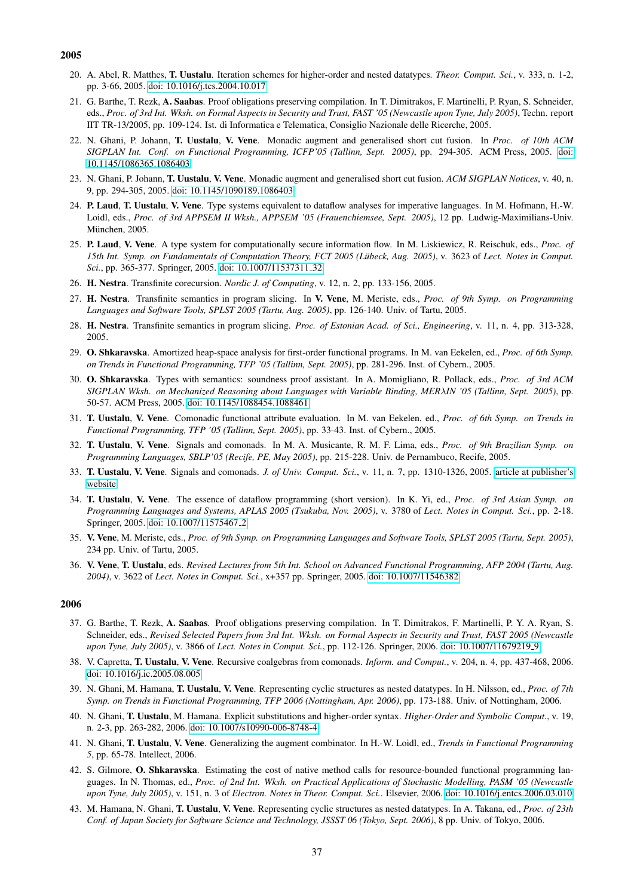- 20. A. Abel, R. Matthes, T. Uustalu. Iteration schemes for higher-order and nested datatypes. *Theor. Comput. Sci.*, v. 333, n. 1-2, pp. 3-66, 2005. [doi: 10.1016/j.tcs.2004.10.017](http://dx.doi.org/10.1016/j.tcs.2004.10.017)
- 21. G. Barthe, T. Rezk, A. Saabas. Proof obligations preserving compilation. In T. Dimitrakos, F. Martinelli, P. Ryan, S. Schneider, eds., *Proc. of 3rd Int. Wksh. on Formal Aspects in Security and Trust, FAST '05 (Newcastle upon Tyne, July 2005)*, Techn. report IIT TR-13/2005, pp. 109-124. Ist. di Informatica e Telematica, Consiglio Nazionale delle Ricerche, 2005.
- 22. N. Ghani, P. Johann, T. Uustalu, V. Vene. Monadic augment and generalised short cut fusion. In *Proc. of 10th ACM SIGPLAN Int. Conf. on Functional Programming, ICFP'05 (Tallinn, Sept. 2005)*, pp. 294-305. ACM Press, 2005. [doi:](http://dx.doi.org/10.1145/1086365.1086403) [10.1145/1086365.1086403](http://dx.doi.org/10.1145/1086365.1086403)
- 23. N. Ghani, P. Johann, T. Uustalu, V. Vene. Monadic augment and generalised short cut fusion. *ACM SIGPLAN Notices*, v. 40, n. 9, pp. 294-305, 2005. [doi: 10.1145/1090189.1086403](http://dx.doi.org/10.1145/1090189.1086403)
- 24. P. Laud, T. Uustalu, V. Vene. Type systems equivalent to dataflow analyses for imperative languages. In M. Hofmann, H.-W. Loidl, eds., *Proc. of 3rd APPSEM II Wksh., APPSEM '05 (Frauenchiemsee, Sept. 2005)*, 12 pp. Ludwig-Maximilians-Univ. München, 2005.
- 25. P. Laud, V. Vene. A type system for computationally secure information flow. In M. Liskiewicz, R. Reischuk, eds., *Proc. of 15th Int. Symp. on Fundamentals of Computation Theory, FCT 2005 (Lübeck, Aug. 2005), v. 3623 of Lect. Notes in Comput. Sci.*, pp. 365-377. Springer, 2005. [doi: 10.1007/11537311](http://dx.doi.org/10.1007/11537311_32) 32
- 26. H. Nestra. Transfinite corecursion. *Nordic J. of Computing*, v. 12, n. 2, pp. 133-156, 2005.
- 27. H. Nestra. Transfinite semantics in program slicing. In V. Vene, M. Meriste, eds., *Proc. of 9th Symp. on Programming Languages and Software Tools, SPLST 2005 (Tartu, Aug. 2005)*, pp. 126-140. Univ. of Tartu, 2005.
- 28. H. Nestra. Transfinite semantics in program slicing. *Proc. of Estonian Acad. of Sci., Engineering*, v. 11, n. 4, pp. 313-328, 2005.
- 29. O. Shkaravska. Amortized heap-space analysis for first-order functional programs. In M. van Eekelen, ed., *Proc. of 6th Symp. on Trends in Functional Programming, TFP '05 (Tallinn, Sept. 2005)*, pp. 281-296. Inst. of Cybern., 2005.
- 30. O. Shkaravska. Types with semantics: soundness proof assistant. In A. Momigliano, R. Pollack, eds., *Proc. of 3rd ACM SIGPLAN Wksh. on Mechanized Reasoning about Languages with Variable Binding, MER*λ*IN '05 (Tallinn, Sept. 2005)*, pp. 50-57. ACM Press, 2005. [doi: 10.1145/1088454.1088461](http://dx.doi.org/10.1145/1088454.1088461)
- 31. T. Uustalu, V. Vene. Comonadic functional attribute evaluation. In M. van Eekelen, ed., *Proc. of 6th Symp. on Trends in Functional Programming, TFP '05 (Tallinn, Sept. 2005)*, pp. 33-43. Inst. of Cybern., 2005.
- 32. T. Uustalu, V. Vene. Signals and comonads. In M. A. Musicante, R. M. F. Lima, eds., *Proc. of 9th Brazilian Symp. on Programming Languages, SBLP'05 (Recife, PE, May 2005)*, pp. 215-228. Univ. de Pernambuco, Recife, 2005.
- 33. T. Uustalu, V. Vene. Signals and comonads. *J. of Univ. Comput. Sci.*, v. 11, n. 7, pp. 1310-1326, 2005. [article at publisher's](http://www.jucs.org/jucs_11_7/signals_and_comonads/) [website](http://www.jucs.org/jucs_11_7/signals_and_comonads/)
- 34. T. Uustalu, V. Vene. The essence of dataflow programming (short version). In K. Yi, ed., *Proc. of 3rd Asian Symp. on Programming Languages and Systems, APLAS 2005 (Tsukuba, Nov. 2005)*, v. 3780 of *Lect. Notes in Comput. Sci.*, pp. 2-18. Springer, 2005. [doi: 10.1007/11575467](http://dx.doi.org/10.1007/11575467_2) 2
- 35. V. Vene, M. Meriste, eds., *Proc. of 9th Symp. on Programming Languages and Software Tools, SPLST 2005 (Tartu, Sept. 2005)*, 234 pp. Univ. of Tartu, 2005.
- 36. V. Vene, T. Uustalu, eds. *Revised Lectures from 5th Int. School on Advanced Functional Programming, AFP 2004 (Tartu, Aug. 2004)*, v. 3622 of *Lect. Notes in Comput. Sci.*, x+357 pp. Springer, 2005. [doi: 10.1007/11546382](http://dx.doi.org/10.1007/11546382)

- 37. G. Barthe, T. Rezk, A. Saabas. Proof obligations preserving compilation. In T. Dimitrakos, F. Martinelli, P. Y. A. Ryan, S. Schneider, eds., *Revised Selected Papers from 3rd Int. Wksh. on Formal Aspects in Security and Trust, FAST 2005 (Newcastle upon Tyne, July 2005)*, v. 3866 of *Lect. Notes in Comput. Sci.*, pp. 112-126. Springer, 2006. [doi: 10.1007/11679219](http://dx.doi.org/10.1007/11679219_9) 9
- 38. V. Capretta, T. Uustalu, V. Vene. Recursive coalgebras from comonads. *Inform. and Comput.*, v. 204, n. 4, pp. 437-468, 2006. [doi: 10.1016/j.ic.2005.08.005](http://dx.doi.org/10.1016/j.ic.2005.08.005)
- 39. N. Ghani, M. Hamana, T. Uustalu, V. Vene. Representing cyclic structures as nested datatypes. In H. Nilsson, ed., *Proc. of 7th Symp. on Trends in Functional Programming, TFP 2006 (Nottingham, Apr. 2006)*, pp. 173-188. Univ. of Nottingham, 2006.
- 40. N. Ghani, T. Uustalu, M. Hamana. Explicit substitutions and higher-order syntax. *Higher-Order and Symbolic Comput.*, v. 19, n. 2-3, pp. 263-282, 2006. [doi: 10.1007/s10990-006-8748-4](http://dx.doi.org/10.1007/s10990-006-8748-4)
- 41. N. Ghani, T. Uustalu, V. Vene. Generalizing the augment combinator. In H.-W. Loidl, ed., *Trends in Functional Programming 5*, pp. 65-78. Intellect, 2006.
- 42. S. Gilmore, O. Shkaravska. Estimating the cost of native method calls for resource-bounded functional programming languages. In N. Thomas, ed., *Proc. of 2nd Int. Wksh. on Practical Applications of Stochastic Modelling, PASM '05 (Newcastle upon Tyne, July 2005)*, v. 151, n. 3 of *Electron. Notes in Theor. Comput. Sci.*. Elsevier, 2006. [doi: 10.1016/j.entcs.2006.03.010](http://dx.doi.org/10.1016/j.entcs.2006.03.010)
- 43. M. Hamana, N. Ghani, T. Uustalu, V. Vene. Representing cyclic structures as nested datatypes. In A. Takana, ed., *Proc. of 23th Conf. of Japan Society for Software Science and Technology, JSSST 06 (Tokyo, Sept. 2006)*, 8 pp. Univ. of Tokyo, 2006.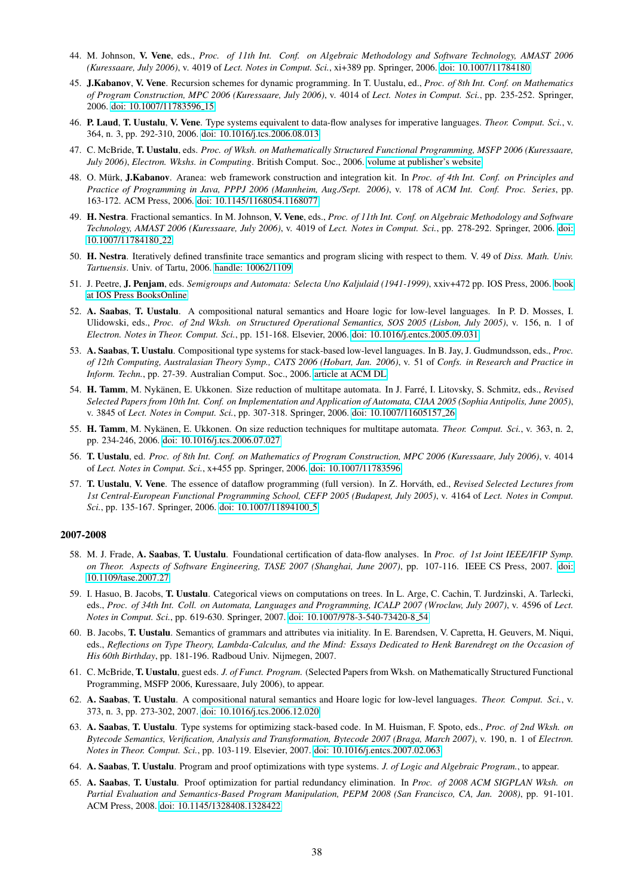- 44. M. Johnson, V. Vene, eds., *Proc. of 11th Int. Conf. on Algebraic Methodology and Software Technology, AMAST 2006 (Kuressaare, July 2006)*, v. 4019 of *Lect. Notes in Comput. Sci.*, xi+389 pp. Springer, 2006. [doi: 10.1007/11784180](http://dx.doi.org/10.1007/11784180)
- 45. J.Kabanov, V. Vene. Recursion schemes for dynamic programming. In T. Uustalu, ed., *Proc. of 8th Int. Conf. on Mathematics of Program Construction, MPC 2006 (Kuressaare, July 2006)*, v. 4014 of *Lect. Notes in Comput. Sci.*, pp. 235-252. Springer, 2006. [doi: 10.1007/11783596](http://dx.doi.org/10.1007/11783596_15) 15
- 46. P. Laud, T. Uustalu, V. Vene. Type systems equivalent to data-flow analyses for imperative languages. *Theor. Comput. Sci.*, v. 364, n. 3, pp. 292-310, 2006. [doi: 10.1016/j.tcs.2006.08.013](http://dx.doi.org/10.1016/j.tcs.2006.08.013)
- 47. C. McBride, T. Uustalu, eds. *Proc. of Wksh. on Mathematically Structured Functional Programming, MSFP 2006 (Kuressaare, July 2006)*, *Electron. Wkshs. in Computing*. British Comput. Soc., 2006. [volume at publisher's website](http://ewic.bcs.org/conferences/2006/msfp/)
- 48. O. Mürk, **J.Kabanov**. Aranea: web framework construction and integration kit. In *Proc. of 4th Int. Conf. on Principles and Practice of Programming in Java, PPPJ 2006 (Mannheim, Aug./Sept. 2006)*, v. 178 of *ACM Int. Conf. Proc. Series*, pp. 163-172. ACM Press, 2006. [doi: 10.1145/1168054.1168077](http://dx.doi.org/10.1145/1168054.1168077)
- 49. H. Nestra. Fractional semantics. In M. Johnson, V. Vene, eds., *Proc. of 11th Int. Conf. on Algebraic Methodology and Software Technology, AMAST 2006 (Kuressaare, July 2006)*, v. 4019 of *Lect. Notes in Comput. Sci.*, pp. 278-292. Springer, 2006. [doi:](http://dx.doi.org/10.1007/11784180_22) [10.1007/11784180](http://dx.doi.org/10.1007/11784180_22) 22
- 50. H. Nestra. Iteratively defined transfinite trace semantics and program slicing with respect to them. V. 49 of *Diss. Math. Univ. Tartuensis*. Univ. of Tartu, 2006. [handle: 10062/1109](http://hdl.handle.net/10062/1109)
- 51. J. Peetre, J. Penjam, eds. *Semigroups and Automata: Selecta Uno Kaljulaid (1941-1999)*, xxiv+472 pp. IOS Press, 2006. [book](http://www.booksonline.iospress.nl/Content/View.aspx?piid=78) [at IOS Press BooksOnline](http://www.booksonline.iospress.nl/Content/View.aspx?piid=78)
- 52. A. Saabas, T. Uustalu. A compositional natural semantics and Hoare logic for low-level languages. In P. D. Mosses, I. Ulidowski, eds., *Proc. of 2nd Wksh. on Structured Operational Semantics, SOS 2005 (Lisbon, July 2005)*, v. 156, n. 1 of *Electron. Notes in Theor. Comput. Sci.*, pp. 151-168. Elsevier, 2006. [doi: 10.1016/j.entcs.2005.09.031](http://dx.doi.org/10.1016/j.entcs.2005.09.031)
- 53. A. Saabas, T. Uustalu. Compositional type systems for stack-based low-level languages. In B. Jay, J. Gudmundsson, eds., *Proc. of 12th Computing, Australasian Theory Symp., CATS 2006 (Hobart, Jan. 2006)*, v. 51 of *Confs. in Research and Practice in Inform. Techn.*, pp. 27-39. Australian Comput. Soc., 2006. [article at ACM DL](http://portal.acm.org/citation.cfm?id=1151790)
- 54. H. Tamm, M. Nykänen, E. Ukkonen. Size reduction of multitape automata. In J. Farré, I. Litovsky, S. Schmitz, eds., Revised *Selected Papers from 10th Int. Conf. on Implementation and Application of Automata, CIAA 2005 (Sophia Antipolis, June 2005)*, v. 3845 of *Lect. Notes in Comput. Sci.*, pp. 307-318. Springer, 2006. [doi: 10.1007/11605157](http://dx.doi.org/10.1007/11605157_26) 26
- 55. H. Tamm, M. Nykänen, E. Ukkonen. On size reduction techniques for multitape automata. *Theor. Comput. Sci.*, v. 363, n. 2, pp. 234-246, 2006. [doi: 10.1016/j.tcs.2006.07.027](http://dx.doi.org/10.1016/j.tcs.2006.07.027)
- 56. T. Uustalu, ed. *Proc. of 8th Int. Conf. on Mathematics of Program Construction, MPC 2006 (Kuressaare, July 2006)*, v. 4014 of *Lect. Notes in Comput. Sci.*, x+455 pp. Springer, 2006. [doi: 10.1007/11783596](http://dx.doi.org/10.1007/11783596)
- 57. T. Uustalu, V. Vene. The essence of dataflow programming (full version). In Z. Horvath, ed., ´ *Revised Selected Lectures from 1st Central-European Functional Programming School, CEFP 2005 (Budapest, July 2005)*, v. 4164 of *Lect. Notes in Comput. Sci.*, pp. 135-167. Springer, 2006. [doi: 10.1007/11894100](http://dx.doi.org/10.1007/11894100_5)\_5

- 58. M. J. Frade, A. Saabas, T. Uustalu. Foundational certification of data-flow analyses. In *Proc. of 1st Joint IEEE/IFIP Symp. on Theor. Aspects of Software Engineering, TASE 2007 (Shanghai, June 2007)*, pp. 107-116. IEEE CS Press, 2007. [doi:](http://dx.doi.org/10.1109/tase.2007.27) [10.1109/tase.2007.27](http://dx.doi.org/10.1109/tase.2007.27)
- 59. I. Hasuo, B. Jacobs, T. Uustalu. Categorical views on computations on trees. In L. Arge, C. Cachin, T. Jurdzinski, A. Tarlecki, eds., *Proc. of 34th Int. Coll. on Automata, Languages and Programming, ICALP 2007 (Wroclaw, July 2007)*, v. 4596 of *Lect. Notes in Comput. Sci.*, pp. 619-630. Springer, 2007. [doi: 10.1007/978-3-540-73420-8](http://dx.doi.org/10.1007/978-3-540-73420-8_54) 54
- 60. B. Jacobs, T. Uustalu. Semantics of grammars and attributes via initiality. In E. Barendsen, V. Capretta, H. Geuvers, M. Niqui, eds., *Reflections on Type Theory, Lambda-Calculus, and the Mind: Essays Dedicated to Henk Barendregt on the Occasion of His 60th Birthday*, pp. 181-196. Radboud Univ. Nijmegen, 2007.
- 61. C. McBride, T. Uustalu, guest eds. *J. of Funct. Program.* (Selected Papers from Wksh. on Mathematically Structured Functional Programming, MSFP 2006, Kuressaare, July 2006), to appear.
- 62. A. Saabas, T. Uustalu. A compositional natural semantics and Hoare logic for low-level languages. *Theor. Comput. Sci.*, v. 373, n. 3, pp. 273-302, 2007. [doi: 10.1016/j.tcs.2006.12.020](http://dx.doi.org/10.1016/j.tcs.2006.12.020)
- 63. A. Saabas, T. Uustalu. Type systems for optimizing stack-based code. In M. Huisman, F. Spoto, eds., *Proc. of 2nd Wksh. on Bytecode Semantics, Verification, Analysis and Transformation, Bytecode 2007 (Braga, March 2007)*, v. 190, n. 1 of *Electron. Notes in Theor. Comput. Sci.*, pp. 103-119. Elsevier, 2007. [doi: 10.1016/j.entcs.2007.02.063](http://dx.doi.org/10.1016/j.entcs.2007.02.063)
- 64. A. Saabas, T. Uustalu. Program and proof optimizations with type systems. *J. of Logic and Algebraic Program.*, to appear.
- 65. A. Saabas, T. Uustalu. Proof optimization for partial redundancy elimination. In *Proc. of 2008 ACM SIGPLAN Wksh. on Partial Evaluation and Semantics-Based Program Manipulation, PEPM 2008 (San Francisco, CA, Jan. 2008)*, pp. 91-101. ACM Press, 2008. [doi: 10.1145/1328408.1328422](http://dx.doi.org/10.1145/1328408.1328422)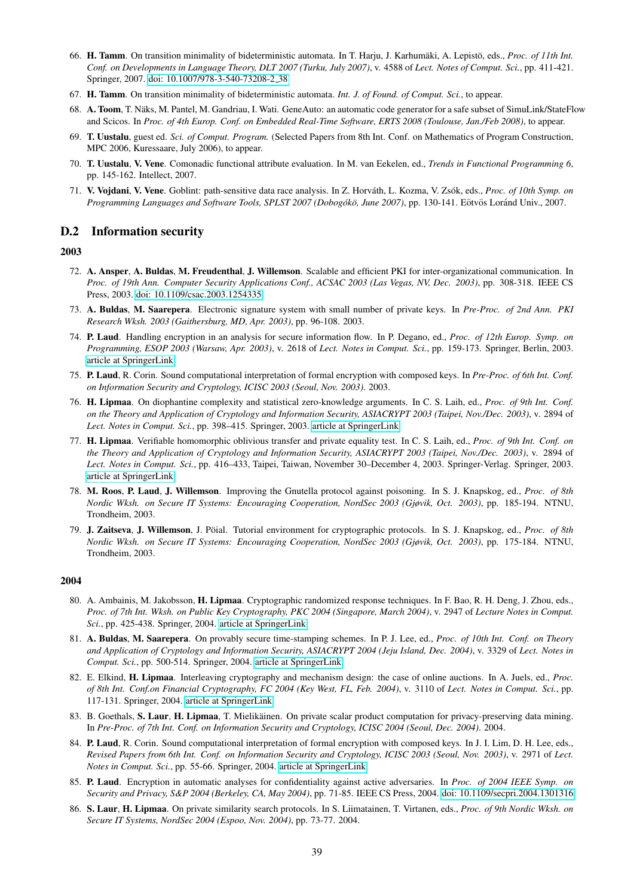- 66. H. Tamm. On transition minimality of bideterministic automata. In T. Harju, J. Karhumäki, A. Lepistö, eds., *Proc. of 11th Int. Conf. on Developments in Language Theory, DLT 2007 (Turku, July 2007)*, v. 4588 of *Lect. Notes of Comput. Sci.*, pp. 411-421. Springer, 2007. [doi: 10.1007/978-3-540-73208-2](http://dx.doi.org/10.1007/978-3-540-73208-2_38) 38
- 67. H. Tamm. On transition minimality of bideterministic automata. *Int. J. of Found. of Comput. Sci.*, to appear.
- 68. A. Toom, T. Näks, M. Pantel, M. Gandriau, I. Wati. GeneAuto: an automatic code generator for a safe subset of SimuLink/StateFlow and Scicos. In *Proc. of 4th Europ. Conf. on Embedded Real-Time Software, ERTS 2008 (Toulouse, Jan./Feb 2008)*, to appear.
- 69. T. Uustalu, guest ed. *Sci. of Comput. Program.* (Selected Papers from 8th Int. Conf. on Mathematics of Program Construction, MPC 2006, Kuressaare, July 2006), to appear.
- 70. T. Uustalu, V. Vene. Comonadic functional attribute evaluation. In M. van Eekelen, ed., *Trends in Functional Programming 6*, pp. 145-162. Intellect, 2007.
- 71. V. Vojdani, V. Vene. Goblint: path-sensitive data race analysis. In Z. Horváth, L. Kozma, V. Zsók, eds., *Proc. of 10th Symp. on* Programming Languages and Software Tools, SPLST 2007 (Dobogókö, June 2007), pp. 130-141. Eötvös Loránd Univ., 2007.

# D.2 Information security

# 2003

- 72. A. Ansper, A. Buldas, M. Freudenthal, J. Willemson. Scalable and efficient PKI for inter-organizational communication. In *Proc. of 19th Ann. Computer Security Applications Conf., ACSAC 2003 (Las Vegas, NV, Dec. 2003)*, pp. 308-318. IEEE CS Press, 2003. [doi: 10.1109/csac.2003.1254335](http://dx.doi.org/10.1109/csac.2003.1254335)
- 73. A. Buldas, M. Saarepera. Electronic signature system with small number of private keys. In *Pre-Proc. of 2nd Ann. PKI Research Wksh. 2003 (Gaithersburg, MD, Apr. 2003)*, pp. 96-108. 2003.
- 74. P. Laud. Handling encryption in an analysis for secure information flow. In P. Degano, ed., *Proc. of 12th Europ. Symp. on Programming, ESOP 2003 (Warsaw, Apr. 2003)*, v. 2618 of *Lect. Notes in Comput. Sci.*, pp. 159-173. Springer, Berlin, 2003. [article at SpringerLink](http://www.springerlink.com/content/4glwx2xta2t95gm4)
- 75. P. Laud, R. Corin. Sound computational interpretation of formal encryption with composed keys. In *Pre-Proc. of 6th Int. Conf. on Information Security and Cryptology, ICISC 2003 (Seoul, Nov. 2003)*. 2003.
- 76. H. Lipmaa. On diophantine complexity and statistical zero-knowledge arguments. In C. S. Laih, ed., *Proc. of 9th Int. Conf. on the Theory and Application of Cryptology and Information Security, ASIACRYPT 2003 (Taipei, Nov./Dec. 2003)*, v. 2894 of *Lect. Notes in Comput. Sci.*, pp. 398–415. Springer, 2003. [article at SpringerLink](http://www.springerlink.com/content/0tj2dbbnw89n0kaf)
- 77. H. Lipmaa. Verifiable homomorphic oblivious transfer and private equality test. In C. S. Laih, ed., *Proc. of 9th Int. Conf. on the Theory and Application of Cryptology and Information Security, ASIACRYPT 2003 (Taipei, Nov./Dec. 2003)*, v. 2894 of *Lect. Notes in Comput. Sci.*, pp. 416–433, Taipei, Taiwan, November 30–December 4, 2003. Springer-Verlag. Springer, 2003. [article at SpringerLink](http://www.springerlink.com/content/vutk4nr5rw1xj6am)
- 78. M. Roos, P. Laud, J. Willemson. Improving the Gnutella protocol against poisoning. In S. J. Knapskog, ed., *Proc. of 8th Nordic Wksh. on Secure IT Systems: Encouraging Cooperation, NordSec 2003 (Gjøvik, Oct. 2003)*, pp. 185-194. NTNU, Trondheim, 2003.
- 79. J. Zaitseva, J. Willemson, J. Pöial. Tutorial environment for cryptographic protocols. In S. J. Knapskog, ed., Proc. of 8th *Nordic Wksh. on Secure IT Systems: Encouraging Cooperation, NordSec 2003 (Gjøvik, Oct. 2003)*, pp. 175-184. NTNU, Trondheim, 2003.

- 80. A. Ambainis, M. Jakobsson, H. Lipmaa. Cryptographic randomized response techniques. In F. Bao, R. H. Deng, J. Zhou, eds., *Proc. of 7th Int. Wksh. on Public Key Cryptography, PKC 2004 (Singapore, March 2004)*, v. 2947 of *Lecture Notes in Comput. Sci.*, pp. 425-438. Springer, 2004. [article at SpringerLink](http://www.springerlink.com/content/vqumkcnjx4c8ad96)
- 81. A. Buldas, M. Saarepera. On provably secure time-stamping schemes. In P. J. Lee, ed., *Proc. of 10th Int. Conf. on Theory and Application of Cryptology and Information Security, ASIACRYPT 2004 (Jeju Island, Dec. 2004)*, v. 3329 of *Lect. Notes in Comput. Sci.*, pp. 500-514. Springer, 2004. [article at SpringerLink](http://www.springerlink.com/content/xtxbt3tewjkd4hn7)
- 82. E. Elkind, H. Lipmaa. Interleaving cryptography and mechanism design: the case of online auctions. In A. Juels, ed., *Proc. of 8th Int. Conf.on Financial Cryptography, FC 2004 (Key West, FL, Feb. 2004)*, v. 3110 of *Lect. Notes in Comput. Sci.*, pp. 117-131. Springer, 2004. [article at SpringerLink](http://www.springerlink.com/content/geqr3qjhh9e1jqfh)
- 83. B. Goethals, S. Laur, H. Lipmaa, T. Mielikäinen. On private scalar product computation for privacy-preserving data mining. In *Pre-Proc. of 7th Int. Conf. on Information Security and Cryptology, ICISC 2004 (Seoul, Dec. 2004)*. 2004.
- 84. P. Laud, R. Corin. Sound computational interpretation of formal encryption with composed keys. In J. I. Lim, D. H. Lee, eds., *Revised Papers from 6th Int. Conf. on Information Security and Cryptology, ICISC 2003 (Seoul, Nov. 2003)*, v. 2971 of *Lect. Notes in Comput. Sci.*, pp. 55-66. Springer, 2004. [article at SpringerLink](http://www.springerlink.com/content/8fm2kvgm1rvr2rg3)
- 85. P. Laud. Encryption in automatic analyses for confidentiality against active adversaries. In *Proc. of 2004 IEEE Symp. on Security and Privacy, S&P 2004 (Berkeley, CA, May 2004)*, pp. 71-85. IEEE CS Press, 2004. [doi: 10.1109/secpri.2004.1301316](http://dx.doi.org/10.1109/secpri.2004.1301316)
- 86. S. Laur, H. Lipmaa. On private similarity search protocols. In S. Liimatainen, T. Virtanen, eds., *Proc. of 9th Nordic Wksh. on Secure IT Systems, NordSec 2004 (Espoo, Nov. 2004)*, pp. 73-77. 2004.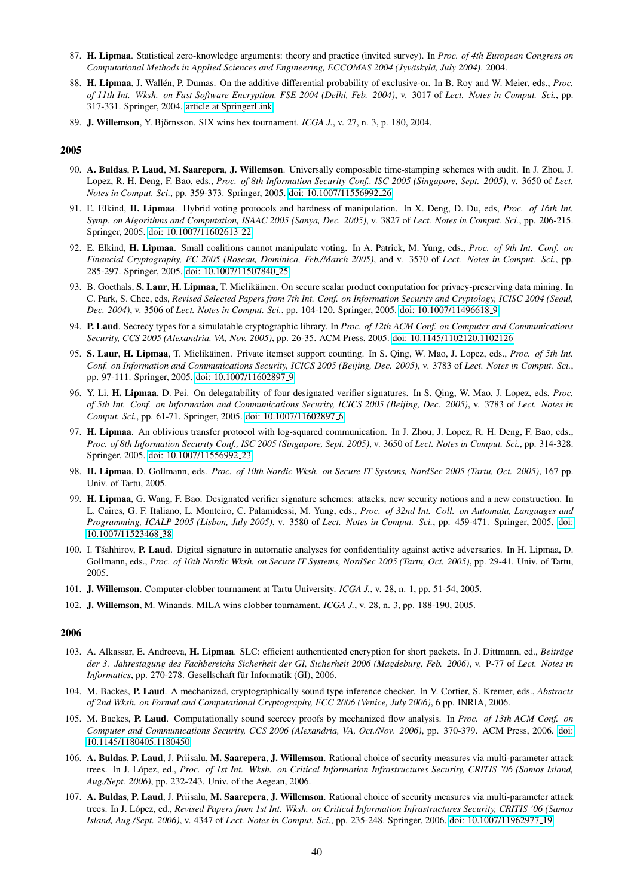- 87. H. Lipmaa. Statistical zero-knowledge arguments: theory and practice (invited survey). In *Proc. of 4th European Congress on Computational Methods in Applied Sciences and Engineering, ECCOMAS 2004 (Jyväskylä, July 2004).* 2004.
- 88. H. Lipmaa, J. Wallén, P. Dumas. On the additive differential probability of exclusive-or. In B. Roy and W. Meier, eds., *Proc. of 11th Int. Wksh. on Fast Software Encryption, FSE 2004 (Delhi, Feb. 2004)*, v. 3017 of *Lect. Notes in Comput. Sci.*, pp. 317-331. Springer, 2004. [article at SpringerLink](http://www.springerlink.com/content/1kxjqq3wembbman)
- 89. J. Willemson, Y. Björnsson. SIX wins hex tournament. *ICGA J.*, v. 27, n. 3, p. 180, 2004.

- 90. A. Buldas, P. Laud, M. Saarepera, J. Willemson. Universally composable time-stamping schemes with audit. In J. Zhou, J. Lopez, R. H. Deng, F. Bao, eds., *Proc. of 8th Information Security Conf., ISC 2005 (Singapore, Sept. 2005)*, v. 3650 of *Lect. Notes in Comput. Sci.*, pp. 359-373. Springer, 2005. [doi: 10.1007/11556992](http://dx.doi.org/10.1007/11556992_26) 26
- 91. E. Elkind, H. Lipmaa. Hybrid voting protocols and hardness of manipulation. In X. Deng, D. Du, eds, *Proc. of 16th Int. Symp. on Algorithms and Computation, ISAAC 2005 (Sanya, Dec. 2005)*, v. 3827 of *Lect. Notes in Comput. Sci.*, pp. 206-215. Springer, 2005. [doi: 10.1007/11602613](http://dx.doi.org/10.1007/11602613_22) 22
- 92. E. Elkind, H. Lipmaa. Small coalitions cannot manipulate voting. In A. Patrick, M. Yung, eds., *Proc. of 9th Int. Conf. on Financial Cryptography, FC 2005 (Roseau, Dominica, Feb./March 2005)*, and v. 3570 of *Lect. Notes in Comput. Sci.*, pp. 285-297. Springer, 2005. [doi: 10.1007/11507840](http://dx.doi.org/10.1007/11507840_25) 25
- 93. B. Goethals, S. Laur, H. Lipmaa, T. Mielikäinen. On secure scalar product computation for privacy-preserving data mining. In C. Park, S. Chee, eds, *Revised Selected Papers from 7th Int. Conf. on Information Security and Cryptology, ICISC 2004 (Seoul, Dec. 2004)*, v. 3506 of *Lect. Notes in Comput. Sci.*, pp. 104-120. Springer, 2005. [doi: 10.1007/11496618](http://dx.doi.org/10.1007/11496618_9) 9
- 94. P. Laud. Secrecy types for a simulatable cryptographic library. In *Proc. of 12th ACM Conf. on Computer and Communications Security, CCS 2005 (Alexandria, VA, Nov. 2005)*, pp. 26-35. ACM Press, 2005. [doi: 10.1145/1102120.1102126](http://dx.doi.org/10.1145/1102120.1102126)
- 95. S. Laur, H. Lipmaa, T. Mielikäinen. Private itemset support counting. In S. Qing, W. Mao, J. Lopez, eds., Proc. of 5th Int. *Conf. on Information and Communications Security, ICICS 2005 (Beijing, Dec. 2005)*, v. 3783 of *Lect. Notes in Comput. Sci.*, pp. 97-111. Springer, 2005. [doi: 10.1007/11602897](http://dx.doi.org/10.1007/11602897_9) 9
- 96. Y. Li, H. Lipmaa, D. Pei. On delegatability of four designated verifier signatures. In S. Qing, W. Mao, J. Lopez, eds, *Proc. of 5th Int. Conf. on Information and Communications Security, ICICS 2005 (Beijing, Dec. 2005)*, v. 3783 of *Lect. Notes in Comput. Sci.*, pp. 61-71. Springer, 2005. [doi: 10.1007/11602897](http://dx.doi.org/10.1007/11602897_6) 6
- 97. H. Lipmaa. An oblivious transfer protocol with log-squared communication. In J. Zhou, J. Lopez, R. H. Deng, F. Bao, eds., *Proc. of 8th Information Security Conf., ISC 2005 (Singapore, Sept. 2005)*, v. 3650 of *Lect. Notes in Comput. Sci.*, pp. 314-328. Springer, 2005. [doi: 10.1007/11556992](http://dx.doi.org/10.1007/11556992_23) 23
- 98. H. Lipmaa, D. Gollmann, eds. *Proc. of 10th Nordic Wksh. on Secure IT Systems, NordSec 2005 (Tartu, Oct. 2005)*, 167 pp. Univ. of Tartu, 2005.
- 99. H. Lipmaa, G. Wang, F. Bao. Designated verifier signature schemes: attacks, new security notions and a new construction. In L. Caires, G. F. Italiano, L. Monteiro, C. Palamidessi, M. Yung, eds., *Proc. of 32nd Int. Coll. on Automata, Languages and Programming, ICALP 2005 (Lisbon, July 2005)*, v. 3580 of *Lect. Notes in Comput. Sci.*, pp. 459-471. Springer, 2005. [doi:](http://dx.doi.org/10.1007/11523468_38) [10.1007/11523468](http://dx.doi.org/10.1007/11523468_38) 38
- 100. I. Tšahhirov, P. Laud. Digital signature in automatic analyses for confidentiality against active adversaries. In H. Lipmaa, D. Gollmann, eds., *Proc. of 10th Nordic Wksh. on Secure IT Systems, NordSec 2005 (Tartu, Oct. 2005)*, pp. 29-41. Univ. of Tartu, 2005.
- 101. J. Willemson. Computer-clobber tournament at Tartu University. *ICGA J.*, v. 28, n. 1, pp. 51-54, 2005.
- 102. J. Willemson, M. Winands. MILA wins clobber tournament. *ICGA J.*, v. 28, n. 3, pp. 188-190, 2005.

- 103. A. Alkassar, E. Andreeva, H. Lipmaa. SLC: efficient authenticated encryption for short packets. In J. Dittmann, ed., *Beitrage ¨ der 3. Jahrestagung des Fachbereichs Sicherheit der GI, Sicherheit 2006 (Magdeburg, Feb. 2006)*, v. P-77 of *Lect. Notes in Informatics*, pp. 270-278. Gesellschaft für Informatik (GI), 2006.
- 104. M. Backes, P. Laud. A mechanized, cryptographically sound type inference checker. In V. Cortier, S. Kremer, eds., *Abstracts of 2nd Wksh. on Formal and Computational Cryptography, FCC 2006 (Venice, July 2006)*, 6 pp. INRIA, 2006.
- 105. M. Backes, P. Laud. Computationally sound secrecy proofs by mechanized flow analysis. In *Proc. of 13th ACM Conf. on Computer and Communications Security, CCS 2006 (Alexandria, VA, Oct./Nov. 2006)*, pp. 370-379. ACM Press, 2006. [doi:](http://dx.doi.org/10.1145/1180405.1180450) [10.1145/1180405.1180450](http://dx.doi.org/10.1145/1180405.1180450)
- 106. A. Buldas, P. Laud, J. Priisalu, M. Saarepera, J. Willemson. Rational choice of security measures via multi-parameter attack trees. In J. López, ed., Proc. of 1st Int. Wksh. on Critical Information Infrastructures Security, CRITIS '06 (Samos Island, *Aug./Sept. 2006)*, pp. 232-243. Univ. of the Aegean, 2006.
- 107. A. Buldas, P. Laud, J. Priisalu, M. Saarepera, J. Willemson. Rational choice of security measures via multi-parameter attack trees. In J. López, ed., Revised Papers from 1st Int. Wksh. on Critical Information Infrastructures Security, CRITIS '06 (Samos *Island, Aug./Sept. 2006)*, v. 4347 of *Lect. Notes in Comput. Sci.*, pp. 235-248. Springer, 2006. [doi: 10.1007/11962977](http://dx.doi.org/10.1007/11962977_19) 19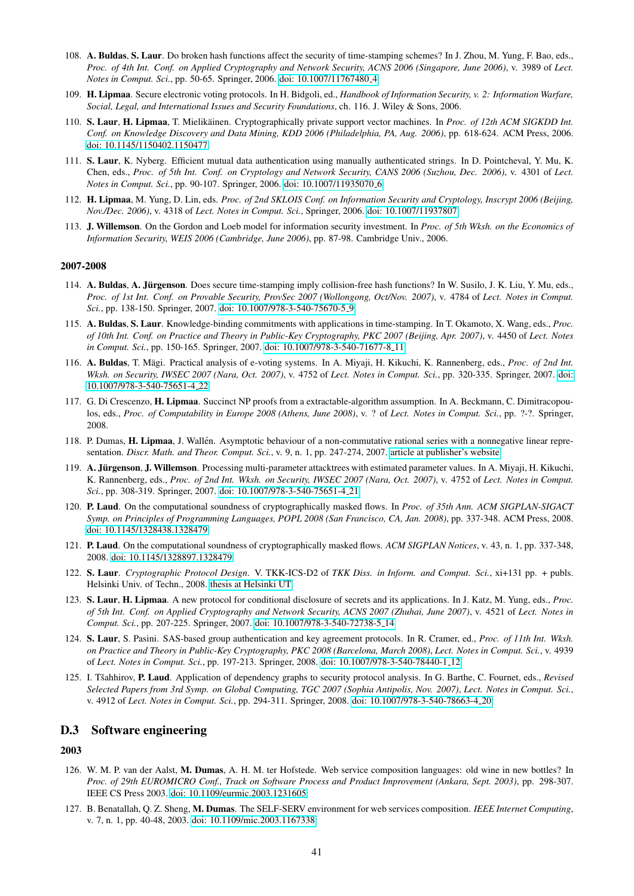- 108. A. Buldas, S. Laur. Do broken hash functions affect the security of time-stamping schemes? In J. Zhou, M. Yung, F. Bao, eds., *Proc. of 4th Int. Conf. on Applied Cryptography and Network Security, ACNS 2006 (Singapore, June 2006)*, v. 3989 of *Lect. Notes in Comput. Sci.*, pp. 50-65. Springer, 2006. [doi: 10.1007/11767480](http://dx.doi.org/10.1007/11767480_4) 4
- 109. H. Lipmaa. Secure electronic voting protocols. In H. Bidgoli, ed., *Handbook of Information Security, v. 2: Information Warfare, Social, Legal, and International Issues and Security Foundations*, ch. 116. J. Wiley & Sons, 2006.
- 110. S. Laur, H. Lipmaa, T. Mielikäinen. Cryptographically private support vector machines. In Proc. of 12th ACM SIGKDD Int. *Conf. on Knowledge Discovery and Data Mining, KDD 2006 (Philadelphia, PA, Aug. 2006)*, pp. 618-624. ACM Press, 2006. [doi: 10.1145/1150402.1150477](http://dx.doi.org/10.1145/1150402.1150477)
- 111. S. Laur, K. Nyberg. Efficient mutual data authentication using manually authenticated strings. In D. Pointcheval, Y. Mu, K. Chen, eds., *Proc. of 5th Int. Conf. on Cryptology and Network Security, CANS 2006 (Suzhou, Dec. 2006)*, v. 4301 of *Lect. Notes in Comput. Sci.*, pp. 90-107. Springer, 2006. [doi: 10.1007/11935070](http://dx.doi.org/10.1007/11935070_6) 6
- 112. H. Lipmaa, M. Yung, D. Lin, eds. *Proc. of 2nd SKLOIS Conf. on Information Security and Cryptology, Inscrypt 2006 (Beijing, Nov./Dec. 2006)*, v. 4318 of *Lect. Notes in Comput. Sci.*, Springer, 2006. [doi: 10.1007/11937807](http://dx.doi.org/10.1007/11937807)
- 113. J. Willemson. On the Gordon and Loeb model for information security investment. In *Proc. of 5th Wksh. on the Economics of Information Security, WEIS 2006 (Cambridge, June 2006)*, pp. 87-98. Cambridge Univ., 2006.

- 114. A. Buldas, A. Jürgenson. Does secure time-stamping imply collision-free hash functions? In W. Susilo, J. K. Liu, Y. Mu, eds., *Proc. of 1st Int. Conf. on Provable Security, ProvSec 2007 (Wollongong, Oct/Nov. 2007)*, v. 4784 of *Lect. Notes in Comput. Sci.*, pp. 138-150. Springer, 2007. [doi: 10.1007/978-3-540-75670-5](http://dx.doi.org/10.1007/978-3-540-75670-5_9) 9
- 115. A. Buldas, S. Laur. Knowledge-binding commitments with applications in time-stamping. In T. Okamoto, X. Wang, eds., *Proc. of 10th Int. Conf. on Practice and Theory in Public-Key Cryptography, PKC 2007 (Beijing, Apr. 2007)*, v. 4450 of *Lect. Notes in Comput. Sci.*, pp. 150-165. Springer, 2007. [doi: 10.1007/978-3-540-71677-8](http://dx.doi.org/10.1007/978-3-540-71677-8_11) 11
- 116. A. Buldas, T. Mägi. Practical analysis of e-voting systems. In A. Miyaji, H. Kikuchi, K. Rannenberg, eds., Proc. of 2nd Int. *Wksh. on Security, IWSEC 2007 (Nara, Oct. 2007)*, v. 4752 of *Lect. Notes in Comput. Sci.*, pp. 320-335. Springer, 2007. [doi:](http://dx.doi.org/10.1007/978-3-540-75651-4_22) [10.1007/978-3-540-75651-4](http://dx.doi.org/10.1007/978-3-540-75651-4_22) 22
- 117. G. Di Crescenzo, H. Lipmaa. Succinct NP proofs from a extractable-algorithm assumption. In A. Beckmann, C. Dimitracopoulos, eds., *Proc. of Computability in Europe 2008 (Athens, June 2008)*, v. ? of *Lect. Notes in Comput. Sci.*, pp. ?-?. Springer, 2008.
- 118. P. Dumas, H. Lipmaa, J. Wallén. Asymptotic behaviour of a non-commutative rational series with a nonnegative linear representation. *Discr. Math. and Theor. Comput. Sci.*, v. 9, n. 1, pp. 247-274, 2007. [article at publisher's website](http://www.dmtcs.org/dmtcs-ojs/index.php/dmtcs/article/view/478)
- 119. A. Jürgenson, J. Willemson. Processing multi-parameter attacktrees with estimated parameter values. In A. Miyaji, H. Kikuchi, K. Rannenberg, eds., *Proc. of 2nd Int. Wksh. on Security, IWSEC 2007 (Nara, Oct. 2007)*, v. 4752 of *Lect. Notes in Comput. Sci.*, pp. 308-319. Springer, 2007. [doi: 10.1007/978-3-540-75651-4](http://dx.doi.org/10.1007/978-3-540-75651-4_21) 21
- 120. P. Laud. On the computational soundness of cryptographically masked flows. In *Proc. of 35th Ann. ACM SIGPLAN-SIGACT Symp. on Principles of Programming Languages, POPL 2008 (San Francisco, CA, Jan. 2008)*, pp. 337-348. ACM Press, 2008. [doi: 10.1145/1328438.1328479](http://dx.doi.org/10.1145/1328438.1328479)
- 121. P. Laud. On the computational soundness of cryptographically masked flows. *ACM SIGPLAN Notices*, v. 43, n. 1, pp. 337-348, 2008. [doi: 10.1145/1328897.1328479](http://dx.doi.org/10.1145/1328897.1328479)
- 122. S. Laur. *Cryptographic Protocol Design*. V. TKK-ICS-D2 of *TKK Diss. in Inform. and Comput. Sci.*, xi+131 pp. + publs. Helsinki Univ. of Techn., 2008. [thesis at Helsinki UT](http://lib.tkk.fi/Diss/2008/isbn9789512292936/)
- 123. S. Laur, H. Lipmaa. A new protocol for conditional disclosure of secrets and its applications. In J. Katz, M. Yung, eds., *Proc. of 5th Int. Conf. on Applied Cryptography and Network Security, ACNS 2007 (Zhuhai, June 2007)*, v. 4521 of *Lect. Notes in Comput. Sci.*, pp. 207-225. Springer, 2007. [doi: 10.1007/978-3-540-72738-5](http://dx.doi.org/10.1007/978-3-540-72738-5_14) 14
- 124. S. Laur, S. Pasini. SAS-based group authentication and key agreement protocols. In R. Cramer, ed., *Proc. of 11th Int. Wksh. on Practice and Theory in Public-Key Cryptography, PKC 2008 (Barcelona, March 2008)*, *Lect. Notes in Comput. Sci.*, v. 4939 of *Lect. Notes in Comput. Sci.*, pp. 197-213. Springer, 2008. [doi: 10.1007/978-3-540-78440-1](http://dx.doi.org/10.1007/978-3-540-78440-1_12) 12
- 125. I. Tšahhirov, P. Laud. Application of dependency graphs to security protocol analysis. In G. Barthe, C. Fournet, eds., *Revised Selected Papers from 3rd Symp. on Global Computing, TGC 2007 (Sophia Antipolis, Nov. 2007)*, *Lect. Notes in Comput. Sci.*, v. 4912 of *Lect. Notes in Comput. Sci.*, pp. 294-311. Springer, 2008. [doi: 10.1007/978-3-540-78663-4](http://dx.doi.org/10.1007/978-3-540-78663-4_20) 20

# D.3 Software engineering

- 126. W. M. P. van der Aalst, M. Dumas, A. H. M. ter Hofstede. Web service composition languages: old wine in new bottles? In *Proc. of 29th EUROMICRO Conf., Track on Software Process and Product Improvement (Ankara, Sept. 2003)*, pp. 298-307. IEEE CS Press 2003. [doi: 10.1109/eurmic.2003.1231605](http://dx.doi.org/10.1109/eurmic.2003.1231605)
- 127. B. Benatallah, Q. Z. Sheng, M. Dumas. The SELF-SERV environment for web services composition. *IEEE Internet Computing*, v. 7, n. 1, pp. 40-48, 2003. [doi: 10.1109/mic.2003.1167338](http://dx.doi.org/10.1109/mic.2003.1167338)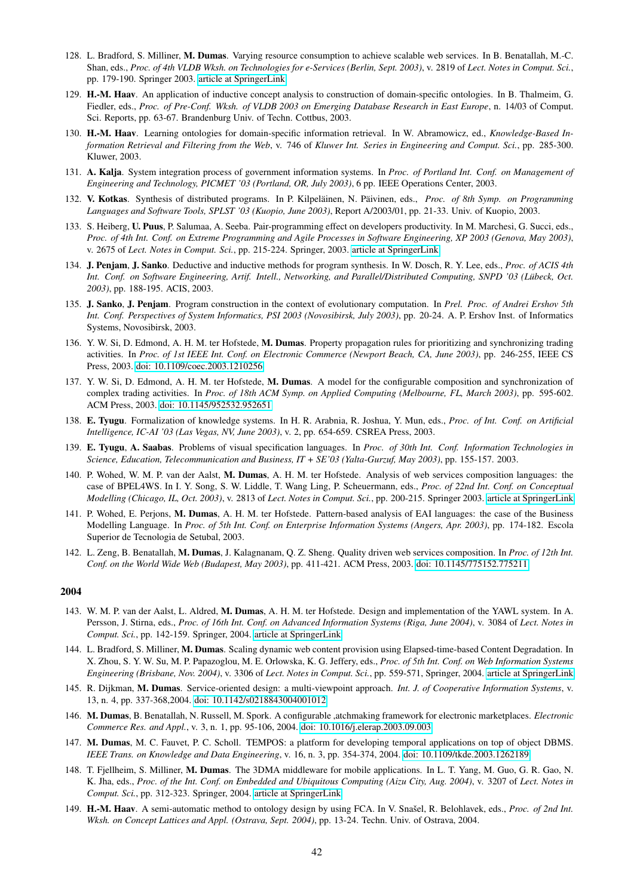- 128. L. Bradford, S. Milliner, M. Dumas. Varying resource consumption to achieve scalable web services. In B. Benatallah, M.-C. Shan, eds., *Proc. of 4th VLDB Wksh. on Technologies for e-Services (Berlin, Sept. 2003)*, v. 2819 of *Lect. Notes in Comput. Sci.*, pp. 179-190. Springer 2003. [article at SpringerLink](http://www.springerlink.com/content/h38d8g1jlbtpufc4/)
- 129. H.-M. Haav. An application of inductive concept analysis to construction of domain-specific ontologies. In B. Thalmeim, G. Fiedler, eds., *Proc. of Pre-Conf. Wksh. of VLDB 2003 on Emerging Database Research in East Europe*, n. 14/03 of Comput. Sci. Reports, pp. 63-67. Brandenburg Univ. of Techn. Cottbus, 2003.
- 130. H.-M. Haav. Learning ontologies for domain-specific information retrieval. In W. Abramowicz, ed., *Knowledge-Based Information Retrieval and Filtering from the Web*, v. 746 of *Kluwer Int. Series in Engineering and Comput. Sci.*, pp. 285-300. Kluwer, 2003.
- 131. A. Kalja. System integration process of government information systems. In *Proc. of Portland Int. Conf. on Management of Engineering and Technology, PICMET '03 (Portland, OR, July 2003)*, 6 pp. IEEE Operations Center, 2003.
- 132. V. Kotkas. Synthesis of distributed programs. In P. Kilpeläinen, N. Päivinen, eds., *Proc. of 8th Symp. on Programming Languages and Software Tools, SPLST '03 (Kuopio, June 2003)*, Report A/2003/01, pp. 21-33. Univ. of Kuopio, 2003.
- 133. S. Heiberg, U. Puus, P. Salumaa, A. Seeba. Pair-programming effect on developers productivity. In M. Marchesi, G. Succi, eds., *Proc. of 4th Int. Conf. on Extreme Programming and Agile Processes in Software Engineering, XP 2003 (Genova, May 2003)*, v. 2675 of *Lect. Notes in Comput. Sci.*, pp. 215-224. Springer, 2003. [article at SpringerLink](http://www.springerlink.com/content/p0lc4579a2lcx6p0/)
- 134. J. Penjam, J. Sanko. Deductive and inductive methods for program synthesis. In W. Dosch, R. Y. Lee, eds., *Proc. of ACIS 4th Int. Conf. on Software Engineering, Artif. Intell., Networking, and Parallel/Distributed Computing, SNPD '03 (Lubeck, Oct. ¨ 2003)*, pp. 188-195. ACIS, 2003.
- 135. J. Sanko, J. Penjam. Program construction in the context of evolutionary computation. In *Prel. Proc. of Andrei Ershov 5th Int. Conf. Perspectives of System Informatics, PSI 2003 (Novosibirsk, July 2003)*, pp. 20-24. A. P. Ershov Inst. of Informatics Systems, Novosibirsk, 2003.
- 136. Y. W. Si, D. Edmond, A. H. M. ter Hofstede, M. Dumas. Property propagation rules for prioritizing and synchronizing trading activities. In *Proc. of 1st IEEE Int. Conf. on Electronic Commerce (Newport Beach, CA, June 2003)*, pp. 246-255, IEEE CS Press, 2003. [doi: 10.1109/coec.2003.1210256](http://dx.doi.org/10.1109/coec.2003.1210256)
- 137. Y. W. Si, D. Edmond, A. H. M. ter Hofstede, M. Dumas. A model for the configurable composition and synchronization of complex trading activities. In *Proc. of 18th ACM Symp. on Applied Computing (Melbourne, FL, March 2003)*, pp. 595-602. ACM Press, 2003. [doi: 10.1145/952532.952651](http://dx.doi.org/10.1145/952532.952651)
- 138. E. Tyugu. Formalization of knowledge systems. In H. R. Arabnia, R. Joshua, Y. Mun, eds., *Proc. of Int. Conf. on Artificial Intelligence, IC-AI '03 (Las Vegas, NV, June 2003)*, v. 2, pp. 654-659. CSREA Press, 2003.
- 139. E. Tyugu, A. Saabas. Problems of visual specification languages. In *Proc. of 30th Int. Conf. Information Technologies in Science, Education, Telecommunication and Business, IT + SE'03 (Yalta-Gurzuf, May 2003)*, pp. 155-157. 2003.
- 140. P. Wohed, W. M. P. van der Aalst, M. Dumas, A. H. M. ter Hofstede. Analysis of web services composition languages: the case of BPEL4WS. In I. Y. Song, S. W. Liddle, T. Wang Ling, P. Scheuermann, eds., *Proc. of 22nd Int. Conf. on Conceptual Modelling (Chicago, IL, Oct. 2003)*, v. 2813 of *Lect. Notes in Comput. Sci.*, pp. 200-215. Springer 2003. [article at SpringerLink](http://www.springerlink.com/content/uvt9bf7fmx20xe5w)
- 141. P. Wohed, E. Perjons, M. Dumas, A. H. M. ter Hofstede. Pattern-based analysis of EAI languages: the case of the Business Modelling Language. In *Proc. of 5th Int. Conf. on Enterprise Information Systems (Angers, Apr. 2003)*, pp. 174-182. Escola Superior de Tecnologia de Setubal, 2003.
- 142. L. Zeng, B. Benatallah, M. Dumas, J. Kalagnanam, Q. Z. Sheng. Quality driven web services composition. In *Proc. of 12th Int. Conf. on the World Wide Web (Budapest, May 2003)*, pp. 411-421. ACM Press, 2003. [doi: 10.1145/775152.775211](http://dx.doi.org/10.1145/775152.775211)

- 143. W. M. P. van der Aalst, L. Aldred, M. Dumas, A. H. M. ter Hofstede. Design and implementation of the YAWL system. In A. Persson, J. Stirna, eds., *Proc. of 16th Int. Conf. on Advanced Information Systems (Riga, June 2004)*, v. 3084 of *Lect. Notes in Comput. Sci.*, pp. 142-159. Springer, 2004. [article at SpringerLink](http://www.springerlink.com/content/cpa194xbmauduuwn)
- 144. L. Bradford, S. Milliner, M. Dumas. Scaling dynamic web content provision using Elapsed-time-based Content Degradation. In X. Zhou, S. Y. W. Su, M. P. Papazoglou, M. E. Orlowska, K. G. Jeffery, eds., *Proc. of 5th Int. Conf. on Web Information Systems Engineering (Brisbane, Nov. 2004)*, v. 3306 of *Lect. Notes in Comput. Sci.*, pp. 559-571, Springer, 2004. [article at SpringerLink](http://www.springerlink.com/content/qxg07vx8xyn71cw3)
- 145. R. Dijkman, M. Dumas. Service-oriented design: a multi-viewpoint approach. *Int. J. of Cooperative Information Systems*, v. 13, n. 4, pp. 337-368,2004. [doi: 10.1142/s0218843004001012](http://dx.doi.org/10.1142/s0218843004001012)
- 146. M. Dumas, B. Benatallah, N. Russell, M. Spork. A configurable ,atchmaking framework for electronic marketplaces. *Electronic Commerce Res. and Appl.*, v. 3, n. 1, pp. 95-106, 2004. [doi: 10.1016/j.elerap.2003.09.003](http://dx.doi.org/10.1016/j.elerap.2003.09.003)
- 147. M. Dumas, M. C. Fauvet, P. C. Scholl. TEMPOS: a platform for developing temporal applications on top of object DBMS. *IEEE Trans. on Knowledge and Data Engineering*, v. 16, n. 3, pp. 354-374, 2004. [doi: 10.1109/tkde.2003.1262189](http://dx.doi.org/10.1109/tkde.2003.1262189)
- 148. T. Fjellheim, S. Milliner, M. Dumas. The 3DMA middleware for mobile applications. In L. T. Yang, M. Guo, G. R. Gao, N. K. Jha, eds., *Proc. of the Int. Conf. on Embedded and Ubiquitous Computing (Aizu City, Aug. 2004)*, v. 3207 of *Lect. Notes in Comput. Sci.*, pp. 312-323. Springer, 2004. [article at SpringerLink](http://www.springerlink.com/content/qcp0a7lchvf7byh1)
- 149. H.-M. Haav. A semi-automatic method to ontology design by using FCA. In V. Snašel, R. Belohlavek, eds., Proc. of 2nd Int. *Wksh. on Concept Lattices and Appl. (Ostrava, Sept. 2004)*, pp. 13-24. Techn. Univ. of Ostrava, 2004.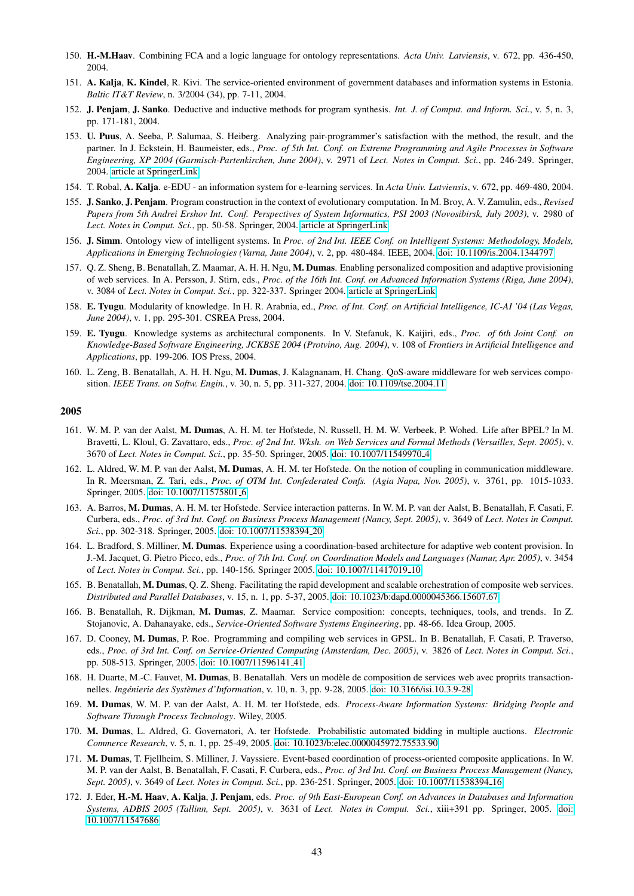- 150. H.-M.Haav. Combining FCA and a logic language for ontology representations. *Acta Univ. Latviensis*, v. 672, pp. 436-450, 2004.
- 151. A. Kalja, K. Kindel, R. Kivi. The service-oriented environment of government databases and information systems in Estonia. *Baltic IT&T Review*, n. 3/2004 (34), pp. 7-11, 2004.
- 152. J. Penjam, J. Sanko. Deductive and inductive methods for program synthesis. *Int. J. of Comput. and Inform. Sci.*, v. 5, n. 3, pp. 171-181, 2004.
- 153. U. Puus, A. Seeba, P. Salumaa, S. Heiberg. Analyzing pair-programmer's satisfaction with the method, the result, and the partner. In J. Eckstein, H. Baumeister, eds., *Proc. of 5th Int. Conf. on Extreme Programming and Agile Processes in Software Engineering, XP 2004 (Garmisch-Partenkirchen, June 2004)*, v. 2971 of *Lect. Notes in Comput. Sci.*, pp. 246-249. Springer, 2004. [article at SpringerLink](http://www.springerlink.com/content/0ba4wbcp95c2yng4/)
- 154. T. Robal, A. Kalja. e-EDU an information system for e-learning services. In *Acta Univ. Latviensis*, v. 672, pp. 469-480, 2004.
- 155. J. Sanko, J. Penjam. Program construction in the context of evolutionary computation. In M. Broy, A. V. Zamulin, eds., *Revised Papers from 5th Andrei Ershov Int. Conf. Perspectives of System Informatics, PSI 2003 (Novosibirsk, July 2003)*, v. 2980 of *Lect. Notes in Comput. Sci.*, pp. 50-58. Springer, 2004. [article at SpringerLink](http://www.springerlink.com/content/jx8yqxt3g8bfvccb/)
- 156. J. Simm. Ontology view of intelligent systems. In *Proc. of 2nd Int. IEEE Conf. on Intelligent Systems: Methodology, Models, Applications in Emerging Technologies (Varna, June 2004)*, v. 2, pp. 480-484. IEEE, 2004. [doi: 10.1109/is.2004.1344797](http://dx.doi.org/10.1109/is.2004.1344797)
- 157. Q. Z. Sheng, B. Benatallah, Z. Maamar, A. H. H. Ngu, M. Dumas. Enabling personalized composition and adaptive provisioning of web services. In A. Persson, J. Stirn, eds., *Proc. of the 16th Int. Conf. on Advanced Information Systems (Riga, June 2004)*, v. 3084 of *Lect. Notes in Comput. Sci.*, pp. 322-337. Springer 2004. [article at SpringerLink](http://www.springerlink.com/content/qb5c6q7gdex1fdqc)
- 158. E. Tyugu. Modularity of knowledge. In H. R. Arabnia, ed., *Proc. of Int. Conf. on Artificial Intelligence, IC-AI '04 (Las Vegas, June 2004)*, v. 1, pp. 295-301. CSREA Press, 2004.
- 159. E. Tyugu. Knowledge systems as architectural components. In V. Stefanuk, K. Kaijiri, eds., *Proc. of 6th Joint Conf. on Knowledge-Based Software Engineering, JCKBSE 2004 (Protvino, Aug. 2004)*, v. 108 of *Frontiers in Artificial Intelligence and Applications*, pp. 199-206. IOS Press, 2004.
- 160. L. Zeng, B. Benatallah, A. H. H. Ngu, M. Dumas, J. Kalagnanam, H. Chang. QoS-aware middleware for web services composition. *IEEE Trans. on Softw. Engin.*, v. 30, n. 5, pp. 311-327, 2004. [doi: 10.1109/tse.2004.11](http://dx.doi.org/10.1109/tse.2004.11)

- 161. W. M. P. van der Aalst, M. Dumas, A. H. M. ter Hofstede, N. Russell, H. M. W. Verbeek, P. Wohed. Life after BPEL? In M. Bravetti, L. Kloul, G. Zavattaro, eds., *Proc. of 2nd Int. Wksh. on Web Services and Formal Methods (Versailles, Sept. 2005)*, v. 3670 of *Lect. Notes in Comput. Sci.*, pp. 35-50. Springer, 2005. [doi: 10.1007/11549970](http://dx.doi.org/10.1007/11549970_4) 4
- 162. L. Aldred, W. M. P. van der Aalst, M. Dumas, A. H. M. ter Hofstede. On the notion of coupling in communication middleware. In R. Meersman, Z. Tari, eds., *Proc. of OTM Int. Confederated Confs. (Agia Napa, Nov. 2005)*, v. 3761, pp. 1015-1033. Springer, 2005. [doi: 10.1007/11575801](http://dx.doi.org/10.1007/11575801_6) 6
- 163. A. Barros, M. Dumas, A. H. M. ter Hofstede. Service interaction patterns. In W. M. P. van der Aalst, B. Benatallah, F. Casati, F. Curbera, eds., *Proc. of 3rd Int. Conf. on Business Process Management (Nancy, Sept. 2005)*, v. 3649 of *Lect. Notes in Comput. Sci.*, pp. 302-318. Springer, 2005. [doi: 10.1007/11538394](http://dx.doi.org/10.1007/11538394_20) 20
- 164. L. Bradford, S. Milliner, M. Dumas. Experience using a coordination-based architecture for adaptive web content provision. In J.-M. Jacquet, G. Pietro Picco, eds., *Proc. of 7th Int. Conf. on Coordination Models and Languages (Namur, Apr. 2005)*, v. 3454 of *Lect. Notes in Comput. Sci.*, pp. 140-156. Springer 2005. [doi: 10.1007/11417019](http://dx.doi.org/10.1007/11417019_10) 10
- 165. B. Benatallah, M. Dumas, Q. Z. Sheng. Facilitating the rapid development and scalable orchestration of composite web services. *Distributed and Parallel Databases*, v. 15, n. 1, pp. 5-37, 2005. [doi: 10.1023/b:dapd.0000045366.15607.67](http://dx.doi.org/10.1023/b:dapd.0000045366.15607.67)
- 166. B. Benatallah, R. Dijkman, M. Dumas, Z. Maamar. Service composition: concepts, techniques, tools, and trends. In Z. Stojanovic, A. Dahanayake, eds., *Service-Oriented Software Systems Engineering*, pp. 48-66. Idea Group, 2005.
- 167. D. Cooney, M. Dumas, P. Roe. Programming and compiling web services in GPSL. In B. Benatallah, F. Casati, P. Traverso, eds., *Proc. of 3rd Int. Conf. on Service-Oriented Computing (Amsterdam, Dec. 2005)*, v. 3826 of *Lect. Notes in Comput. Sci.*, pp. 508-513. Springer, 2005. [doi: 10.1007/11596141](http://dx.doi.org/10.1007/11596141_41) 41
- 168. H. Duarte, M.-C. Fauvet, M. Dumas, B. Benatallah. Vers un modèle de composition de services web avec proprits transactionnelles. *Ingénierie des Systèmes d'Information*, v. 10, n. 3, pp. 9-28, 2005. [doi: 10.3166/isi.10.3.9-28](http://dx.doi.org/10.3166/isi.10.3.9-28)
- 169. M. Dumas, W. M. P. van der Aalst, A. H. M. ter Hofstede, eds. *Process-Aware Information Systems: Bridging People and Software Through Process Technology*. Wiley, 2005.
- 170. M. Dumas, L. Aldred, G. Governatori, A. ter Hofstede. Probabilistic automated bidding in multiple auctions. *Electronic Commerce Research*, v. 5, n. 1, pp. 25-49, 2005. [doi: 10.1023/b:elec.0000045972.75533.90](http://dx.doi.org/10.1023/b:elec.0000045972.75533.90)
- 171. M. Dumas, T. Fjellheim, S. Milliner, J. Vayssiere. Event-based coordination of process-oriented composite applications. In W. M. P. van der Aalst, B. Benatallah, F. Casati, F. Curbera, eds., *Proc. of 3rd Int. Conf. on Business Process Management (Nancy, Sept. 2005)*, v. 3649 of *Lect. Notes in Comput. Sci.*, pp. 236-251. Springer, 2005. [doi: 10.1007/11538394](http://dx.doi.org/10.1007/11538394_16) 16
- 172. J. Eder, H.-M. Haav, A. Kalja, J. Penjam, eds. *Proc. of 9th East-European Conf. on Advances in Databases and Information Systems, ADBIS 2005 (Tallinn, Sept. 2005)*, v. 3631 of *Lect. Notes in Comput. Sci.*, xiii+391 pp. Springer, 2005. [doi:](http://dx.doi.org/10.1007/11547686) [10.1007/11547686](http://dx.doi.org/10.1007/11547686)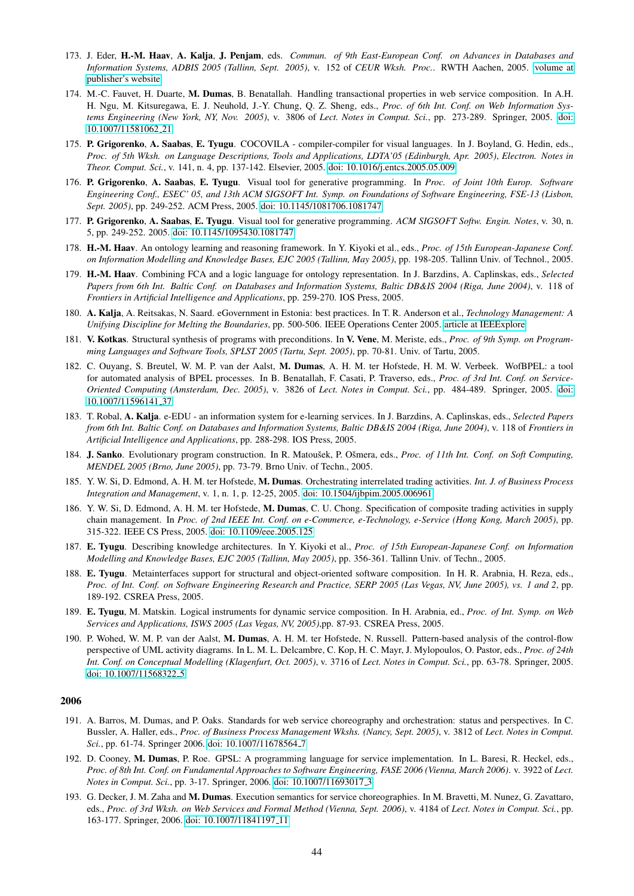- 173. J. Eder, H.-M. Haav, A. Kalja, J. Penjam, eds. *Commun. of 9th East-European Conf. on Advances in Databases and Information Systems, ADBIS 2005 (Tallinn, Sept. 2005)*, v. 152 of *CEUR Wksh. Proc.*. RWTH Aachen, 2005. [volume at](http://CEUR-WS.org/Vol-152/) [publisher's website](http://CEUR-WS.org/Vol-152/)
- 174. M.-C. Fauvet, H. Duarte, M. Dumas, B. Benatallah. Handling transactional properties in web service composition. In A.H. H. Ngu, M. Kitsuregawa, E. J. Neuhold, J.-Y. Chung, Q. Z. Sheng, eds., *Proc. of 6th Int. Conf. on Web Information Systems Engineering (New York, NY, Nov. 2005)*, v. 3806 of *Lect. Notes in Comput. Sci.*, pp. 273-289. Springer, 2005. [doi:](http://dx.doi.org/10.1007/11581062_21) [10.1007/11581062](http://dx.doi.org/10.1007/11581062_21) 21
- 175. P. Grigorenko, A. Saabas, E. Tyugu. COCOVILA compiler-compiler for visual languages. In J. Boyland, G. Hedin, eds., *Proc. of 5th Wksh. on Language Descriptions, Tools and Applications, LDTA'05 (Edinburgh, Apr. 2005)*, *Electron. Notes in Theor. Comput. Sci.*, v. 141, n. 4, pp. 137-142. Elsevier, 2005. [doi: 10.1016/j.entcs.2005.05.009](http://dx.doi.org/10.1016/j.entcs.2005.05.009)
- 176. P. Grigorenko, A. Saabas, E. Tyugu. Visual tool for generative programming. In *Proc. of Joint 10th Europ. Software Engineering Conf., ESEC' 05, and 13th ACM SIGSOFT Int. Symp. on Foundations of Software Engineering, FSE-13 (Lisbon, Sept. 2005)*, pp. 249-252. ACM Press, 2005. [doi: 10.1145/1081706.1081747](http://dx.doi.org/10.1145/1081706.1081747)
- 177. P. Grigorenko, A. Saabas, E. Tyugu. Visual tool for generative programming. *ACM SIGSOFT Softw. Engin. Notes*, v. 30, n. 5, pp. 249-252. 2005. [doi: 10.1145/1095430.1081747](http://dx.doi.org/10.1145/1095430.1081747)
- 178. H.-M. Haav. An ontology learning and reasoning framework. In Y. Kiyoki et al., eds., *Proc. of 15th European-Japanese Conf. on Information Modelling and Knowledge Bases, EJC 2005 (Tallinn, May 2005)*, pp. 198-205. Tallinn Univ. of Technol., 2005.
- 179. H.-M. Haav. Combining FCA and a logic language for ontology representation. In J. Barzdins, A. Caplinskas, eds., *Selected Papers from 6th Int. Baltic Conf. on Databases and Information Systems, Baltic DB&IS 2004 (Riga, June 2004)*, v. 118 of *Frontiers in Artificial Intelligence and Applications*, pp. 259-270. IOS Press, 2005.
- 180. A. Kalja, A. Reitsakas, N. Saard. eGovernment in Estonia: best practices. In T. R. Anderson et al., *Technology Management: A Unifying Discipline for Melting the Boundaries*, pp. 500-506. IEEE Operations Center 2005. [article at IEEExplore](http://ieeexplore.ieee.org/search/wrapper.jsp?arnumber=1509730)
- 181. V. Kotkas. Structural synthesis of programs with preconditions. In V. Vene, M. Meriste, eds., *Proc. of 9th Symp. on Programming Languages and Software Tools, SPLST 2005 (Tartu, Sept. 2005)*, pp. 70-81. Univ. of Tartu, 2005.
- 182. C. Ouyang, S. Breutel, W. M. P. van der Aalst, M. Dumas, A. H. M. ter Hofstede, H. M. W. Verbeek. WofBPEL: a tool for automated analysis of BPEL processes. In B. Benatallah, F. Casati, P. Traverso, eds., *Proc. of 3rd Int. Conf. on Service-Oriented Computing (Amsterdam, Dec. 2005)*, v. 3826 of *Lect. Notes in Comput. Sci.*, pp. 484-489. Springer, 2005. [doi:](http://dx.doi.org/10.1007/11596141_37) [10.1007/11596141](http://dx.doi.org/10.1007/11596141_37) 37
- 183. T. Robal, A. Kalja. e-EDU an information system for e-learning services. In J. Barzdins, A. Caplinskas, eds., *Selected Papers from 6th Int. Baltic Conf. on Databases and Information Systems, Baltic DB&IS 2004 (Riga, June 2004)*, v. 118 of *Frontiers in Artificial Intelligence and Applications*, pp. 288-298. IOS Press, 2005.
- 184. J. Sanko. Evolutionary program construction. In R. Matoušek, P. Ošmera, eds., Proc. of 11th Int. Conf. on Soft Computing, *MENDEL 2005 (Brno, June 2005)*, pp. 73-79. Brno Univ. of Techn., 2005.
- 185. Y. W. Si, D. Edmond, A. H. M. ter Hofstede, M. Dumas. Orchestrating interrelated trading activities. *Int. J. of Business Process Integration and Management*, v. 1, n. 1, p. 12-25, 2005. [doi: 10.1504/ijbpim.2005.006961](http://dx.doi.org/10.1504/ijbpim.2005.006961)
- 186. Y. W. Si, D. Edmond, A. H. M. ter Hofstede, M. Dumas, C. U. Chong. Specification of composite trading activities in supply chain management. In *Proc. of 2nd IEEE Int. Conf. on e-Commerce, e-Technology, e-Service (Hong Kong, March 2005)*, pp. 315-322. IEEE CS Press, 2005. [doi: 10.1109/eee.2005.125](http://dx.doi.org/10.1109/eee.2005.125)
- 187. E. Tyugu. Describing knowledge architectures. In Y. Kiyoki et al., *Proc. of 15th European-Japanese Conf. on Information Modelling and Knowledge Bases, EJC 2005 (Tallinn, May 2005)*, pp. 356-361. Tallinn Univ. of Techn., 2005.
- 188. E. Tyugu. Metainterfaces support for structural and object-oriented software composition. In H. R. Arabnia, H. Reza, eds., *Proc. of Int. Conf. on Software Engineering Research and Practice, SERP 2005 (Las Vegas, NV, June 2005), vs. 1 and 2*, pp. 189-192. CSREA Press, 2005.
- 189. E. Tyugu, M. Matskin. Logical instruments for dynamic service composition. In H. Arabnia, ed., *Proc. of Int. Symp. on Web Services and Applications, ISWS 2005 (Las Vegas, NV, 2005)*,pp. 87-93. CSREA Press, 2005.
- 190. P. Wohed, W. M. P. van der Aalst, M. Dumas, A. H. M. ter Hofstede, N. Russell. Pattern-based analysis of the control-flow perspective of UML activity diagrams. In L. M. L. Delcambre, C. Kop, H. C. Mayr, J. Mylopoulos, O. Pastor, eds., *Proc. of 24th Int. Conf. on Conceptual Modelling (Klagenfurt, Oct. 2005)*, v. 3716 of *Lect. Notes in Comput. Sci.*, pp. 63-78. Springer, 2005. [doi: 10.1007/11568322](http://dx.doi.org/10.1007/11568322_5)\_5

- 191. A. Barros, M. Dumas, and P. Oaks. Standards for web service choreography and orchestration: status and perspectives. In C. Bussler, A. Haller, eds., *Proc. of Business Process Management Wkshs. (Nancy, Sept. 2005)*, v. 3812 of *Lect. Notes in Comput. Sci.*, pp. 61-74. Springer 2006. [doi: 10.1007/11678564](http://dx.doi.org/10.1007/11678564_7)<sub>-7</sub>
- 192. D. Cooney, M. Dumas, P. Roe. GPSL: A programming language for service implementation. In L. Baresi, R. Heckel, eds., *Proc. of 8th Int. Conf. on Fundamental Approaches to Software Engineering, FASE 2006 (Vienna, March 2006)*. v. 3922 of *Lect. Notes in Comput. Sci.*, pp. 3-17. Springer, 2006. [doi: 10.1007/11693017](http://dx.doi.org/10.1007/11693017_3) 3
- 193. G. Decker, J. M. Zaha and M. Dumas. Execution semantics for service choreographies. In M. Bravetti, M. Nunez, G. Zavattaro, eds., *Proc. of 3rd Wksh. on Web Services and Formal Method (Vienna, Sept. 2006)*, v. 4184 of *Lect. Notes in Comput. Sci.*, pp. 163-177. Springer, 2006. [doi: 10.1007/11841197](http://dx.doi.org/10.1007/11841197_11) 11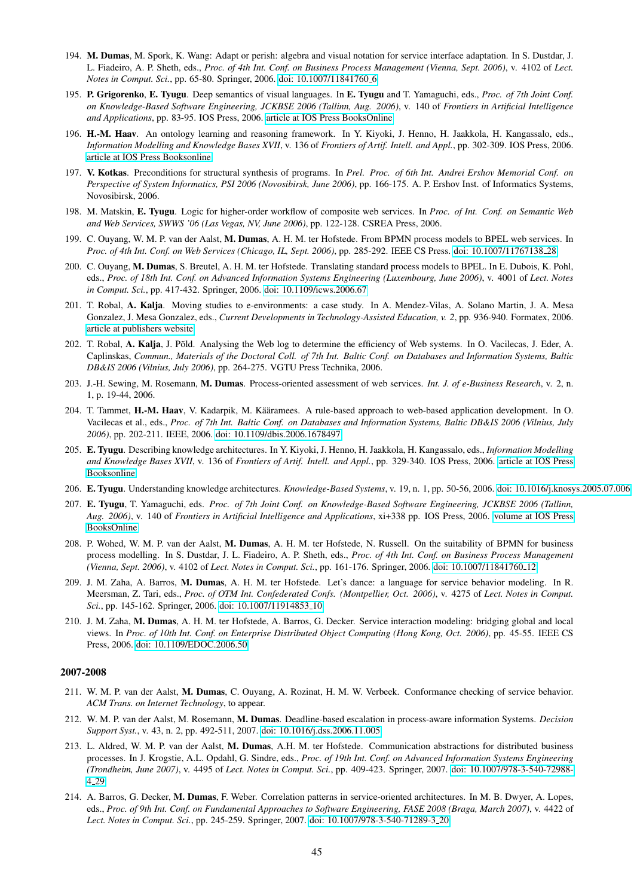- 194. M. Dumas, M. Spork, K. Wang: Adapt or perish: algebra and visual notation for service interface adaptation. In S. Dustdar, J. L. Fiadeiro, A. P. Sheth, eds., *Proc. of 4th Int. Conf. on Business Process Management (Vienna, Sept. 2006)*, v. 4102 of *Lect. Notes in Comput. Sci., pp. 65-80. Springer, 2006. [doi: 10.1007/11841760](http://dx.doi.org/10.1007/11841760_6)\_6*
- 195. P. Grigorenko, E. Tyugu. Deep semantics of visual languages. In E. Tyugu and T. Yamaguchi, eds., *Proc. of 7th Joint Conf. on Knowledge-Based Software Engineering, JCKBSE 2006 (Tallinn, Aug. 2006)*, v. 140 of *Frontiers in Artificial Intelligence and Applications*, pp. 83-95. IOS Press, 2006. [article at IOS Press BooksOnline](http://booksonline.iospress.com/Content/View.aspx?piid=1595)
- 196. H.-M. Haav. An ontology learning and reasoning framework. In Y. Kiyoki, J. Henno, H. Jaakkola, H. Kangassalo, eds., *Information Modelling and Knowledge Bases XVII*, v. 136 of *Frontiers of Artif. Intell. and Appl.*, pp. 302-309. IOS Press, 2006. [article at IOS Press Booksonline](http://booksonline.iospress.com/Content/View.aspx?piid=788)
- 197. V. Kotkas. Preconditions for structural synthesis of programs. In *Prel. Proc. of 6th Int. Andrei Ershov Memorial Conf. on Perspective of System Informatics, PSI 2006 (Novosibirsk, June 2006)*, pp. 166-175. A. P. Ershov Inst. of Informatics Systems, Novosibirsk, 2006.
- 198. M. Matskin, E. Tyugu. Logic for higher-order workflow of composite web services. In *Proc. of Int. Conf. on Semantic Web and Web Services, SWWS '06 (Las Vegas, NV, June 2006)*, pp. 122-128. CSREA Press, 2006.
- 199. C. Ouyang, W. M. P. van der Aalst, M. Dumas, A. H. M. ter Hofstede. From BPMN process models to BPEL web services. In *Proc. of 4th Int. Conf. on Web Services (Chicago, IL, Sept. 2006)*, pp. 285-292. IEEE CS Press. [doi: 10.1007/11767138](http://dx.doi.org/10.1007/11767138_28) 28
- 200. C. Ouyang, M. Dumas, S. Breutel, A. H. M. ter Hofstede. Translating standard process models to BPEL. In E. Dubois, K. Pohl, eds., *Proc. of 18th Int. Conf. on Advanced Information Systems Engineering (Luxembourg, June 2006)*, v. 4001 of *Lect. Notes in Comput. Sci.*, pp. 417-432. Springer, 2006. [doi: 10.1109/icws.2006.67](http://dx.doi.org/10.1109/icws.2006.67)
- 201. T. Robal, A. Kalja. Moving studies to e-environments: a case study. In A. Mendez-Vilas, A. Solano Martin, J. A. Mesa Gonzalez, J. Mesa Gonzalez, eds., *Current Developments in Technology-Assisted Education, v. 2*, pp. 936-940. Formatex, 2006. [article at publishers website](http://www.formatex.org/micte2006/pdf/936-940.pdf)
- 202. T. Robal, A. Kalja, J. Põld. Analysing the Web log to determine the efficiency of Web systems. In O. Vacilecas, J. Eder, A. Caplinskas, *Commun., Materials of the Doctoral Coll. of 7th Int. Baltic Conf. on Databases and Information Systems, Baltic DB&IS 2006 (Vilnius, July 2006)*, pp. 264-275. VGTU Press Technika, 2006.
- 203. J.-H. Sewing, M. Rosemann, M. Dumas. Process-oriented assessment of web services. *Int. J. of e-Business Research*, v. 2, n. 1, p. 19-44, 2006.
- 204. T. Tammet, H.-M. Haav, V. Kadarpik, M. Kääramees. A rule-based approach to web-based application development. In O. Vacilecas et al., eds., *Proc. of 7th Int. Baltic Conf. on Databases and Information Systems, Baltic DB&IS 2006 (Vilnius, July 2006)*, pp. 202-211. IEEE, 2006. [doi: 10.1109/dbis.2006.1678497](http://dx.doi.org/10.1109/dbis.2006.1678497)
- 205. E. Tyugu. Describing knowledge architectures. In Y. Kiyoki, J. Henno, H. Jaakkola, H. Kangassalo, eds., *Information Modelling and Knowledge Bases XVII*, v. 136 of *Frontiers of Artif. Intell. and Appl.*, pp. 329-340. IOS Press, 2006. [article at IOS Press](http://booksonline.iospress.com/Content/View.aspx?piid=791) [Booksonline](http://booksonline.iospress.com/Content/View.aspx?piid=791)
- 206. E. Tyugu. Understanding knowledge architectures. *Knowledge-Based Systems*, v. 19, n. 1, pp. 50-56, 2006. [doi: 10.1016/j.knosys.2005.07.006](http://dx.doi.org/10.1016/j.knosys.2005.07.006)
- 207. E. Tyugu, T. Yamaguchi, eds. *Proc. of 7th Joint Conf. on Knowledge-Based Software Engineering, JCKBSE 2006 (Tallinn, Aug. 2006)*, v. 140 of *Frontiers in Artificial Intelligence and Applications*, xi+338 pp. IOS Press, 2006. [volume at IOS Press](http://booksonline.iospress.com/Content/View.aspx?piid=69) [BooksOnline](http://booksonline.iospress.com/Content/View.aspx?piid=69)
- 208. P. Wohed, W. M. P. van der Aalst, M. Dumas, A. H. M. ter Hofstede, N. Russell. On the suitability of BPMN for business process modelling. In S. Dustdar, J. L. Fiadeiro, A. P. Sheth, eds., *Proc. of 4th Int. Conf. on Business Process Management (Vienna, Sept. 2006)*, v. 4102 of *Lect. Notes in Comput. Sci.*, pp. 161-176. Springer, 2006. [doi: 10.1007/11841760](http://dx.doi.org/10.1007/11841760_12) 12
- 209. J. M. Zaha, A. Barros, M. Dumas, A. H. M. ter Hofstede. Let's dance: a language for service behavior modeling. In R. Meersman, Z. Tari, eds., *Proc. of OTM Int. Confederated Confs. (Montpellier, Oct. 2006)*, v. 4275 of *Lect. Notes in Comput. Sci.*, pp. 145-162. Springer, 2006. [doi: 10.1007/11914853](http://dx.doi.org/10.1007/11914853_10) 10
- 210. J. M. Zaha, M. Dumas, A. H. M. ter Hofstede, A. Barros, G. Decker. Service interaction modeling: bridging global and local views. In *Proc. of 10th Int. Conf. on Enterprise Distributed Object Computing (Hong Kong, Oct. 2006)*, pp. 45-55. IEEE CS Press, 2006. [doi: 10.1109/EDOC.2006.50](http://dx.doi.org/10.1109/EDOC.2006.50)

- 211. W. M. P. van der Aalst, M. Dumas, C. Ouyang, A. Rozinat, H. M. W. Verbeek. Conformance checking of service behavior. *ACM Trans. on Internet Technology*, to appear.
- 212. W. M. P. van der Aalst, M. Rosemann, M. Dumas. Deadline-based escalation in process-aware information Systems. *Decision Support Syst.*, v. 43, n. 2, pp. 492-511, 2007. [doi: 10.1016/j.dss.2006.11.005](http://dx.doi.org/10.1016/j.dss.2006.11.005)
- 213. L. Aldred, W. M. P. van der Aalst, M. Dumas, A.H. M. ter Hofstede. Communication abstractions for distributed business processes. In J. Krogstie, A.L. Opdahl, G. Sindre, eds., *Proc. of 19th Int. Conf. on Advanced Information Systems Engineering (Trondheim, June 2007)*, v. 4495 of *Lect. Notes in Comput. Sci.*, pp. 409-423. Springer, 2007. [doi: 10.1007/978-3-540-72988-](http://dx.doi.org/10.1007/978-3-540-72988-4_29) 4 [29](http://dx.doi.org/10.1007/978-3-540-72988-4_29)
- 214. A. Barros, G. Decker, M. Dumas, F. Weber. Correlation patterns in service-oriented architectures. In M. B. Dwyer, A. Lopes, eds., *Proc. of 9th Int. Conf. on Fundamental Approaches to Software Engineering, FASE 2008 (Braga, March 2007)*, v. 4422 of *Lect. Notes in Comput. Sci.*, pp. 245-259. Springer, 2007. [doi: 10.1007/978-3-540-71289-3](http://dx.doi.org/10.1007/978-3-540-71289-3_20) 20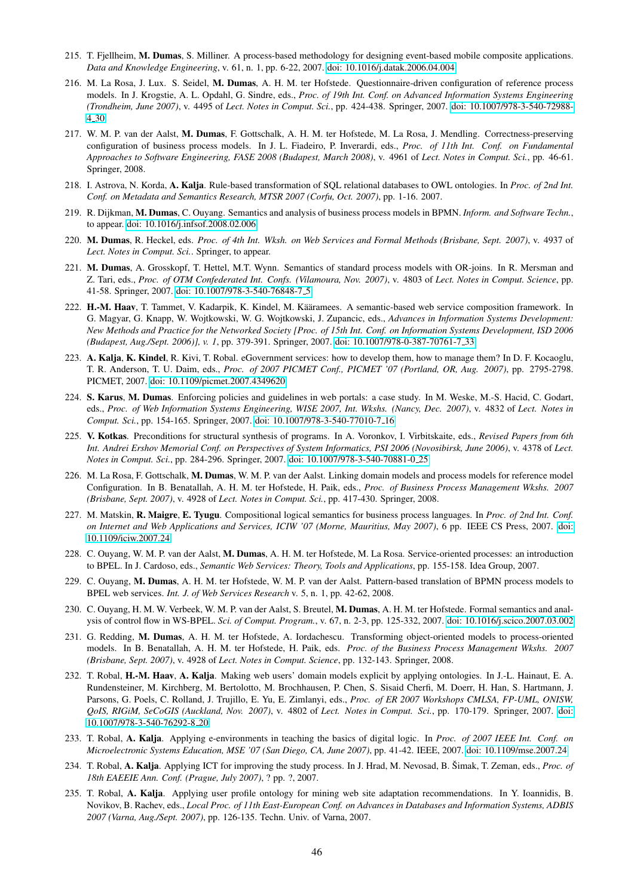- 215. T. Fjellheim, M. Dumas, S. Milliner. A process-based methodology for designing event-based mobile composite applications. *Data and Knowledge Engineering*, v. 61, n. 1, pp. 6-22, 2007. [doi: 10.1016/j.datak.2006.04.004](http://dx.doi.org/10.1016/j.datak.2006.04.004)
- 216. M. La Rosa, J. Lux. S. Seidel, M. Dumas, A. H. M. ter Hofstede. Questionnaire-driven configuration of reference process models. In J. Krogstie, A. L. Opdahl, G. Sindre, eds., *Proc. of 19th Int. Conf. on Advanced Information Systems Engineering (Trondheim, June 2007)*, v. 4495 of *Lect. Notes in Comput. Sci.*, pp. 424-438. Springer, 2007. [doi: 10.1007/978-3-540-72988-](http://dx.doi.org/10.1007/978-3-540-72988-4_30) 4 [30](http://dx.doi.org/10.1007/978-3-540-72988-4_30)
- 217. W. M. P. van der Aalst, M. Dumas, F. Gottschalk, A. H. M. ter Hofstede, M. La Rosa, J. Mendling. Correctness-preserving configuration of business process models. In J. L. Fiadeiro, P. Inverardi, eds., *Proc. of 11th Int. Conf. on Fundamental Approaches to Software Engineering, FASE 2008 (Budapest, March 2008)*, v. 4961 of *Lect. Notes in Comput. Sci.*, pp. 46-61. Springer, 2008.
- 218. I. Astrova, N. Korda, A. Kalja. Rule-based transformation of SQL relational databases to OWL ontologies. In *Proc. of 2nd Int. Conf. on Metadata and Semantics Research, MTSR 2007 (Corfu, Oct. 2007)*, pp. 1-16. 2007.
- 219. R. Dijkman, M. Dumas, C. Ouyang. Semantics and analysis of business process models in BPMN. *Inform. and Software Techn.*, to appear. [doi: 10.1016/j.infsof.2008.02.006](http://dx.doi.org/10.1016/j.infsof.2008.02.006)
- 220. M. Dumas, R. Heckel, eds. *Proc. of 4th Int. Wksh. on Web Services and Formal Methods (Brisbane, Sept. 2007)*, v. 4937 of *Lect. Notes in Comput. Sci.*. Springer, to appear.
- 221. M. Dumas, A. Grosskopf, T. Hettel, M.T. Wynn. Semantics of standard process models with OR-joins. In R. Mersman and Z. Tari, eds., *Proc. of OTM Confederated Int. Confs. (Vilamoura, Nov. 2007)*, v. 4803 of *Lect. Notes in Comput. Science*, pp. 41-58. Springer, 2007. [doi: 10.1007/978-3-540-76848-7](http://dx.doi.org/10.1007/978-3-540-76848-7_5) 5
- 222. H.-M. Haav, T. Tammet, V. Kadarpik, K. Kindel, M. Kääramees. A semantic-based web service composition framework. In G. Magyar, G. Knapp, W. Wojtkowski, W. G. Wojtkowski, J. Zupancic, eds., *Advances in Information Systems Development: New Methods and Practice for the Networked Society [Proc. of 15th Int. Conf. on Information Systems Development, ISD 2006 (Budapest, Aug./Sept. 2006)], v. 1*, pp. 379-391. Springer, 2007. [doi: 10.1007/978-0-387-70761-7](http://dx.doi.org/10.1007/978-0-387-70761-7_33) 33
- 223. A. Kalja, K. Kindel, R. Kivi, T. Robal. eGovernment services: how to develop them, how to manage them? In D. F. Kocaoglu, T. R. Anderson, T. U. Daim, eds., *Proc. of 2007 PICMET Conf., PICMET '07 (Portland, OR, Aug. 2007)*, pp. 2795-2798. PICMET, 2007. [doi: 10.1109/picmet.2007.4349620](http://dx.doi.org/10.1109/picmet.2007.4349620)
- 224. S. Karus, M. Dumas. Enforcing policies and guidelines in web portals: a case study. In M. Weske, M.-S. Hacid, C. Godart, eds., *Proc. of Web Information Systems Engineering, WISE 2007, Int. Wkshs. (Nancy, Dec. 2007)*, v. 4832 of *Lect. Notes in Comput. Sci.*, pp. 154-165. Springer, 2007. [doi: 10.1007/978-3-540-77010-7](http://dx.doi.org/10.1007/978-3-540-77010-7_16) 16
- 225. V. Kotkas. Preconditions for structural synthesis of programs. In A. Voronkov, I. Virbitskaite, eds., *Revised Papers from 6th Int. Andrei Ershov Memorial Conf. on Perspectives of System Informatics, PSI 2006 (Novosibirsk, June 2006)*, v. 4378 of *Lect. Notes in Comput. Sci.*, pp. 284-296. Springer, 2007. [doi: 10.1007/978-3-540-70881-0](http://dx.doi.org/10.1007/978-3-540-70881-0_25) 25
- 226. M. La Rosa, F. Gottschalk, M. Dumas, W. M. P. van der Aalst. Linking domain models and process models for reference model Configuration. In B. Benatallah, A. H. M. ter Hofstede, H. Paik, eds., *Proc. of Business Process Management Wkshs. 2007 (Brisbane, Sept. 2007)*, v. 4928 of *Lect. Notes in Comput. Sci.*, pp. 417-430. Springer, 2008.
- 227. M. Matskin, R. Maigre, E. Tyugu. Compositional logical semantics for business process languages. In *Proc. of 2nd Int. Conf. on Internet and Web Applications and Services, ICIW '07 (Morne, Mauritius, May 2007)*, 6 pp. IEEE CS Press, 2007. [doi:](http://dx.doi.org/10.1109/iciw.2007.24) [10.1109/iciw.2007.24](http://dx.doi.org/10.1109/iciw.2007.24)
- 228. C. Ouyang, W. M. P. van der Aalst, M. Dumas, A. H. M. ter Hofstede, M. La Rosa. Service-oriented processes: an introduction to BPEL. In J. Cardoso, eds., *Semantic Web Services: Theory, Tools and Applications*, pp. 155-158. Idea Group, 2007.
- 229. C. Ouyang, M. Dumas, A. H. M. ter Hofstede, W. M. P. van der Aalst. Pattern-based translation of BPMN process models to BPEL web services. *Int. J. of Web Services Research* v. 5, n. 1, pp. 42-62, 2008.
- 230. C. Ouyang, H. M. W. Verbeek, W. M. P. van der Aalst, S. Breutel, M. Dumas, A. H. M. ter Hofstede. Formal semantics and analysis of control flow in WS-BPEL. *Sci. of Comput. Program.*, v. 67, n. 2-3, pp. 125-332, 2007. [doi: 10.1016/j.scico.2007.03.002](http://dx.doi.org/10.1016/j.scico.2007.03.002)
- 231. G. Redding, M. Dumas, A. H. M. ter Hofstede, A. Iordachescu. Transforming object-oriented models to process-oriented models. In B. Benatallah, A. H. M. ter Hofstede, H. Paik, eds. *Proc. of the Business Process Management Wkshs. 2007 (Brisbane, Sept. 2007)*, v. 4928 of *Lect. Notes in Comput. Science*, pp. 132-143. Springer, 2008.
- 232. T. Robal, H.-M. Haav, A. Kalja. Making web users' domain models explicit by applying ontologies. In J.-L. Hainaut, E. A. Rundensteiner, M. Kirchberg, M. Bertolotto, M. Brochhausen, P. Chen, S. Sisaid Cherfi, M. Doerr, H. Han, S. Hartmann, J. Parsons, G. Poels, C. Rolland, J. Trujillo, E. Yu, E. Zimlanyi, eds., *Proc. of ER 2007 Workshops CMLSA, FP-UML, ONISW, QoIS, RIGiM, SeCoGIS (Auckland, Nov. 2007)*, v. 4802 of *Lect. Notes in Comput. Sci.*, pp. 170-179. Springer, 2007. [doi:](http://dx.doi.org/10.1007/978-3-540-76292-8_20) [10.1007/978-3-540-76292-8](http://dx.doi.org/10.1007/978-3-540-76292-8_20) 20
- 233. T. Robal, A. Kalja. Applying e-environments in teaching the basics of digital logic. In *Proc. of 2007 IEEE Int. Conf. on Microelectronic Systems Education, MSE '07 (San Diego, CA, June 2007)*, pp. 41-42. IEEE, 2007. [doi: 10.1109/mse.2007.24](http://dx.doi.org/10.1109/mse.2007.24)
- 234. T. Robal, A. Kalja. Applying ICT for improving the study process. In J. Hrad, M. Nevosad, B. Šimak, T. Zeman, eds., *Proc. of 18th EAEEIE Ann. Conf. (Prague, July 2007)*, ? pp. ?, 2007.
- 235. T. Robal, A. Kalja. Applying user profile ontology for mining web site adaptation recommendations. In Y. Ioannidis, B. Novikov, B. Rachev, eds., *Local Proc. of 11th East-European Conf. on Advances in Databases and Information Systems, ADBIS 2007 (Varna, Aug./Sept. 2007)*, pp. 126-135. Techn. Univ. of Varna, 2007.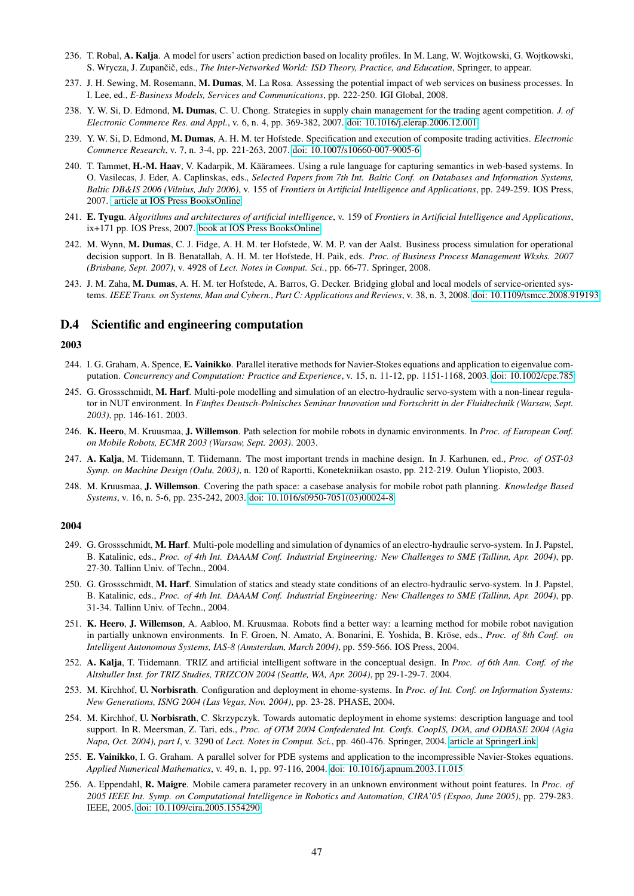- 236. T. Robal, A. Kalja. A model for users' action prediction based on locality profiles. In M. Lang, W. Wojtkowski, G. Wojtkowski, S. Wrycza, J. Zupančič, eds., *The Inter-Networked World: ISD Theory, Practice, and Education*, Springer, to appear.
- 237. J. H. Sewing, M. Rosemann, M. Dumas, M. La Rosa. Assessing the potential impact of web services on business processes. In I. Lee, ed., *E-Business Models, Services and Communications*, pp. 222-250. IGI Global, 2008.
- 238. Y. W. Si, D. Edmond, M. Dumas, C. U. Chong. Strategies in supply chain management for the trading agent competition. *J. of Electronic Commerce Res. and Appl.*, v. 6, n. 4, pp. 369-382, 2007. [doi: 10.1016/j.elerap.2006.12.001](http://dx.doi.org/10.1016/j.elerap.2006.12.001)
- 239. Y. W. Si, D. Edmond, M. Dumas, A. H. M. ter Hofstede. Specification and execution of composite trading activities. *Electronic Commerce Research*, v. 7, n. 3-4, pp. 221-263, 2007. [doi: 10.1007/s10660-007-9005-6](http://dx.doi.org/10.1007/s10660-007-9005-6)
- 240. T. Tammet, H.-M. Haav, V. Kadarpik, M. Kääramees. Using a rule language for capturing semantics in web-based systems. In O. Vasilecas, J. Eder, A. Caplinskas, eds., *Selected Papers from 7th Int. Baltic Conf. on Databases and Information Systems, Baltic DB&IS 2006 (Vilnius, July 2006)*, v. 155 of *Frontiers in Artificial Intelligence and Applications*, pp. 249-259. IOS Press, 2007. [article at IOS Press BooksOnline](http://www.booksonline.iospress.nl/Content/View.aspx?piid=5442)
- 241. E. Tyugu. *Algorithms and architectures of artificial intelligence*, v. 159 of *Frontiers in Artificial Intelligence and Applications*, ix+171 pp. IOS Press, 2007. [book at IOS Press BooksOnline](http://www.booksonline.iospress.nl/Content/View.aspx?piid=6945)
- 242. M. Wynn, M. Dumas, C. J. Fidge, A. H. M. ter Hofstede, W. M. P. van der Aalst. Business process simulation for operational decision support. In B. Benatallah, A. H. M. ter Hofstede, H. Paik, eds. *Proc. of Business Process Management Wkshs. 2007 (Brisbane, Sept. 2007)*, v. 4928 of *Lect. Notes in Comput. Sci.*, pp. 66-77. Springer, 2008.
- 243. J. M. Zaha, M. Dumas, A. H. M. ter Hofstede, A. Barros, G. Decker. Bridging global and local models of service-oriented systems. *IEEE Trans. on Systems, Man and Cybern., Part C: Applications and Reviews*, v. 38, n. 3, 2008. [doi: 10.1109/tsmcc.2008.919193](http://dx.doi.org/10.1109/tsmcc.2008.919193)

# D.4 Scientific and engineering computation

# 2003

- 244. I. G. Graham, A. Spence, E. Vainikko. Parallel iterative methods for Navier-Stokes equations and application to eigenvalue computation. *Concurrency and Computation: Practice and Experience*, v. 15, n. 11-12, pp. 1151-1168, 2003. [doi: 10.1002/cpe.785](http://dx.doi.org/10.1002/cpe.785)
- 245. G. Grossschmidt, M. Harf. Multi-pole modelling and simulation of an electro-hydraulic servo-system with a non-linear regulator in NUT environment. In *Funftes Deutsch-Polnisches Seminar Innovation und Fortschritt in der Fluidtechnik (Warsaw, Sept. ¨ 2003)*, pp. 146-161. 2003.
- 246. K. Heero, M. Kruusmaa, J. Willemson. Path selection for mobile robots in dynamic environments. In *Proc. of European Conf. on Mobile Robots, ECMR 2003 (Warsaw, Sept. 2003)*. 2003.
- 247. A. Kalja, M. Tiidemann, T. Tiidemann. The most important trends in machine design. In J. Karhunen, ed., *Proc. of OST-03 Symp. on Machine Design (Oulu, 2003)*, n. 120 of Raportti, Konetekniikan osasto, pp. 212-219. Oulun Yliopisto, 2003.
- 248. M. Kruusmaa, J. Willemson. Covering the path space: a casebase analysis for mobile robot path planning. *Knowledge Based Systems*, v. 16, n. 5-6, pp. 235-242, 2003. [doi: 10.1016/s0950-7051\(03\)00024-8](http://dx.doi.org/10.1016/s0950-7051(03)00024-8)

- 249. G. Grossschmidt, M. Harf. Multi-pole modelling and simulation of dynamics of an electro-hydraulic servo-system. In J. Papstel, B. Katalinic, eds., *Proc. of 4th Int. DAAAM Conf. Industrial Engineering: New Challenges to SME (Tallinn, Apr. 2004)*, pp. 27-30. Tallinn Univ. of Techn., 2004.
- 250. G. Grossschmidt, M. Harf. Simulation of statics and steady state conditions of an electro-hydraulic servo-system. In J. Papstel, B. Katalinic, eds., *Proc. of 4th Int. DAAAM Conf. Industrial Engineering: New Challenges to SME (Tallinn, Apr. 2004)*, pp. 31-34. Tallinn Univ. of Techn., 2004.
- 251. K. Heero, J. Willemson, A. Aabloo, M. Kruusmaa. Robots find a better way: a learning method for mobile robot navigation in partially unknown environments. In F. Groen, N. Amato, A. Bonarini, E. Yoshida, B. Kröse, eds., *Proc. of 8th Conf. on Intelligent Autonomous Systems, IAS-8 (Amsterdam, March 2004)*, pp. 559-566. IOS Press, 2004.
- 252. A. Kalja, T. Tiidemann. TRIZ and artificial intelligent software in the conceptual design. In *Proc. of 6th Ann. Conf. of the Altshuller Inst. for TRIZ Studies, TRIZCON 2004 (Seattle, WA, Apr. 2004)*, pp 29-1-29-7. 2004.
- 253. M. Kirchhof, U. Norbisrath. Configuration and deployment in ehome-systems. In *Proc. of Int. Conf. on Information Systems: New Generations, ISNG 2004 (Las Vegas, Nov. 2004)*, pp. 23-28. PHASE, 2004.
- 254. M. Kirchhof, U. Norbisrath, C. Skrzypczyk. Towards automatic deployment in ehome systems: description language and tool support. In R. Meersman, Z. Tari, eds., *Proc. of OTM 2004 Confederated Int. Confs. CoopIS, DOA, and ODBASE 2004 (Agia Napa, Oct. 2004), part I*, v. 3290 of *Lect. Notes in Comput. Sci.*, pp. 460-476. Springer, 2004. [article at SpringerLink](http://www.springerlink.com/content/14r12bymamqy22ty)
- 255. E. Vainikko, I. G. Graham. A parallel solver for PDE systems and application to the incompressible Navier-Stokes equations. *Applied Numerical Mathematics*, v. 49, n. 1, pp. 97-116, 2004. [doi: 10.1016/j.apnum.2003.11.015](http://dx.doi.org/10.1016/j.apnum.2003.11.015)
- 256. A. Eppendahl, R. Maigre. Mobile camera parameter recovery in an unknown environment without point features. In *Proc. of 2005 IEEE Int. Symp. on Computational Intelligence in Robotics and Automation, CIRA'05 (Espoo, June 2005)*, pp. 279-283. IEEE, 2005. [doi: 10.1109/cira.2005.1554290](http://dx.doi.org/10.1109/cira.2005.1554290)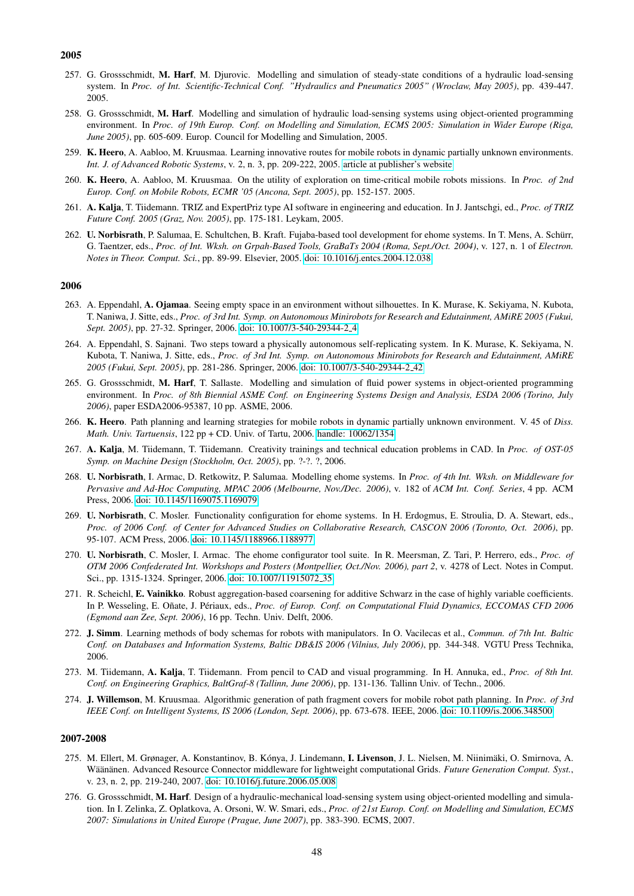- 257. G. Grossschmidt, M. Harf, M. Djurovic. Modelling and simulation of steady-state conditions of a hydraulic load-sensing system. In *Proc. of Int. Scientific-Technical Conf. "Hydraulics and Pneumatics 2005" (Wroclaw, May 2005)*, pp. 439-447. 2005.
- 258. G. Grossschmidt, M. Harf. Modelling and simulation of hydraulic load-sensing systems using object-oriented programming environment. In *Proc. of 19th Europ. Conf. on Modelling and Simulation, ECMS 2005: Simulation in Wider Europe (Riga, June 2005)*, pp. 605-609. Europ. Council for Modelling and Simulation, 2005.
- 259. K. Heero, A. Aabloo, M. Kruusmaa. Learning innovative routes for mobile robots in dynamic partially unknown environments. *Int. J. of Advanced Robotic Systems*, v. 2, n. 3, pp. 209-222, 2005. [article at publisher's website](http://www.ars-journal.com/International-Journal-of-Advanced-Robotic-Systems/Volume-2/209-222.pdf)
- 260. K. Heero, A. Aabloo, M. Kruusmaa. On the utility of exploration on time-critical mobile robots missions. In *Proc. of 2nd Europ. Conf. on Mobile Robots, ECMR '05 (Ancona, Sept. 2005)*, pp. 152-157. 2005.
- 261. A. Kalja, T. Tiidemann. TRIZ and ExpertPriz type AI software in engineering and education. In J. Jantschgi, ed., *Proc. of TRIZ Future Conf. 2005 (Graz, Nov. 2005)*, pp. 175-181. Leykam, 2005.
- 262. U. Norbisrath, P. Salumaa, E. Schultchen, B. Kraft. Fujaba-based tool development for ehome systems. In T. Mens, A. Schurr, ¨ G. Taentzer, eds., *Proc. of Int. Wksh. on Grpah-Based Tools, GraBaTs 2004 (Roma, Sept./Oct. 2004)*, v. 127, n. 1 of *Electron. Notes in Theor. Comput. Sci.*, pp. 89-99. Elsevier, 2005. [doi: 10.1016/j.entcs.2004.12.038](http://dx.doi.org/10.1016/j.entcs.2004.12.038)

#### 2006

- 263. A. Eppendahl, A. Ojamaa. Seeing empty space in an environment without silhouettes. In K. Murase, K. Sekiyama, N. Kubota, T. Naniwa, J. Sitte, eds., *Proc. of 3rd Int. Symp. on Autonomous Minirobots for Research and Edutainment, AMiRE 2005 (Fukui, Sept. 2005)*, pp. 27-32. Springer, 2006. [doi: 10.1007/3-540-29344-2](http://dx.doi.org/10.1007/3-540-29344-2_4) 4
- 264. A. Eppendahl, S. Sajnani. Two steps toward a physically autonomous self-replicating system. In K. Murase, K. Sekiyama, N. Kubota, T. Naniwa, J. Sitte, eds., *Proc. of 3rd Int. Symp. on Autonomous Minirobots for Research and Edutainment, AMiRE 2005 (Fukui, Sept. 2005)*, pp. 281-286. Springer, 2006. [doi: 10.1007/3-540-29344-2](http://dx.doi.org/10.1007/3-540-29344-2_42) 42
- 265. G. Grossschmidt, M. Harf, T. Sallaste. Modelling and simulation of fluid power systems in object-oriented programming environment. In *Proc. of 8th Biennial ASME Conf. on Engineering Systems Design and Analysis, ESDA 2006 (Torino, July 2006)*, paper ESDA2006-95387, 10 pp. ASME, 2006.
- 266. K. Heero. Path planning and learning strategies for mobile robots in dynamic partially unknown environment. V. 45 of *Diss. Math. Univ. Tartuensis*, 122 pp + CD. Univ. of Tartu, 2006. [handle: 10062/1354](http://hdl.handle.net/10062/1354)
- 267. A. Kalja, M. Tiidemann, T. Tiidemann. Creativity trainings and technical education problems in CAD. In *Proc. of OST-05 Symp. on Machine Design (Stockholm, Oct. 2005)*, pp. ?-?. ?, 2006.
- 268. U. Norbisrath, I. Armac, D. Retkowitz, P. Salumaa. Modelling ehome systems. In *Proc. of 4th Int. Wksh. on Middleware for Pervasive and Ad-Hoc Computing, MPAC 2006 (Melbourne, Nov./Dec. 2006)*, v. 182 of *ACM Int. Conf. Series*, 4 pp. ACM Press, 2006. [doi: 10.1145/1169075.1169079](http://dx.doi.org/10.1145/1169075.1169079)
- 269. U. Norbisrath, C. Mosler. Functionality configuration for ehome systems. In H. Erdogmus, E. Stroulia, D. A. Stewart, eds., *Proc. of 2006 Conf. of Center for Advanced Studies on Collaborative Research, CASCON 2006 (Toronto, Oct. 2006)*, pp. 95-107. ACM Press, 2006. [doi: 10.1145/1188966.1188977](http://dx.doi.org/10.1145/1188966.1188977)
- 270. U. Norbisrath, C. Mosler, I. Armac. The ehome configurator tool suite. In R. Meersman, Z. Tari, P. Herrero, eds., *Proc. of OTM 2006 Confederated Int. Workshops and Posters (Montpellier, Oct./Nov. 2006), part 2*, v. 4278 of Lect. Notes in Comput. Sci., pp. 1315-1324. Springer, 2006. [doi: 10.1007/11915072](http://dx.doi.org/10.1007/11915072_35) 35
- 271. R. Scheichl, E. Vainikko. Robust aggregation-based coarsening for additive Schwarz in the case of highly variable coefficients. In P. Wesseling, E. Oñate, J. Périaux, eds., Proc. of Europ. Conf. on Computational Fluid Dynamics, ECCOMAS CFD 2006 *(Egmond aan Zee, Sept. 2006)*, 16 pp. Techn. Univ. Delft, 2006.
- 272. J. Simm. Learning methods of body schemas for robots with manipulators. In O. Vacilecas et al., *Commun. of 7th Int. Baltic Conf. on Databases and Information Systems, Baltic DB&IS 2006 (Vilnius, July 2006)*, pp. 344-348. VGTU Press Technika, 2006.
- 273. M. Tiidemann, A. Kalja, T. Tiidemann. From pencil to CAD and visual programming. In H. Annuka, ed., *Proc. of 8th Int. Conf. on Engineering Graphics, BaltGraf-8 (Tallinn, June 2006)*, pp. 131-136. Tallinn Univ. of Techn., 2006.
- 274. J. Willemson, M. Kruusmaa. Algorithmic generation of path fragment covers for mobile robot path planning. In *Proc. of 3rd IEEE Conf. on Intelligent Systems, IS 2006 (London, Sept. 2006)*, pp. 673-678. IEEE, 2006. [doi: 10.1109/is.2006.348500](http://dx.doi.org/10.1109/is.2006.348500)

- 275. M. Ellert, M. Grønager, A. Konstantinov, B. Kónya, J. Lindemann, I. Livenson, J. L. Nielsen, M. Niinimäki, O. Smirnova, A. Wäänänen. Advanced Resource Connector middleware for lightweight computational Grids. Future Generation Comput. Syst., v. 23, n. 2, pp. 219-240, 2007. [doi: 10.1016/j.future.2006.05.008](http://dx.doi.org/10.1016/j.future.2006.05.008)
- 276. G. Grossschmidt, M. Harf. Design of a hydraulic-mechanical load-sensing system using object-oriented modelling and simulation. In I. Zelinka, Z. Oplatkova, A. Orsoni, W. W. Smari, eds., *Proc. of 21st Europ. Conf. on Modelling and Simulation, ECMS 2007: Simulations in United Europe (Prague, June 2007)*, pp. 383-390. ECMS, 2007.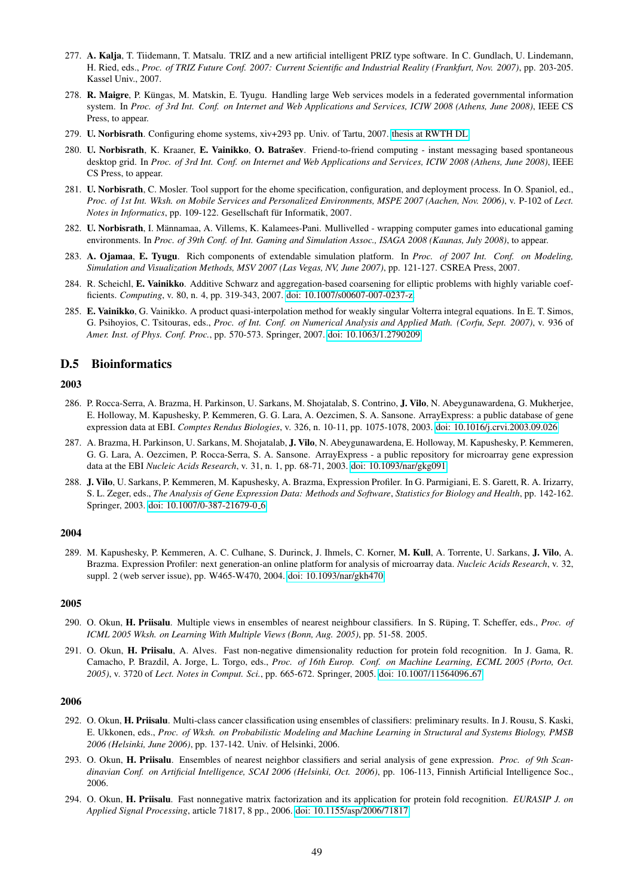- 277. A. Kalja, T. Tiidemann, T. Matsalu. TRIZ and a new artificial intelligent PRIZ type software. In C. Gundlach, U. Lindemann, H. Ried, eds., *Proc. of TRIZ Future Conf. 2007: Current Scientific and Industrial Reality (Frankfurt, Nov. 2007)*, pp. 203-205. Kassel Univ., 2007.
- 278. R. Maigre, P. Küngas, M. Matskin, E. Tyugu. Handling large Web services models in a federated governmental information system. In *Proc. of 3rd Int. Conf. on Internet and Web Applications and Services, ICIW 2008 (Athens, June 2008)*, IEEE CS Press, to appear.
- 279. U. Norbisrath. Configuring ehome systems, xiv+293 pp. Univ. of Tartu, 2007. [thesis at RWTH DL](http://darwin.bth.rwth-aachen.de/opus3/volltexte/2007/1959/)
- 280. U. Norbisrath, K. Kraaner, E. Vainikko, O. Batrašev. Friend-to-friend computing instant messaging based spontaneous desktop grid. In *Proc. of 3rd Int. Conf. on Internet and Web Applications and Services, ICIW 2008 (Athens, June 2008)*, IEEE CS Press, to appear.
- 281. U. Norbisrath, C. Mosler. Tool support for the ehome specification, configuration, and deployment process. In O. Spaniol, ed., *Proc. of 1st Int. Wksh. on Mobile Services and Personalized Environments, MSPE 2007 (Aachen, Nov. 2006)*, v. P-102 of *Lect. Notes in Informatics*, pp. 109-122. Gesellschaft für Informatik, 2007.
- 282. U. Norbisrath, I. Männamaa, A. Villems, K. Kalamees-Pani. Mullivelled wrapping computer games into educational gaming environments. In *Proc. of 39th Conf. of Int. Gaming and Simulation Assoc., ISAGA 2008 (Kaunas, July 2008)*, to appear.
- 283. A. Ojamaa, E. Tyugu. Rich components of extendable simulation platform. In *Proc. of 2007 Int. Conf. on Modeling, Simulation and Visualization Methods, MSV 2007 (Las Vegas, NV, June 2007)*, pp. 121-127. CSREA Press, 2007.
- 284. R. Scheichl, E. Vainikko. Additive Schwarz and aggregation-based coarsening for elliptic problems with highly variable coefficients. *Computing*, v. 80, n. 4, pp. 319-343, 2007. [doi: 10.1007/s00607-007-0237-z.](http://dx.doi.org/10.1007/s00607-007-0237-z)
- 285. E. Vainikko, G. Vainikko. A product quasi-interpolation method for weakly singular Volterra integral equations. In E. T. Simos, G. Psihoyios, C. Tsitouras, eds., *Proc. of Int. Conf. on Numerical Analysis and Applied Math. (Corfu, Sept. 2007)*, v. 936 of *Amer. Inst. of Phys. Conf. Proc.*, pp. 570-573. Springer, 2007. [doi: 10.1063/1.2790209](http://dx.doi.org/10.1063/1.2790209)

# D.5 Bioinformatics

#### 2003

- 286. P. Rocca-Serra, A. Brazma, H. Parkinson, U. Sarkans, M. Shojatalab, S. Contrino, J. Vilo, N. Abeygunawardena, G. Mukherjee, E. Holloway, M. Kapushesky, P. Kemmeren, G. G. Lara, A. Oezcimen, S. A. Sansone. ArrayExpress: a public database of gene expression data at EBI. *Comptes Rendus Biologies*, v. 326, n. 10-11, pp. 1075-1078, 2003. [doi: 10.1016/j.crvi.2003.09.026](http://dx.doi.org/10.1016/j.crvi.2003.09.026)
- 287. A. Brazma, H. Parkinson, U. Sarkans, M. Shojatalab, J. Vilo, N. Abeygunawardena, E. Holloway, M. Kapushesky, P. Kemmeren, G. G. Lara, A. Oezcimen, P. Rocca-Serra, S. A. Sansone. ArrayExpress - a public repository for microarray gene expression data at the EBI *Nucleic Acids Research*, v. 31, n. 1, pp. 68-71, 2003. [doi: 10.1093/nar/gkg091](http://dx.doi.org/10.1093/nar/gkg091)
- 288. J. Vilo, U. Sarkans, P. Kemmeren, M. Kapushesky, A. Brazma, Expression Profiler. In G. Parmigiani, E. S. Garett, R. A. Irizarry, S. L. Zeger, eds., *The Analysis of Gene Expression Data: Methods and Software*, *Statistics for Biology and Health*, pp. 142-162. Springer, 2003. [doi: 10.1007/0-387-21679-0](http://dx.doi.org/10.1007/0-387-21679-0_6) 6

# 2004

289. M. Kapushesky, P. Kemmeren, A. C. Culhane, S. Durinck, J. Ihmels, C. Korner, M. Kull, A. Torrente, U. Sarkans, J. Vilo, A. Brazma. Expression Profiler: next generation-an online platform for analysis of microarray data. *Nucleic Acids Research*, v. 32, suppl. 2 (web server issue), pp. W465-W470, 2004. [doi: 10.1093/nar/gkh470](http://dx.doi.org/10.1093/nar/gkh470)

#### 2005

- 290. O. Okun, H. Priisalu. Multiple views in ensembles of nearest neighbour classifiers. In S. Rüping, T. Scheffer, eds., *Proc. of ICML 2005 Wksh. on Learning With Multiple Views (Bonn, Aug. 2005)*, pp. 51-58. 2005.
- 291. O. Okun, H. Priisalu, A. Alves. Fast non-negative dimensionality reduction for protein fold recognition. In J. Gama, R. Camacho, P. Brazdil, A. Jorge, L. Torgo, eds., *Proc. of 16th Europ. Conf. on Machine Learning, ECML 2005 (Porto, Oct. 2005)*, v. 3720 of *Lect. Notes in Comput. Sci.*, pp. 665-672. Springer, 2005. [doi: 10.1007/11564096](http://dx.doi.org/10.1007/11564096_67) 67

- 292. O. Okun, H. Priisalu. Multi-class cancer classification using ensembles of classifiers: preliminary results. In J. Rousu, S. Kaski, E. Ukkonen, eds., *Proc. of Wksh. on Probabilistic Modeling and Machine Learning in Structural and Systems Biology, PMSB 2006 (Helsinki, June 2006)*, pp. 137-142. Univ. of Helsinki, 2006.
- 293. O. Okun, H. Priisalu. Ensembles of nearest neighbor classifiers and serial analysis of gene expression. *Proc. of 9th Scandinavian Conf. on Artificial Intelligence, SCAI 2006 (Helsinki, Oct. 2006)*, pp. 106-113, Finnish Artificial Intelligence Soc., 2006.
- 294. O. Okun, H. Priisalu. Fast nonnegative matrix factorization and its application for protein fold recognition. *EURASIP J. on Applied Signal Processing*, article 71817, 8 pp., 2006. [doi: 10.1155/asp/2006/71817](http://dx.doi.org/10.1155/asp/2006/71817)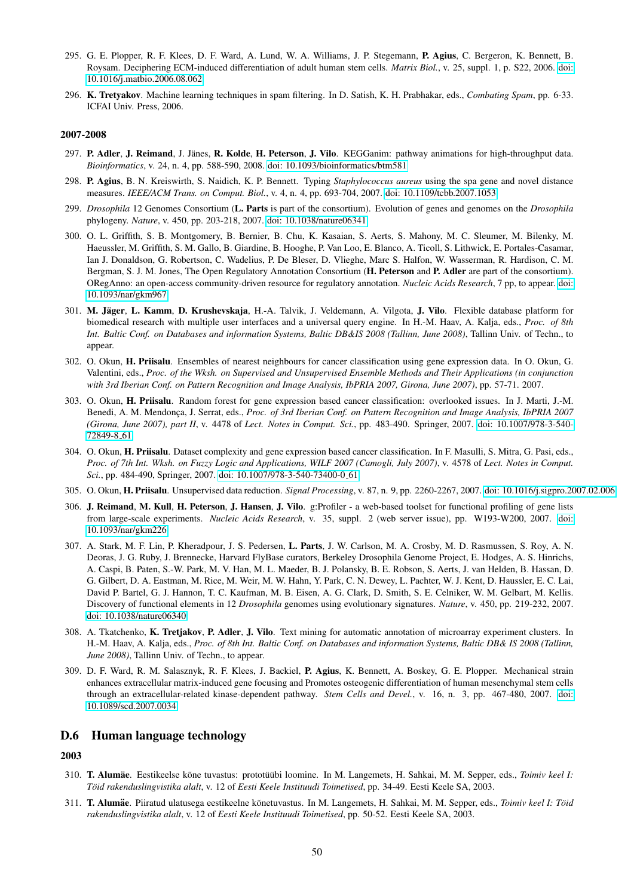- 295. G. E. Plopper, R. F. Klees, D. F. Ward, A. Lund, W. A. Williams, J. P. Stegemann, P. Agius, C. Bergeron, K. Bennett, B. Roysam. Deciphering ECM-induced differentiation of adult human stem cells. *Matrix Biol.*, v. 25, suppl. 1, p. S22, 2006. [doi:](http://dx.doi.org/10.1016/j.matbio.2006.08.062) [10.1016/j.matbio.2006.08.062.](http://dx.doi.org/10.1016/j.matbio.2006.08.062)
- 296. K. Tretyakov. Machine learning techniques in spam filtering. In D. Satish, K. H. Prabhakar, eds., *Combating Spam*, pp. 6-33. ICFAI Univ. Press, 2006.

- 297. P. Adler, J. Reimand, J. Jänes, R. Kolde, H. Peterson, J. Vilo. KEGGanim: pathway animations for high-throughput data. *Bioinformatics*, v. 24, n. 4, pp. 588-590, 2008. [doi: 10.1093/bioinformatics/btm581](http://dx.doi.org/10.1093/bioinformatics/btm581)
- 298. P. Agius, B. N. Kreiswirth, S. Naidich, K. P. Bennett. Typing *Staphylococcus aureus* using the spa gene and novel distance measures. *IEEE/ACM Trans. on Comput. Biol.*, v. 4, n. 4, pp. 693-704, 2007. [doi: 10.1109/tcbb.2007.1053](http://dx.doi.org/10.1109/tcbb.2007.1053)
- 299. *Drosophila* 12 Genomes Consortium (L. Parts is part of the consortium). Evolution of genes and genomes on the *Drosophila* phylogeny. *Nature*, v. 450, pp. 203-218, 2007. [doi: 10.1038/nature06341](http://dx.doi.org/10.1038/nature06341)
- 300. O. L. Griffith, S. B. Montgomery, B. Bernier, B. Chu, K. Kasaian, S. Aerts, S. Mahony, M. C. Sleumer, M. Bilenky, M. Haeussler, M. Griffith, S. M. Gallo, B. Giardine, B. Hooghe, P. Van Loo, E. Blanco, A. Ticoll, S. Lithwick, E. Portales-Casamar, Ian J. Donaldson, G. Robertson, C. Wadelius, P. De Bleser, D. Vlieghe, Marc S. Halfon, W. Wasserman, R. Hardison, C. M. Bergman, S. J. M. Jones, The Open Regulatory Annotation Consortium (H. Peterson and P. Adler are part of the consortium). ORegAnno: an open-access community-driven resource for regulatory annotation. *Nucleic Acids Research*, 7 pp, to appear. [doi:](http://dx.doi.org/10.1093/nar/gkm967) [10.1093/nar/gkm967](http://dx.doi.org/10.1093/nar/gkm967)
- 301. M. Jäger, L. Kamm, D. Krushevskaja, H.-A. Talvik, J. Veldemann, A. Vilgota, J. Vilo. Flexible database platform for biomedical research with multiple user interfaces and a universal query engine. In H.-M. Haav, A. Kalja, eds., *Proc. of 8th Int. Baltic Conf. on Databases and information Systems, Baltic DB&IS 2008 (Tallinn, June 2008)*, Tallinn Univ. of Techn., to appear.
- 302. O. Okun, H. Priisalu. Ensembles of nearest neighbours for cancer classification using gene expression data. In O. Okun, G. Valentini, eds., *Proc. of the Wksh. on Supervised and Unsupervised Ensemble Methods and Their Applications (in conjunction with 3rd Iberian Conf. on Pattern Recognition and Image Analysis, IbPRIA 2007, Girona, June 2007)*, pp. 57-71. 2007.
- 303. O. Okun, H. Priisalu. Random forest for gene expression based cancer classification: overlooked issues. In J. Marti, J.-M. Benedi, A. M. Mendonça, J. Serrat, eds., *Proc. of 3rd Iberian Conf. on Pattern Recognition and Image Analysis, IbPRIA 2007 (Girona, June 2007), part II*, v. 4478 of *Lect. Notes in Comput. Sci.*, pp. 483-490. Springer, 2007. [doi: 10.1007/978-3-540-](http://dx.doi.org/10.1007/978-3-540-72849-8_61) [72849-8](http://dx.doi.org/10.1007/978-3-540-72849-8_61) 61
- 304. O. Okun, H. Priisalu. Dataset complexity and gene expression based cancer classification. In F. Masulli, S. Mitra, G. Pasi, eds., *Proc. of 7th Int. Wksh. on Fuzzy Logic and Applications, WILF 2007 (Camogli, July 2007)*, v. 4578 of *Lect. Notes in Comput. Sci.*, pp. 484-490, Springer, 2007. [doi: 10.1007/978-3-540-73400-0](http://dx.doi.org/10.1007/978-3-540-73400-0_61) 61
- 305. O. Okun, H. Priisalu. Unsupervised data reduction. *Signal Processing*, v. 87, n. 9, pp. 2260-2267, 2007. [doi: 10.1016/j.sigpro.2007.02.006](http://dx.doi.org/10.1016/j.sigpro.2007.02.006)
- 306. J. Reimand, M. Kull, H. Peterson, J. Hansen, J. Vilo. g:Profiler a web-based toolset for functional profiling of gene lists from large-scale experiments. *Nucleic Acids Research*, v. 35, suppl. 2 (web server issue), pp. W193-W200, 2007. [doi:](http://dx.doi.org/10.1093/nar/gkm226) [10.1093/nar/gkm226](http://dx.doi.org/10.1093/nar/gkm226)
- 307. A. Stark, M. F. Lin, P. Kheradpour, J. S. Pedersen, L. Parts, J. W. Carlson, M. A. Crosby, M. D. Rasmussen, S. Roy, A. N. Deoras, J. G. Ruby, J. Brennecke, Harvard FlyBase curators, Berkeley Drosophila Genome Project, E. Hodges, A. S. Hinrichs, A. Caspi, B. Paten, S.-W. Park, M. V. Han, M. L. Maeder, B. J. Polansky, B. E. Robson, S. Aerts, J. van Helden, B. Hassan, D. G. Gilbert, D. A. Eastman, M. Rice, M. Weir, M. W. Hahn, Y. Park, C. N. Dewey, L. Pachter, W. J. Kent, D. Haussler, E. C. Lai, David P. Bartel, G. J. Hannon, T. C. Kaufman, M. B. Eisen, A. G. Clark, D. Smith, S. E. Celniker, W. M. Gelbart, M. Kellis. Discovery of functional elements in 12 *Drosophila* genomes using evolutionary signatures. *Nature*, v. 450, pp. 219-232, 2007. [doi: 10.1038/nature06340](http://dx.doi.org/10.1038/nature06340)
- 308. A. Tkatchenko, K. Tretjakov, P. Adler, J. Vilo. Text mining for automatic annotation of microarray experiment clusters. In H.-M. Haav, A. Kalja, eds., *Proc. of 8th Int. Baltic Conf. on Databases and information Systems, Baltic DB& IS 2008 (Tallinn, June 2008)*, Tallinn Univ. of Techn., to appear.
- 309. D. F. Ward, R. M. Salasznyk, R. F. Klees, J. Backiel, P. Agius, K. Bennett, A. Boskey, G. E. Plopper. Mechanical strain enhances extracellular matrix-induced gene focusing and Promotes osteogenic differentiation of human mesenchymal stem cells through an extracellular-related kinase-dependent pathway. *Stem Cells and Devel.*, v. 16, n. 3, pp. 467-480, 2007. [doi:](http://dx.doi.org/10.1089/scd.2007.0034) [10.1089/scd.2007.0034](http://dx.doi.org/10.1089/scd.2007.0034)

# D.6 Human language technology

- 310. T. Alumäe. Eestikeelse kõne tuvastus: prototüübi loomine. In M. Langemets, H. Sahkai, M. M. Sepper, eds., Toimiv keel I: *Töid rakenduslingvistika alalt*, v. 12 of *Eesti Keele Instituudi Toimetised*, pp. 34-49. Eesti Keele SA, 2003.
- 311. T. Alumäe. Piiratud ulatusega eestikeelne kõnetuvastus. In M. Langemets, H. Sahkai, M. M. Sepper, eds., Toimiv keel I: Töid *rakenduslingvistika alalt*, v. 12 of *Eesti Keele Instituudi Toimetised*, pp. 50-52. Eesti Keele SA, 2003.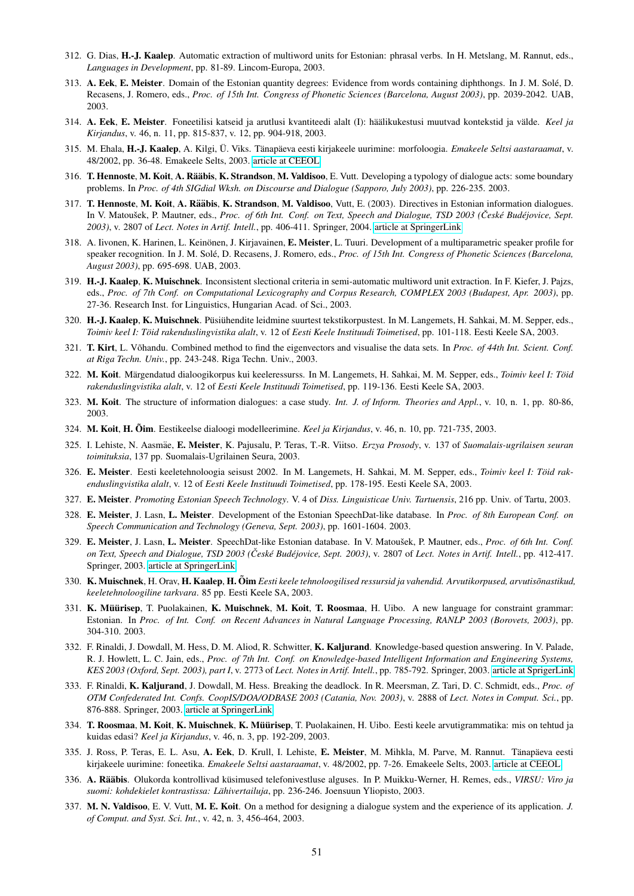- 312. G. Dias, H.-J. Kaalep. Automatic extraction of multiword units for Estonian: phrasal verbs. In H. Metslang, M. Rannut, eds., *Languages in Development*, pp. 81-89. Lincom-Europa, 2003.
- 313. A. Eek, E. Meister. Domain of the Estonian quantity degrees: Evidence from words containing diphthongs. In J. M. Sole, D. ´ Recasens, J. Romero, eds., *Proc. of 15th Int. Congress of Phonetic Sciences (Barcelona, August 2003)*, pp. 2039-2042. UAB, 2003.
- 314. A. Eek, E. Meister. Foneetilisi katseid ja arutlusi kvantiteedi alalt (I): häälikukestusi muutvad kontekstid ja välde. Keel ja *Kirjandus*, v. 46, n. 11, pp. 815-837, v. 12, pp. 904-918, 2003.
- 315. M. Ehala, H.-J. Kaalep, A. Kilgi, Ü. Viks. Tänapäeva eesti kirjakeele uurimine: morfoloogia. *Emakeele Seltsi aastaraamat*, v. 48/2002, pp. 36-48. Emakeele Selts, 2003. [article at CEEOL](http://www.ceeol.com/aspx/issuedetails.aspx?issueid=48da263c-7563-4acb-b7bc-7dd2997fea8d&articleid=e82370a7-7159-4546-8a03-b78d27f0c9d0)
- 316. T. Hennoste, M. Koit, A. Rääbis, K. Strandson, M. Valdisoo, E. Vutt. Developing a typology of dialogue acts: some boundary problems. In *Proc. of 4th SIGdial Wksh. on Discourse and Dialogue (Sapporo, July 2003)*, pp. 226-235. 2003.
- 317. T. Hennoste, M. Koit, A. Rääbis, K. Strandson, M. Valdisoo, Vutt, E. (2003). Directives in Estonian information dialogues. In V. Matoušek, P. Mautner, eds., Proc. of 6th Int. Conf. on Text, Speech and Dialogue, TSD 2003 (České Budéjovice, Sept. *2003)*, v. 2807 of *Lect. Notes in Artif. Intell.*, pp. 406-411. Springer, 2004. [article at SpringerLink](http://www.springerlink.com/content/h0u8amqm7vyak2uj)
- 318. A. Iivonen, K. Harinen, L. Keinönen, J. Kirjavainen, E. Meister, L. Tuuri. Development of a multiparametric speaker profile for speaker recognition. In J. M. Solé, D. Recasens, J. Romero, eds., Proc. of 15th Int. Congress of Phonetic Sciences (Barcelona, *August 2003)*, pp. 695-698. UAB, 2003.
- 319. H.-J. Kaalep, K. Muischnek. Inconsistent slectional criteria in semi-automatic multiword unit extraction. In F. Kiefer, J. Pajzs, eds., *Proc. of 7th Conf. on Computational Lexicography and Corpus Research, COMPLEX 2003 (Budapest, Apr. 2003)*, pp. 27-36. Research Inst. for Linguistics, Hungarian Acad. of Sci., 2003.
- 320. H.-J. Kaalep, K. Muischnek. Püsiühendite leidmine suurtest tekstikorpustest. In M. Langemets, H. Sahkai, M. M. Sepper, eds., *Toimiv keel I: Toid rakenduslingvistika alalt ¨* , v. 12 of *Eesti Keele Instituudi Toimetised*, pp. 101-118. Eesti Keele SA, 2003.
- 321. T. Kirt, L. Võhandu. Combined method to find the eigenvectors and visualise the data sets. In Proc. of 44th Int. Scient. Conf. *at Riga Techn. Univ.*, pp. 243-248. Riga Techn. Univ., 2003.
- 322. M. Koit. Märgendatud dialoogikorpus kui keeleressurss. In M. Langemets, H. Sahkai, M. M. Sepper, eds., Toimiv keel I: Töid *rakenduslingvistika alalt*, v. 12 of *Eesti Keele Instituudi Toimetised*, pp. 119-136. Eesti Keele SA, 2003.
- 323. M. Koit. The structure of information dialogues: a case study. *Int. J. of Inform. Theories and Appl.*, v. 10, n. 1, pp. 80-86, 2003.
- 324. M. Koit, H. Oim˜ . Eestikeelse dialoogi modelleerimine. *Keel ja Kirjandus*, v. 46, n. 10, pp. 721-735, 2003.
- 325. I. Lehiste, N. Aasmae, ¨ E. Meister, K. Pajusalu, P. Teras, T.-R. Viitso. *Erzya Prosody*, v. 137 of *Suomalais-ugrilaisen seuran toimituksia*, 137 pp. Suomalais-Ugrilainen Seura, 2003.
- 326. E. Meister. Eesti keeletehnoloogia seisust 2002. In M. Langemets, H. Sahkai, M. M. Sepper, eds., *Toimiv keel I: Toid rak- ¨ enduslingvistika alalt*, v. 12 of *Eesti Keele Instituudi Toimetised*, pp. 178-195. Eesti Keele SA, 2003.
- 327. E. Meister. *Promoting Estonian Speech Technology*. V. 4 of *Diss. Linguisticae Univ. Tartuensis*, 216 pp. Univ. of Tartu, 2003.
- 328. E. Meister, J. Lasn, L. Meister. Development of the Estonian SpeechDat-like database. In *Proc. of 8th European Conf. on Speech Communication and Technology (Geneva, Sept. 2003)*, pp. 1601-1604. 2003.
- 329. E. Meister, J. Lasn, L. Meister. SpeechDat-like Estonian database. In V. Matoušek, P. Mautner, eds., Proc. of 6th Int. Conf. *on Text, Speech and Dialogue, TSD 2003 (Cesk ˇ e Bud ´ ejovice, Sept. 2003) ´* , v. 2807 of *Lect. Notes in Artif. Intell.*, pp. 412-417. Springer, 2003. [article at SpringerLink](http://www.springerlink.com/content/wtr0ptrnl8qt4wqq)
- 330. K. Muischnek, H. Orav, H. Kaalep, H. Oim *Eesti keele tehnoloogilised ressursid ja vahendid. Arvutikorpused, arvutisõnastikud, keeletehnoloogiline tarkvara*. 85 pp. Eesti Keele SA, 2003.
- 331. K. Müürisep, T. Puolakainen, K. Muischnek, M. Koit, T. Roosmaa, H. Uibo. A new language for constraint grammar: Estonian. In *Proc. of Int. Conf. on Recent Advances in Natural Language Processing, RANLP 2003 (Borovets, 2003)*, pp. 304-310. 2003.
- 332. F. Rinaldi, J. Dowdall, M. Hess, D. M. Aliod, R. Schwitter, K. Kaljurand. Knowledge-based question answering. In V. Palade, R. J. Howlett, L. C. Jain, eds., *Proc. of 7th Int. Conf. on Knowledge-based Intelligent Information and Engineering Systems, KES 2003 (Oxford, Sept. 2003), part I*, v. 2773 of *Lect. Notes in Artif. Intell.*, pp. 785-792. Springer, 2003. [article at SprigerLink](http://springerlink.metapress.com/content/71yr8xv37annhxyh/)
- 333. F. Rinaldi, K. Kaljurand, J. Dowdall, M. Hess. Breaking the deadlock. In R. Meersman, Z. Tari, D. C. Schmidt, eds., *Proc. of OTM Confederated Int. Confs. CoopIS/DOA/ODBASE 2003 (Catania, Nov. 2003)*, v. 2888 of *Lect. Notes in Comput. Sci.*, pp. 876-888. Springer, 2003. [article at SpringerLink](http://www.springerlink.com/content/nt5l5gecxawnu3ed)
- 334. T. Roosmaa, M. Koit, K. Muischnek, K. Müürisep, T. Puolakainen, H. Uibo. Eesti keele arvutigrammatika: mis on tehtud ja kuidas edasi? *Keel ja Kirjandus*, v. 46, n. 3, pp. 192-209, 2003.
- 335. J. Ross, P. Teras, E. L. Asu, A. Eek, D. Krull, I. Lehiste, E. Meister, M. Mihkla, M. Parve, M. Rannut. Tänapäeva eesti kirjakeele uurimine: foneetika. *Emakeele Seltsi aastaraamat*, v. 48/2002, pp. 7-26. Emakeele Selts, 2003. [article at CEEOL](http://www.ceeol.com/aspx/issuedetails.aspx?issueid=48da263c-7563-4acb-b7bc-7dd2997fea8d&articleid=3c2bbb9e-6337-438d-8297-b529a84ded60)
- 336. A. Rääbis. Olukorda kontrollivad küsimused telefonivestluse alguses. In P. Muikku-Werner, H. Remes, eds., VIRSU: Viro ja suomi: kohdekielet kontrastissa: Lähivertailuja, pp. 236-246. Joensuun Yliopisto, 2003.
- 337. M. N. Valdisoo, E. V. Vutt, M. E. Koit. On a method for designing a dialogue system and the experience of its application. *J. of Comput. and Syst. Sci. Int.*, v. 42, n. 3, 456-464, 2003.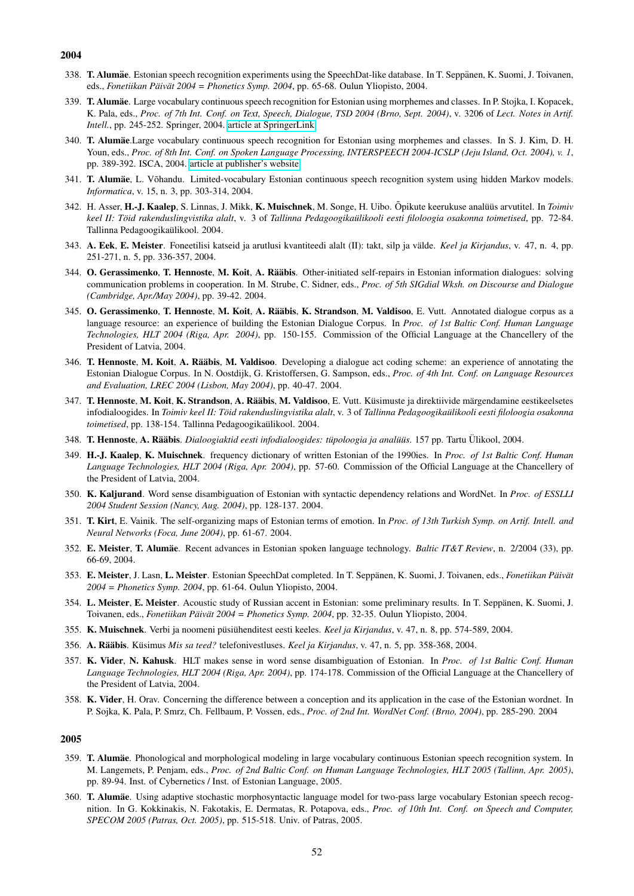- 338. T. Alumäe. Estonian speech recognition experiments using the SpeechDat-like database. In T. Seppänen, K. Suomi, J. Toivanen, eds., *Fonetiikan Päivät 2004* = *Phonetics Symp. 2004*, pp. 65-68. Oulun Yliopisto, 2004.
- 339. T. Alumäe. Large vocabulary continuous speech recognition for Estonian using morphemes and classes. In P. Stojka, I. Kopacek, K. Pala, eds., *Proc. of 7th Int. Conf. on Text, Speech, Dialogue, TSD 2004 (Brno, Sept. 2004)*, v. 3206 of *Lect. Notes in Artif. Intell.*, pp. 245-252. Springer, 2004. [article at SpringerLink](http://www.springerlink.com/content/dr3rlp2uyl22ec3l)
- 340. T. Alumäe Large vocabulary continuous speech recognition for Estonian using morphemes and classes. In S. J. Kim, D. H. Youn, eds., *Proc. of 8th Int. Conf. on Spoken Language Processing, INTERSPEECH 2004-ICSLP (Jeju Island, Oct. 2004), v. 1*, pp. 389-392. ISCA, 2004. [article at publisher's website](http://www.isca-speech.org/archive/interspeech_2004/i04_0389.html)
- 341. T. Alumäe, L. Võhandu. Limited-vocabulary Estonian continuous speech recognition system using hidden Markov models. *Informatica*, v. 15, n. 3, pp. 303-314, 2004.
- 342. H. Asser, H.-J. Kaalep, S. Linnas, J. Mikk, K. Muischnek, M. Songe, H. Uibo. Õpikute keerukuse analüüs arvutitel. In Toimiv *keel II: Toid rakenduslingvistika alalt ¨* , v. 3 of *Tallinna Pedagoogikaulikooli eesti filoloogia osakonna toimetised ¨* , pp. 72-84. Tallinna Pedagoogikaülikool. 2004.
- 343. A. Eek, E. Meister. Foneetilisi katseid ja arutlusi kvantiteedi alalt (II): takt, silp ja valde. ¨ *Keel ja Kirjandus*, v. 47, n. 4, pp. 251-271, n. 5, pp. 336-357, 2004.
- 344. O. Gerassimenko, T. Hennoste, M. Koit, A. Rääbis. Other-initiated self-repairs in Estonian information dialogues: solving communication problems in cooperation. In M. Strube, C. Sidner, eds., *Proc. of 5th SIGdial Wksh. on Discourse and Dialogue (Cambridge, Apr./May 2004)*, pp. 39-42. 2004.
- 345. O. Gerassimenko, T. Hennoste, M. Koit, A. Rääbis, K. Strandson, M. Valdisoo, E. Vutt. Annotated dialogue corpus as a language resource: an experience of building the Estonian Dialogue Corpus. In *Proc. of 1st Baltic Conf. Human Language Technologies, HLT 2004 (Riga, Apr. 2004)*, pp. 150-155. Commission of the Official Language at the Chancellery of the President of Latvia, 2004.
- 346. T. Hennoste, M. Koit, A. Rääbis, M. Valdisoo. Developing a dialogue act coding scheme: an experience of annotating the Estonian Dialogue Corpus. In N. Oostdijk, G. Kristoffersen, G. Sampson, eds., *Proc. of 4th Int. Conf. on Language Resources and Evaluation, LREC 2004 (Lisbon, May 2004)*, pp. 40-47. 2004.
- 347. T. Hennoste, M. Koit, K. Strandson, A. Rääbis, M. Valdisoo, E. Vutt. Küsimuste ja direktiivide märgendamine eestikeelsetes infodialoogides. In *Toimiv keel II: Töid rakenduslingvistika alalt*, v. 3 of *Tallinna Pedagoogikaülikooli eesti filoloogia osakonna toimetised*, pp. 138-154. Tallinna Pedagoogikaulikool. 2004. ¨
- 348. T. Hennoste, A. Rääbis. *Dialoogiaktid eesti infodialoogides: tüpoloogia ja analüüs*. 157 pp. Tartu Ülikool, 2004.
- 349. H.-J. Kaalep, K. Muischnek. frequency dictionary of written Estonian of the 1990ies. In *Proc. of 1st Baltic Conf. Human Language Technologies, HLT 2004 (Riga, Apr. 2004)*, pp. 57-60. Commission of the Official Language at the Chancellery of the President of Latvia, 2004.
- 350. K. Kaljurand. Word sense disambiguation of Estonian with syntactic dependency relations and WordNet. In *Proc. of ESSLLI 2004 Student Session (Nancy, Aug. 2004)*, pp. 128-137. 2004.
- 351. T. Kirt, E. Vainik. The self-organizing maps of Estonian terms of emotion. In *Proc. of 13th Turkish Symp. on Artif. Intell. and Neural Networks (Foca, June 2004)*, pp. 61-67. 2004.
- 352. E. Meister, T. Alumae¨ . Recent advances in Estonian spoken language technology. *Baltic IT&T Review*, n. 2/2004 (33), pp. 66-69, 2004.
- 353. E. Meister, J. Lasn, L. Meister. Estonian SpeechDat completed. In T. Seppänen, K. Suomi, J. Toivanen, eds., *Fonetiikan Päivät 2004 = Phonetics Symp. 2004*, pp. 61-64. Oulun Yliopisto, 2004.
- 354. L. Meister, E. Meister. Acoustic study of Russian accent in Estonian: some preliminary results. In T. Seppänen, K. Suomi, J. Toivanen, eds., *Fonetiikan Päivät 2004 = Phonetics Symp.* 2004, pp. 32-35. Oulun Yliopisto, 2004.
- 355. K. Muischnek. Verbi ja noomeni püsiühenditest eesti keeles. Keel ja Kirjandus, v. 47, n. 8, pp. 574-589, 2004.
- 356. A. Rääbis. Küsimus Mis sa teed? telefonivestluses. Keel ja Kirjandus, v. 47, n. 5, pp. 358-368, 2004.
- 357. K. Vider, N. Kahusk. HLT makes sense in word sense disambiguation of Estonian. In *Proc. of 1st Baltic Conf. Human Language Technologies, HLT 2004 (Riga, Apr. 2004)*, pp. 174-178. Commission of the Official Language at the Chancellery of the President of Latvia, 2004.
- 358. K. Vider, H. Orav. Concerning the difference between a conception and its application in the case of the Estonian wordnet. In P. Sojka, K. Pala, P. Smrz, Ch. Fellbaum, P. Vossen, eds., *Proc. of 2nd Int. WordNet Conf. (Brno, 2004)*, pp. 285-290. 2004

- 359. T. Alumäe. Phonological and morphological modeling in large vocabulary continuous Estonian speech recognition system. In M. Langemets, P. Penjam, eds., *Proc. of 2nd Baltic Conf. on Human Language Technologies, HLT 2005 (Tallinn, Apr. 2005)*, pp. 89-94. Inst. of Cybernetics / Inst. of Estonian Language, 2005.
- 360. T. Alumäe. Using adaptive stochastic morphosyntactic language model for two-pass large vocabulary Estonian speech recognition. In G. Kokkinakis, N. Fakotakis, E. Dermatas, R. Potapova, eds., *Proc. of 10th Int. Conf. on Speech and Computer, SPECOM 2005 (Patras, Oct. 2005)*, pp. 515-518. Univ. of Patras, 2005.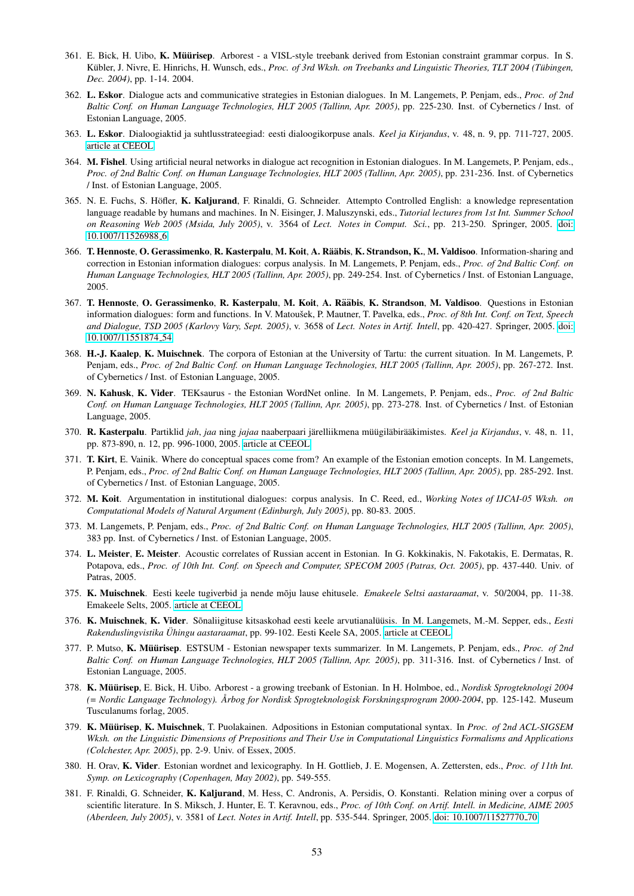- 361. E. Bick, H. Uibo, K. Müürisep. Arborest a VISL-style treebank derived from Estonian constraint grammar corpus. In S. Kübler, J. Nivre, E. Hinrichs, H. Wunsch, eds., Proc. of 3rd Wksh. on Treebanks and Linguistic Theories, TLT 2004 (Tübingen, *Dec. 2004)*, pp. 1-14. 2004.
- 362. L. Eskor. Dialogue acts and communicative strategies in Estonian dialogues. In M. Langemets, P. Penjam, eds., *Proc. of 2nd Baltic Conf. on Human Language Technologies, HLT 2005 (Tallinn, Apr. 2005)*, pp. 225-230. Inst. of Cybernetics / Inst. of Estonian Language, 2005.
- 363. L. Eskor. Dialoogiaktid ja suhtlusstrateegiad: eesti dialoogikorpuse anals. *Keel ja Kirjandus*, v. 48, n. 9, pp. 711-727, 2005. [article at CEEOL](http://www.ceeol.com/aspx/issuedetails.aspx?issueid=8e1c6dca-d07f-48d0-bf1a-d4d30fb1c9ba&articleId=8b1b83c0-d4eb-4296-9a3a-f8a1c08a97e7)
- 364. M. Fishel. Using artificial neural networks in dialogue act recognition in Estonian dialogues. In M. Langemets, P. Penjam, eds., *Proc. of 2nd Baltic Conf. on Human Language Technologies, HLT 2005 (Tallinn, Apr. 2005)*, pp. 231-236. Inst. of Cybernetics / Inst. of Estonian Language, 2005.
- 365. N. E. Fuchs, S. Höfler, K. Kaljurand, F. Rinaldi, G. Schneider. Attempto Controlled English: a knowledge representation language readable by humans and machines. In N. Eisinger, J. Maluszynski, eds., *Tutorial lectures from 1st Int. Summer School on Reasoning Web 2005 (Msida, July 2005)*, v. 3564 of *Lect. Notes in Comput. Sci.*, pp. 213-250. Springer, 2005. [doi:](http://dx.doi.org/10.1007/11526988_6) [10.1007/11526988](http://dx.doi.org/10.1007/11526988_6) 6
- 366. T. Hennoste, O. Gerassimenko, R. Kasterpalu, M. Koit, A. Rääbis, K. Strandson, K., M. Valdisoo. Information-sharing and correction in Estonian information dialogues: corpus analysis. In M. Langemets, P. Penjam, eds., *Proc. of 2nd Baltic Conf. on Human Language Technologies, HLT 2005 (Tallinn, Apr. 2005)*, pp. 249-254. Inst. of Cybernetics / Inst. of Estonian Language, 2005.
- 367. T. Hennoste, O. Gerassimenko, R. Kasterpalu, M. Koit, A. Rääbis, K. Strandson, M. Valdisoo. Questions in Estonian information dialogues: form and functions. In V. Matoušek, P. Mautner, T. Pavelka, eds., Proc. of 8th Int. Conf. on Text, Speech *and Dialogue, TSD 2005 (Karlovy Vary, Sept. 2005)*, v. 3658 of *Lect. Notes in Artif. Intell*, pp. 420-427. Springer, 2005. [doi:](http://dx.doi.org/10.1007/11551874_54) [10.1007/11551874](http://dx.doi.org/10.1007/11551874_54) 54
- 368. H.-J. Kaalep, K. Muischnek. The corpora of Estonian at the University of Tartu: the current situation. In M. Langemets, P. Penjam, eds., *Proc. of 2nd Baltic Conf. on Human Language Technologies, HLT 2005 (Tallinn, Apr. 2005)*, pp. 267-272. Inst. of Cybernetics / Inst. of Estonian Language, 2005.
- 369. N. Kahusk, K. Vider. TEKsaurus the Estonian WordNet online. In M. Langemets, P. Penjam, eds., *Proc. of 2nd Baltic Conf. on Human Language Technologies, HLT 2005 (Tallinn, Apr. 2005)*, pp. 273-278. Inst. of Cybernetics / Inst. of Estonian Language, 2005.
- 370. R. Kasterpalu. Partiklid *jah*, *jaa* ning *jajaa* naaberpaari järelliikmena müügiläbirääkimistes. Keel ja Kirjandus, v. 48, n. 11, pp. 873-890, n. 12, pp. 996-1000, 2005. [article at CEEOL](http://www.ceeol.com/aspx/issuedetails.aspx?issueid=451ac630-bcde-42fd-86c9-dbf53f478115&articleid=c8402805-bc21-4324-bb78-800aa900f474)
- 371. T. Kirt, E. Vainik. Where do conceptual spaces come from? An example of the Estonian emotion concepts. In M. Langemets, P. Penjam, eds., *Proc. of 2nd Baltic Conf. on Human Language Technologies, HLT 2005 (Tallinn, Apr. 2005)*, pp. 285-292. Inst. of Cybernetics / Inst. of Estonian Language, 2005.
- 372. M. Koit. Argumentation in institutional dialogues: corpus analysis. In C. Reed, ed., *Working Notes of IJCAI-05 Wksh. on Computational Models of Natural Argument (Edinburgh, July 2005)*, pp. 80-83. 2005.
- 373. M. Langemets, P. Penjam, eds., *Proc. of 2nd Baltic Conf. on Human Language Technologies, HLT 2005 (Tallinn, Apr. 2005)*, 383 pp. Inst. of Cybernetics / Inst. of Estonian Language, 2005.
- 374. L. Meister, E. Meister. Acoustic correlates of Russian accent in Estonian. In G. Kokkinakis, N. Fakotakis, E. Dermatas, R. Potapova, eds., *Proc. of 10th Int. Conf. on Speech and Computer, SPECOM 2005 (Patras, Oct. 2005)*, pp. 437-440. Univ. of Patras, 2005.
- 375. K. Muischnek. Eesti keele tugiverbid ja nende moju lause ehitusele. ˜ *Emakeele Seltsi aastaraamat*, v. 50/2004, pp. 11-38. Emakeele Selts, 2005. [article at CEEOL](http://www.ceeol.com/aspx/issuedetails.aspx?issueid=430d4083-779e-49c2-a52d-475b9d500f8d&articleid=4d77b9f8-cbad-4bce-8128-9e79233898bc)
- 376. K. Muischnek, K. Vider. Sõnaliigituse kitsaskohad eesti keele arvutianalüüsis. In M. Langemets, M.-M. Sepper, eds., Eesti *Rakenduslingvistika Uhingu aastaraamat ¨* , pp. 99-102. Eesti Keele SA, 2005. [article at CEEOL](http://www.ceeol.com/aspx/issuedetails.aspx?issueid=f0c9997d-6360-4f9f-9ee1-7a8959d555bb&articleid=33b241cc-31d5-4f9e-91b0-ec8c2697115f)
- 377. P. Mutso, K. Müürisep. ESTSUM Estonian newspaper texts summarizer. In M. Langemets, P. Penjam, eds., *Proc. of 2nd Baltic Conf. on Human Language Technologies, HLT 2005 (Tallinn, Apr. 2005)*, pp. 311-316. Inst. of Cybernetics / Inst. of Estonian Language, 2005.
- 378. K. Müürisep, E. Bick, H. Uibo. Arborest a growing treebank of Estonian. In H. Holmboe, ed., *Nordisk Sprogteknologi 2004 (= Nordic Language Technology). Arbog for Nordisk Sprogteknologisk Forskningsprogram 2000-2004 ˚* , pp. 125-142. Museum Tusculanums forlag, 2005.
- 379. K. Müürisep, K. Muischnek, T. Puolakainen. Adpositions in Estonian computational syntax. In *Proc. of 2nd ACL-SIGSEM Wksh. on the Linguistic Dimensions of Prepositions and Their Use in Computational Linguistics Formalisms and Applications (Colchester, Apr. 2005)*, pp. 2-9. Univ. of Essex, 2005.
- 380. H. Orav, K. Vider. Estonian wordnet and lexicography. In H. Gottlieb, J. E. Mogensen, A. Zettersten, eds., *Proc. of 11th Int. Symp. on Lexicography (Copenhagen, May 2002)*, pp. 549-555.
- 381. F. Rinaldi, G. Schneider, K. Kaljurand, M. Hess, C. Andronis, A. Persidis, O. Konstanti. Relation mining over a corpus of scientific literature. In S. Miksch, J. Hunter, E. T. Keravnou, eds., *Proc. of 10th Conf. on Artif. Intell. in Medicine, AIME 2005 (Aberdeen, July 2005)*, v. 3581 of *Lect. Notes in Artif. Intell*, pp. 535-544. Springer, 2005. [doi: 10.1007/11527770](http://dx.doi.org/10.1007/11527770_70) 70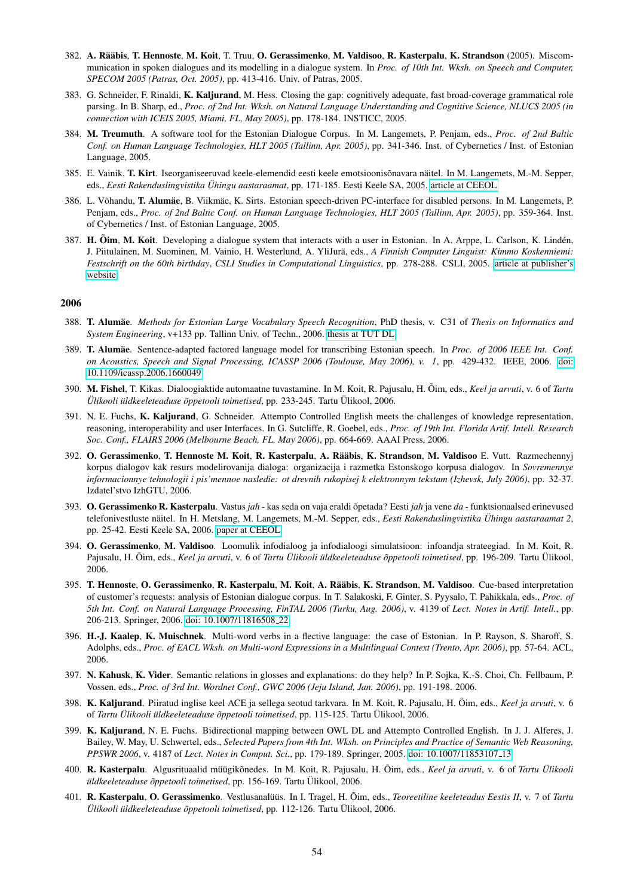- 382. A. Rääbis, T. Hennoste, M. Koit, T. Truu, O. Gerassimenko, M. Valdisoo, R. Kasterpalu, K. Strandson (2005). Miscommunication in spoken dialogues and its modelling in a dialogue system. In *Proc. of 10th Int. Wksh. on Speech and Computer, SPECOM 2005 (Patras, Oct. 2005)*, pp. 413-416. Univ. of Patras, 2005.
- 383. G. Schneider, F. Rinaldi, K. Kaljurand, M. Hess. Closing the gap: cognitively adequate, fast broad-coverage grammatical role parsing. In B. Sharp, ed., *Proc. of 2nd Int. Wksh. on Natural Language Understanding and Cognitive Science, NLUCS 2005 (in connection with ICEIS 2005, Miami, FL, May 2005)*, pp. 178-184. INSTICC, 2005.
- 384. M. Treumuth. A software tool for the Estonian Dialogue Corpus. In M. Langemets, P. Penjam, eds., *Proc. of 2nd Baltic Conf. on Human Language Technologies, HLT 2005 (Tallinn, Apr. 2005)*, pp. 341-346. Inst. of Cybernetics / Inst. of Estonian Language, 2005.
- 385. E. Vainik, T. Kirt. Iseorganiseeruvad keele-elemendid eesti keele emotsioonisõnavara näitel. In M. Langemets, M.-M. Sepper, eds., *Eesti Rakenduslingvistika Uhingu aastaraamat ¨* , pp. 171-185. Eesti Keele SA, 2005. [article at CEEOL](http://www.ceeol.com/aspx/issuedetails.aspx?issueid=f0c9997d-6360-4f9f-9ee1-7a8959d555bb&articleid=e9fb4061-4303-4036-869e-373f0c998076)
- 386. L. Võhandu, T. Alumäe, B. Viikmäe, K. Sirts. Estonian speech-driven PC-interface for disabled persons. In M. Langemets, P. Penjam, eds., *Proc. of 2nd Baltic Conf. on Human Language Technologies, HLT 2005 (Tallinn, Apr. 2005)*, pp. 359-364. Inst. of Cybernetics / Inst. of Estonian Language, 2005.
- 387. H. Õim, M. Koit. Developing a dialogue system that interacts with a user in Estonian. In A. Arppe, L. Carlson, K. Lindén, J. Piitulainen, M. Suominen, M. Vainio, H. Westerlund, A. YliJurä, eds., A Finnish Computer Linguist: Kimmo Koskenniemi: *Festschrift on the 60th birthday*, *CSLI Studies in Computational Linguistics*, pp. 278-288. CSLI, 2005. [article at publisher's](http://cslipublications.stanford.edu/koskenniemi-festschrift/27-oim-koit.pdf) [website](http://cslipublications.stanford.edu/koskenniemi-festschrift/27-oim-koit.pdf)

- 388. T. Alumae¨ . *Methods for Estonian Large Vocabulary Speech Recognition*, PhD thesis, v. C31 of *Thesis on Informatics and System Engineering*, v+133 pp. Tallinn Univ. of Techn., 2006. [thesis at TUT DL](http://digi.lib.ttu.ee/i/?83)
- 389. T. Alumae¨ . Sentence-adapted factored language model for transcribing Estonian speech. In *Proc. of 2006 IEEE Int. Conf. on Acoustics, Speech and Signal Processing, ICASSP 2006 (Toulouse, May 2006), v. 1*, pp. 429-432. IEEE, 2006. [doi:](http://dx.doi.org/10.1109/icassp.2006.1660049) [10.1109/icassp.2006.1660049](http://dx.doi.org/10.1109/icassp.2006.1660049)
- 390. M. Fishel, T. Kikas. Dialoogiaktide automaatne tuvastamine. In M. Koit, R. Pajusalu, H. Oim, eds., ˜ *Keel ja arvuti*, v. 6 of *Tartu Ulikooli ¨ uldkeeleteaduse ¨ oppetooli toimetised ˜* , pp. 233-245. Tartu Ulikool, 2006. ¨
- 391. N. E. Fuchs, K. Kaljurand, G. Schneider. Attempto Controlled English meets the challenges of knowledge representation, reasoning, interoperability and user Interfaces. In G. Sutcliffe, R. Goebel, eds., *Proc. of 19th Int. Florida Artif. Intell. Research Soc. Conf., FLAIRS 2006 (Melbourne Beach, FL, May 2006)*, pp. 664-669. AAAI Press, 2006.
- 392. O. Gerassimenko, T. Hennoste M. Koit, R. Kasterpalu, A. Rääbis, K. Strandson, M. Valdisoo E. Vutt. Razmechennyj korpus dialogov kak resurs modelirovanija dialoga: organizacija i razmetka Estonskogo korpusa dialogov. In *Sovremennye informacionnye tehnologii i pis'mennoe nasledie: ot drevnih rukopisej k elektronnym tekstam (Izhevsk, July 2006)*, pp. 32-37. Izdatel'stvo IzhGTU, 2006.
- 393. O. Gerassimenko R. Kasterpalu. Vastus *jah* kas seda on vaja eraldi õpetada? Eesti *jah* ja vene *da* funktsionaalsed erinevused telefonivestluste näitel. In H. Metslang, M. Langemets, M.-M. Sepper, eds., Eesti Rakenduslingvistika Ühingu aastaraamat 2, pp. 25-42. Eesti Keele SA, 2006. [paper at CEEOL](http://www.ceeol.com/aspx/issuedetails.aspx?issueid=79d3be39-ee8b-426c-816f-0cfb75a1ce19&articleid=917029ad-20ba-4644-8c30-2f720358099c)
- 394. O. Gerassimenko, M. Valdisoo. Loomulik infodialoog ja infodialoogi simulatsioon: infoandja strateegiad. In M. Koit, R. Pajusalu, H. Õim, eds., Keel ja arvuti, v. 6 of *Tartu Ülikooli üldkeeleteaduse õppetooli toimetised*, pp. 196-209. Tartu Ülikool, 2006.
- 395. T. Hennoste, O. Gerassimenko, R. Kasterpalu, M. Koit, A. Rääbis, K. Strandson, M. Valdisoo. Cue-based interpretation of customer's requests: analysis of Estonian dialogue corpus. In T. Salakoski, F. Ginter, S. Pyysalo, T. Pahikkala, eds., *Proc. of 5th Int. Conf. on Natural Language Processing, FinTAL 2006 (Turku, Aug. 2006)*, v. 4139 of *Lect. Notes in Artif. Intell.*, pp. 206-213. Springer, 2006. [doi: 10.1007/11816508](http://dx.doi.org/10.1007/11816508_22) 22
- 396. H.-J. Kaalep, K. Muischnek. Multi-word verbs in a flective language: the case of Estonian. In P. Rayson, S. Sharoff, S. Adolphs, eds., *Proc. of EACL Wksh. on Multi-word Expressions in a Multilingual Context (Trento, Apr. 2006)*, pp. 57-64. ACL, 2006.
- 397. N. Kahusk, K. Vider. Semantic relations in glosses and explanations: do they help? In P. Sojka, K.-S. Choi, Ch. Fellbaum, P. Vossen, eds., *Proc. of 3rd Int. Wordnet Conf., GWC 2006 (Jeju Island, Jan. 2006)*, pp. 191-198. 2006.
- 398. K. Kaljurand. Piiratud inglise keel ACE ja sellega seotud tarkvara. In M. Koit, R. Pajusalu, H. Õim, eds., Keel ja arvuti, v. 6 of *Tartu Ulikooli ¨ uldkeeleteaduse ¨ oppetooli toimetised ˜* , pp. 115-125. Tartu Ulikool, 2006. ¨
- 399. K. Kaljurand, N. E. Fuchs. Bidirectional mapping between OWL DL and Attempto Controlled English. In J. J. Alferes, J. Bailey, W. May, U. Schwertel, eds., *Selected Papers from 4th Int. Wksh. on Principles and Practice of Semantic Web Reasoning, PPSWR 2006*, v. 4187 of *Lect. Notes in Comput. Sci.*, pp. 179-189. Springer, 2005. [doi: 10.1007/11853107](http://dx.doi.org/10.1007/11853107_13) 13
- 400. R. Kasterpalu. Algusrituaalid müügikõnedes. In M. Koit, R. Pajusalu, H. Õim, eds., Keel ja arvuti, v. 6 of *Tartu Ülikooli uldkeeleteaduse õppetooli toimetised*, pp. 156-169. Tartu Ülikool, 2006.
- 401. R. Kasterpalu, O. Gerassimenko. Vestlusanalüüs. In I. Tragel, H. Õim, eds., *Teoreetiline keeleteadus Eestis II*, v. 7 of *Tartu Ulikooli ¨ uldkeeleteaduse ¨ oppetooli toimetised ˜* , pp. 112-126. Tartu Ulikool, 2006. ¨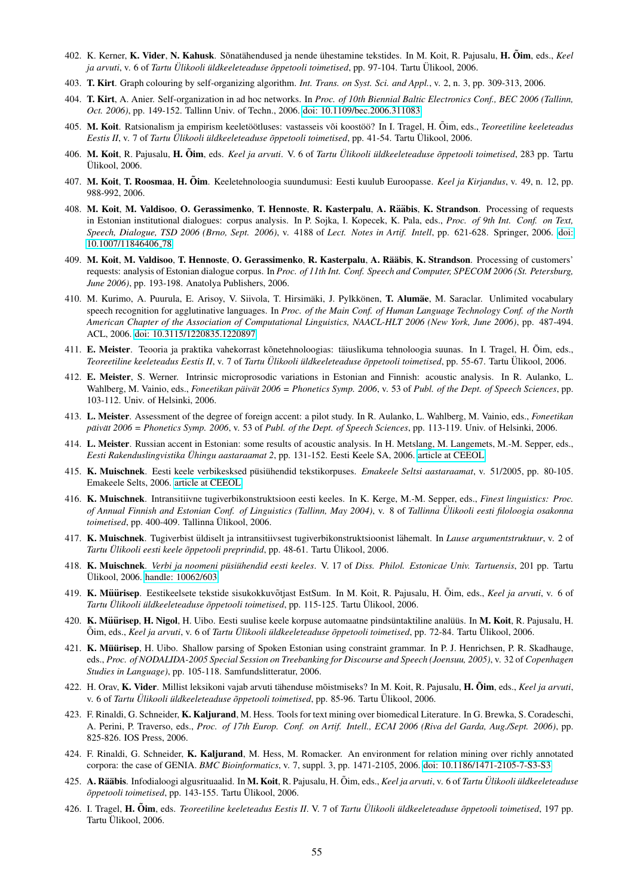- 402. K. Kerner, K. Vider, N. Kahusk. Sõnatähendused ja nende ühestamine tekstides. In M. Koit, R. Pajusalu, H. Õim, eds., *Keel ja arvuti*, v. 6 of *Tartu Ulikooli ¨ uldkeeleteaduse ¨ oppetooli toimetised ˜* , pp. 97-104. Tartu Ulikool, 2006. ¨
- 403. T. Kirt. Graph colouring by self-organizing algorithm. *Int. Trans. on Syst. Sci. and Appl.*, v. 2, n. 3, pp. 309-313, 2006.
- 404. T. Kirt, A. Anier. Self-organization in ad hoc networks. In *Proc. of 10th Biennial Baltic Electronics Conf., BEC 2006 (Tallinn, Oct. 2006)*, pp. 149-152. Tallinn Univ. of Techn., 2006. [doi: 10.1109/bec.2006.311083](http://dx.doi.org/10.1109/bec.2006.311083)
- 405. M. Koit. Ratsionalism ja empirism keeletöötluses: vastasseis või koostöö? In I. Tragel, H. Õim, eds., Teoreetiline keeleteadus *Eestis II*, v. 7 of *Tartu Ulikooli ¨ uldkeeleteaduse ¨ oppetooli toimetised ˜* , pp. 41-54. Tartu Ulikool, 2006. ¨
- 406. M. Koit, R. Pajusalu, H. Õim, eds. *Keel ja arvuti*. V. 6 of *Tartu Ülikooli üldkeeleteaduse õppetooli toimetised*, 283 pp. Tartu Ulikool, 2006.
- 407. M. Koit, T. Roosmaa, H. Oim˜ . Keeletehnoloogia suundumusi: Eesti kuulub Euroopasse. *Keel ja Kirjandus*, v. 49, n. 12, pp. 988-992, 2006.
- 408. M. Koit, M. Valdisoo, O. Gerassimenko, T. Hennoste, R. Kasterpalu, A. Rääbis, K. Strandson. Processing of requests in Estonian institutional dialogues: corpus analysis. In P. Sojka, I. Kopecek, K. Pala, eds., *Proc. of 9th Int. Conf. on Text, Speech, Dialogue, TSD 2006 (Brno, Sept. 2006)*, v. 4188 of *Lect. Notes in Artif. Intell*, pp. 621-628. Springer, 2006. [doi:](http://dx.doi.org/10.1007/11846406_78) [10.1007/11846406](http://dx.doi.org/10.1007/11846406_78) 78
- 409. M. Koit, M. Valdisoo, T. Hennoste, O. Gerassimenko, R. Kasterpalu, A. Rääbis, K. Strandson. Processing of customers' requests: analysis of Estonian dialogue corpus. In *Proc. of 11th Int. Conf. Speech and Computer, SPECOM 2006 (St. Petersburg, June 2006)*, pp. 193-198. Anatolya Publishers, 2006.
- 410. M. Kurimo, A. Puurula, E. Arisoy, V. Siivola, T. Hirsimäki, J. Pylkkönen, T. Alumäe, M. Saraclar. Unlimited vocabulary speech recognition for agglutinative languages. In *Proc. of the Main Conf. of Human Language Technology Conf. of the North American Chapter of the Association of Computational Linguistics, NAACL-HLT 2006 (New York, June 2006)*, pp. 487-494. ACL, 2006. [doi: 10.3115/1220835.1220897](http://dx.doi.org/10.3115/1220835.1220897)
- 411. E. Meister. Teooria ja praktika vahekorrast kõnetehnoloogias: täiuslikuma tehnoloogia suunas. In I. Tragel, H. Õim, eds., *Teoreetiline keeleteadus Eestis II*, v. 7 of *Tartu Ulikooli ¨ uldkeeleteaduse ¨ oppetooli toimetised ˜* , pp. 55-67. Tartu Ulikool, 2006. ¨
- 412. E. Meister, S. Werner. Intrinsic microprosodic variations in Estonian and Finnish: acoustic analysis. In R. Aulanko, L. Wahlberg, M. Vainio, eds., *Foneetikan päivät 2006 = Phonetics Symp.* 2006, v. 53 of *Publ. of the Dept. of Speech Sciences*, pp. 103-112. Univ. of Helsinki, 2006.
- 413. L. Meister. Assessment of the degree of foreign accent: a pilot study. In R. Aulanko, L. Wahlberg, M. Vainio, eds., *Foneetikan päivät* 2006 = Phonetics Symp. 2006, v. 53 of Publ. of the Dept. of Speech Sciences, pp. 113-119. Univ. of Helsinki, 2006.
- 414. L. Meister. Russian accent in Estonian: some results of acoustic analysis. In H. Metslang, M. Langemets, M.-M. Sepper, eds., *Eesti Rakenduslingvistika Ühingu aastaraamat 2, pp. 131-152. Eesti Keele SA, 2006. [article at CEEOL](http://www.ceeol.com/aspx/issuedetails.aspx?issueid=79d3be39-ee8b-426c-816f-0cfb75a1ce19&articleid=592bf891-45a4-4761-a981-717b1dc8e37d)*
- 415. K. Muischnek. Eesti keele verbikesksed püsiühendid tekstikorpuses. Emakeele Seltsi aastaraamat, v. 51/2005, pp. 80-105. Emakeele Selts, 2006. [article at CEEOL](http://www.ceeol.com/aspx/issuedetails.aspx?issueid=c0402f16-86f9-4b8a-95e9-76408b4ad7f0&articleid=ab0c22a1-1678-409e-ac06-ef4e76f256fe)
- 416. K. Muischnek. Intransitiivne tugiverbikonstruktsioon eesti keeles. In K. Kerge, M.-M. Sepper, eds., *Finest linguistics: Proc. of Annual Finnish and Estonian Conf. of Linguistics (Tallinn, May 2004)*, v. 8 of *Tallinna Ulikooli eesti filoloogia osakonna ¨ toimetised*, pp. 400-409. Tallinna Ülikool, 2006.
- 417. K. Muischnek. Tugiverbist üldiselt ja intransitiivsest tugiverbikonstruktsioonist lähemalt. In *Lause argumentstruktuur*, v. 2 of *Tartu Ulikooli eesti keele ¨ oppetooli preprindid ˜* , pp. 48-61. Tartu Ulikool, 2006. ¨
- 418. K. Muischnek. *Verbi ja noomeni pusi ¨ uhendid eesti keeles ¨* . V. 17 of *Diss. Philol. Estonicae Univ. Tartuensis*, 201 pp. Tartu Ulikool, 2006. [handle: 10062/603](http://hdl.handle.net/10062/603) ¨
- 419. K. Müürisep. Eestikeelsete tekstide sisukokkuvõtjast EstSum. In M. Koit, R. Pajusalu, H. Õim, eds., *Keel ja arvuti*, v. 6 of *Tartu Ulikooli ¨ uldkeeleteaduse ¨ oppetooli toimetised ˜* , pp. 115-125. Tartu Ulikool, 2006. ¨
- 420. K. Müürisep, H. Nigol, H. Uibo. Eesti suulise keele korpuse automaatne pindsüntaktiline analüüs. In M. Koit, R. Pajusalu, H. Oim, eds., ˜ *Keel ja arvuti*, v. 6 of *Tartu Ulikooli ¨ uldkeeleteaduse ¨ oppetooli toimetised ˜* , pp. 72-84. Tartu Ulikool, 2006. ¨
- 421. K. Müürisep, H. Uibo. Shallow parsing of Spoken Estonian using constraint grammar. In P. J. Henrichsen, P. R. Skadhauge, eds., *Proc. of NODALIDA-2005 Special Session on Treebanking for Discourse and Speech (Joensuu, 2005)*, v. 32 of *Copenhagen Studies in Language)*, pp. 105-118. Samfundslitteratur, 2006.
- 422. H. Orav, K. Vider. Millist leksikoni vajab arvuti tähenduse mõistmiseks? In M. Koit, R. Pajusalu, H. Õim, eds., *Keel ja arvuti*, v. 6 of *Tartu Ulikooli ¨ uldkeeleteaduse ¨ oppetooli toimetised ˜* , pp. 85-96. Tartu Ulikool, 2006. ¨
- 423. F. Rinaldi, G. Schneider, K. Kaljurand, M. Hess. Tools for text mining over biomedical Literature. In G. Brewka, S. Coradeschi, A. Perini, P. Traverso, eds., *Proc. of 17th Europ. Conf. on Artif. Intell., ECAI 2006 (Riva del Garda, Aug./Sept. 2006)*, pp. 825-826. IOS Press, 2006.
- 424. F. Rinaldi, G. Schneider, K. Kaljurand, M. Hess, M. Romacker. An environment for relation mining over richly annotated corpora: the case of GENIA. *BMC Bioinformatics*, v. 7, suppl. 3, pp. 1471-2105, 2006. [doi: 10.1186/1471-2105-7-S3-S3](http://dx.doi.org/10.1186/1471-2105-7-S3-S3)
- 425. A. Rääbis. Infodialoogi algusrituaalid. In M. Koit, R. Pajusalu, H. Õim, eds., Keel ja arvuti, v. 6 of *Tartu Ülikooli üldkeeleteaduse*  $\tilde{\sigma}$ *ppetooli toimetised*, pp. 143-155. Tartu Ülikool, 2006.
- 426. I. Tragel, H. Õim, eds. *Teoreetiline keeleteadus Eestis II. V. 7 of Tartu Ülikooli üldkeeleteaduse õppetooli toimetised, 197 pp.* Tartu Ülikool, 2006.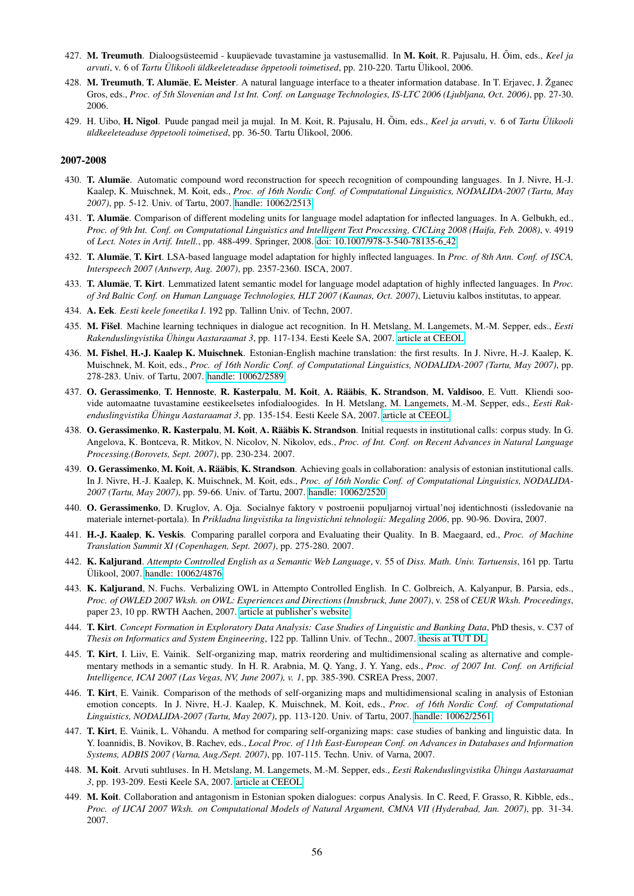- 427. M. Treumuth. Dialoogsüsteemid kuupäevade tuvastamine ja vastusemallid. In M. Koit, R. Pajusalu, H. Õim, eds., Keel ja *arvuti*, v. 6 of *Tartu Ulikooli ¨ uldkeeleteaduse ¨ oppetooli toimetised ˜* , pp. 210-220. Tartu Ulikool, 2006. ¨
- 428. M. Treumuth, T. Alumäe, E. Meister. A natural language interface to a theater information database. In T. Erjavec, J. Zganec Gros, eds., *Proc. of 5th Slovenian and 1st Int. Conf. on Language Technologies, IS-LTC 2006 (Ljubljana, Oct. 2006)*, pp. 27-30. 2006.
- 429. H. Uibo, H. Nigol. Puude pangad meil ja mujal. In M. Koit, R. Pajusalu, H. Õim, eds., Keel ja arvuti, v. 6 of *Tartu Ülikooli üldkeeleteaduse õppetooli toimetised*, pp. 36-50. Tartu Ülikool, 2006.

- 430. T. Alumäe. Automatic compound word reconstruction for speech recognition of compounding languages. In J. Nivre, H.-J. Kaalep, K. Muischnek, M. Koit, eds., *Proc. of 16th Nordic Conf. of Computational Linguistics, NODALIDA-2007 (Tartu, May 2007)*, pp. 5-12. Univ. of Tartu, 2007. [handle: 10062/2513](http://hdl.handle.net/10062/2513)
- 431. T. Alumäe. Comparison of different modeling units for language model adaptation for inflected languages. In A. Gelbukh, ed., *Proc. of 9th Int. Conf. on Computational Linguistics and Intelligent Text Processing, CICLing 2008 (Haifa, Feb. 2008)*, v. 4919 of *Lect. Notes in Artif. Intell.*, pp. 488-499. Springer, 2008. [doi: 10.1007/978-3-540-78135-6](http://dx.doi.org/10.1007/978-3-540-78135-6_42) 42
- 432. T. Alumäe, T. Kirt. LSA-based language model adaptation for highly inflected languages. In *Proc. of 8th Ann. Conf. of ISCA*, *Interspeech 2007 (Antwerp, Aug. 2007)*, pp. 2357-2360. ISCA, 2007.
- 433. T. Alumäe, T. Kirt. Lemmatized latent semantic model for language model adaptation of highly inflected languages. In *Proc. of 3rd Baltic Conf. on Human Language Technologies, HLT 2007 (Kaunas, Oct. 2007)*, Lietuviu kalbos institutas, to appear.
- 434. A. Eek. *Eesti keele foneetika I*. 192 pp. Tallinn Univ. of Techn, 2007.
- 435. M. Fišel. Machine learning techniques in dialogue act recognition. In H. Metslang, M. Langemets, M.-M. Sepper, eds., *Eesti Rakenduslingvistika Uhingu Aastaraamat 3 ¨* , pp. 117-134. Eesti Keele SA, 2007. [article at CEEOL](http://www.ceeol.com/aspx/issuedetails.aspx?issueid=87334889-110a-4f9d-9e4b-7af30f139766&articleid=1618d7c2-df46-45af-9d98-27b146606a31)
- 436. M. Fishel, H.-J. Kaalep K. Muischnek. Estonian-English machine translation: the first results. In J. Nivre, H.-J. Kaalep, K. Muischnek, M. Koit, eds., *Proc. of 16th Nordic Conf. of Computational Linguistics, NODALIDA-2007 (Tartu, May 2007)*, pp. 278-283. Univ. of Tartu, 2007. [handle: 10062/2589](http://hdl.handle.net/10062/2589)
- 437. O. Gerassimenko, T. Hennoste, R. Kasterpalu, M. Koit, A. Rääbis, K. Strandson, M. Valdisoo, E. Vutt. Kliendi soovide automaatne tuvastamine eestikeelsetes infodialoogides. In H. Metslang, M. Langemets, M.-M. Sepper, eds., *Eesti Rakenduslingvistika Uhingu Aastaraamat 3 ¨* , pp. 135-154. Eesti Keele SA, 2007. [article at CEEOL](http://www.ceeol.com/aspx/issuedetails.aspx?issueid=87334889-110a-4f9d-9e4b-7af30f139766&articleid=1e327a25-3960-46b5-9eed-b15c5669d1d5)
- 438. O. Gerassimenko, R. Kasterpalu, M. Koit, A. Rääbis K. Strandson. Initial requests in institutional calls: corpus study. In G. Angelova, K. Bontceva, R. Mitkov, N. Nicolov, N. Nikolov, eds., *Proc. of Int. Conf. on Recent Advances in Natural Language Processing.(Borovets, Sept. 2007)*, pp. 230-234. 2007.
- 439. O. Gerassimenko, M. Koit, A. Rääbis, K. Strandson. Achieving goals in collaboration: analysis of estonian institutional calls. In J. Nivre, H.-J. Kaalep, K. Muischnek, M. Koit, eds., *Proc. of 16th Nordic Conf. of Computational Linguistics, NODALIDA-2007 (Tartu, May 2007)*, pp. 59-66. Univ. of Tartu, 2007. [handle: 10062/2520](http://hdl.handle.net/10062/2520)
- 440. O. Gerassimenko, D. Kruglov, A. Oja. Socialnye faktory v postroenii populjarnoj virtual'noj identichnosti (issledovanie na materiale internet-portala). In *Prikladna lingvistika ta lingvistichni tehnologii: Megaling 2006*, pp. 90-96. Dovira, 2007.
- 441. H.-J. Kaalep, K. Veskis. Comparing parallel corpora and Evaluating their Quality. In B. Maegaard, ed., *Proc. of Machine Translation Summit XI (Copenhagen, Sept. 2007)*, pp. 275-280. 2007.
- 442. K. Kaljurand. *Attempto Controlled English as a Semantic Web Language*, v. 55 of *Diss. Math. Univ. Tartuensis*, 161 pp. Tartu Ulikool, 2007. [handle: 10062/4876](http://hdl.handle.net/10062/4876) ¨
- 443. K. Kaljurand, N. Fuchs. Verbalizing OWL in Attempto Controlled English. In C. Golbreich, A. Kalyanpur, B. Parsia, eds., *Proc. of OWLED 2007 Wksh. on OWL: Experiences and Directions (Innsbruck, June 2007)*, v. 258 of *CEUR Wksh. Proceedings*, paper 23, 10 pp. RWTH Aachen, 2007. [article at publisher's website]( http://ftp.informatik.rwth-aachen.de/Publications/CEUR-WS/Vol-258/paper23.pdf)
- 444. T. Kirt. *Concept Formation in Exploratory Data Analysis: Case Studies of Linguistic and Banking Data*, PhD thesis, v. C37 of *Thesis on Informatics and System Engineering*, 122 pp. Tallinn Univ. of Techn., 2007. [thesis at TUT DL](http://digi.lib.ttu.ee/i/?156)
- 445. T. Kirt, I. Liiv, E. Vainik. Self-organizing map, matrix reordering and multidimensional scaling as alternative and complementary methods in a semantic study. In H. R. Arabnia, M. Q. Yang, J. Y. Yang, eds., *Proc. of 2007 Int. Conf. on Artificial Intelligence, ICAI 2007 (Las Vegas, NV, June 2007), v. 1*, pp. 385-390. CSREA Press, 2007.
- 446. T. Kirt, E. Vainik. Comparison of the methods of self-organizing maps and multidimensional scaling in analysis of Estonian emotion concepts. In J. Nivre, H.-J. Kaalep, K. Muischnek, M. Koit, eds., *Proc. of 16th Nordic Conf. of Computational Linguistics, NODALIDA-2007 (Tartu, May 2007)*, pp. 113-120. Univ. of Tartu, 2007. [handle: 10062/2561](http://hdl.handle.net/10062/2561)
- 447. T. Kirt, E. Vainik, L. Võhandu. A method for comparing self-organizing maps: case studies of banking and linguistic data. In Y. Ioannidis, B. Novikov, B. Rachev, eds., *Local Proc. of 11th East-European Conf. on Advances in Databases and Information Systems, ADBIS 2007 (Varna, Aug./Sept. 2007)*, pp. 107-115. Techn. Univ. of Varna, 2007.
- 448. M. Koit. Arvuti suhtluses. In H. Metslang, M. Langemets, M.-M. Sepper, eds., *Eesti Rakenduslingvistika Uhingu Aastaraamat ¨ 3*, pp. 193-209. Eesti Keele SA, 2007. [article at CEEOL](http://www.ceeol.com/aspx/issuedetails.aspx?issueid=87334889-110a-4f9d-9e4b-7af30f139766&articleId=5d1c6ea9-cd19-4ebc-bdea-31dfe0008332)
- 449. M. Koit. Collaboration and antagonism in Estonian spoken dialogues: corpus Analysis. In C. Reed, F. Grasso, R. Kibble, eds., *Proc. of IJCAI 2007 Wksh. on Computational Models of Natural Argument, CMNA VII (Hyderabad, Jan. 2007)*, pp. 31-34. 2007.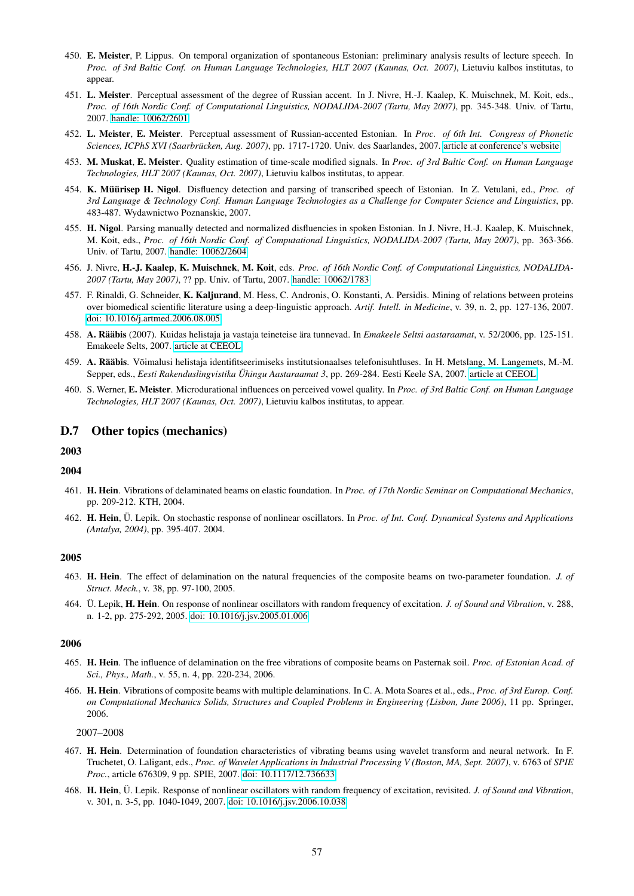- 450. E. Meister, P. Lippus. On temporal organization of spontaneous Estonian: preliminary analysis results of lecture speech. In *Proc. of 3rd Baltic Conf. on Human Language Technologies, HLT 2007 (Kaunas, Oct. 2007)*, Lietuviu kalbos institutas, to appear.
- 451. L. Meister. Perceptual assessment of the degree of Russian accent. In J. Nivre, H.-J. Kaalep, K. Muischnek, M. Koit, eds., *Proc. of 16th Nordic Conf. of Computational Linguistics, NODALIDA-2007 (Tartu, May 2007)*, pp. 345-348. Univ. of Tartu, 2007. [handle: 10062/2601](http://hdl.handle.net/10062/2601)
- 452. L. Meister, E. Meister. Perceptual assessment of Russian-accented Estonian. In *Proc. of 6th Int. Congress of Phonetic Sciences, ICPhS XVI (Saarbrücken, Aug. 2007), pp. 1717-1720. Univ. des Saarlandes, 2007. [article at conference's website](http://www.icphs2007.de/conference/Papers/1262/)*
- 453. M. Muskat, E. Meister. Quality estimation of time-scale modified signals. In *Proc. of 3rd Baltic Conf. on Human Language Technologies, HLT 2007 (Kaunas, Oct. 2007)*, Lietuviu kalbos institutas, to appear.
- 454. K. Müürisep H. Nigol. Disfluency detection and parsing of transcribed speech of Estonian. In Z. Vetulani, ed., *Proc. of 3rd Language & Technology Conf. Human Language Technologies as a Challenge for Computer Science and Linguistics*, pp. 483-487. Wydawnictwo Poznanskie, 2007.
- 455. H. Nigol. Parsing manually detected and normalized disfluencies in spoken Estonian. In J. Nivre, H.-J. Kaalep, K. Muischnek, M. Koit, eds., *Proc. of 16th Nordic Conf. of Computational Linguistics, NODALIDA-2007 (Tartu, May 2007)*, pp. 363-366. Univ. of Tartu, 2007. [handle: 10062/2604](http://hdl.handle.net/10062/2604)
- 456. J. Nivre, H.-J. Kaalep, K. Muischnek, M. Koit, eds. *Proc. of 16th Nordic Conf. of Computational Linguistics, NODALIDA-2007 (Tartu, May 2007)*, ?? pp. Univ. of Tartu, 2007. [handle: 10062/1783](http://hdl.handle.net/10062/1783)
- 457. F. Rinaldi, G. Schneider, K. Kaljurand, M. Hess, C. Andronis, O. Konstanti, A. Persidis. Mining of relations between proteins over biomedical scientific literature using a deep-linguistic approach. *Artif. Intell. in Medicine*, v. 39, n. 2, pp. 127-136, 2007. [doi: 10.1016/j.artmed.2006.08.005](http://dx.doi.org/10.1016/j.artmed.2006.08.005)
- 458. A. Rääbis (2007). Kuidas helistaja ja vastaja teineteise ära tunnevad. In *Emakeele Seltsi aastaraamat*, v. 52/2006, pp. 125-151. Emakeele Selts, 2007. [article at CEEOL](http://www.ceeol.com/aspx/issuedetails.aspx?issueid=1b7cac26-b965-4659-a75e-beba99faa804&articleid=aae34b87-f221-4456-91c2-af790823f178)
- 459. A. Rääbis. Võimalusi helistaja identifitseerimiseks institutsionaalses telefonisuhtluses. In H. Metslang, M. Langemets, M.-M. Sepper, eds., *Eesti Rakenduslingvistika Ühingu Aastaraamat 3*, pp. 269-284. Eesti Keele SA, 2007. [article at CEEOL](http://www.ceeol.com/aspx/issuedetails.aspx?issueid=87334889-110a-4f9d-9e4b-7af30f139766&articleid=5dc440c9-2bff-4975-b022-3f7cd196b8a3)
- 460. S. Werner, E. Meister. Microdurational influences on perceived vowel quality. In *Proc. of 3rd Baltic Conf. on Human Language Technologies, HLT 2007 (Kaunas, Oct. 2007)*, Lietuviu kalbos institutas, to appear.

# D.7 Other topics (mechanics)

# 2003

# 2004

- 461. H. Hein. Vibrations of delaminated beams on elastic foundation. In *Proc. of 17th Nordic Seminar on Computational Mechanics*, pp. 209-212. KTH, 2004.
- 462. H. Hein, Ü. Lepik. On stochastic response of nonlinear oscillators. In Proc. of Int. Conf. Dynamical Systems and Applications *(Antalya, 2004)*, pp. 395-407. 2004.

### 2005

- 463. H. Hein. The effect of delamination on the natural frequencies of the composite beams on two-parameter foundation. *J. of Struct. Mech.*, v. 38, pp. 97-100, 2005.
- 464. Ü. Lepik, H. Hein. On response of nonlinear oscillators with random frequency of excitation. *J. of Sound and Vibration*, v. 288, n. 1-2, pp. 275-292, 2005. [doi: 10.1016/j.jsv.2005.01.006](http://dx.doi.org/10.1016/j.jsv.2005.01.006)

#### 2006

- 465. H. Hein. The influence of delamination on the free vibrations of composite beams on Pasternak soil. *Proc. of Estonian Acad. of Sci., Phys., Math.*, v. 55, n. 4, pp. 220-234, 2006.
- 466. H. Hein. Vibrations of composite beams with multiple delaminations. In C. A. Mota Soares et al., eds., *Proc. of 3rd Europ. Conf. on Computational Mechanics Solids, Structures and Coupled Problems in Engineering (Lisbon, June 2006)*, 11 pp. Springer, 2006.

2007–2008

- 467. H. Hein. Determination of foundation characteristics of vibrating beams using wavelet transform and neural network. In F. Truchetet, O. Laligant, eds., *Proc. of Wavelet Applications in Industrial Processing V (Boston, MA, Sept. 2007)*, v. 6763 of *SPIE Proc.*, article 676309, 9 pp. SPIE, 2007. [doi: 10.1117/12.736633](http://dx.doi.org/10.1117/12.736633)
- 468. H. Hein, Ü. Lepik. Response of nonlinear oscillators with random frequency of excitation, revisited. J. of Sound and Vibration, v. 301, n. 3-5, pp. 1040-1049, 2007. [doi: 10.1016/j.jsv.2006.10.038](http://dx.doi.org/10.1016/j.jsv.2006.10.038)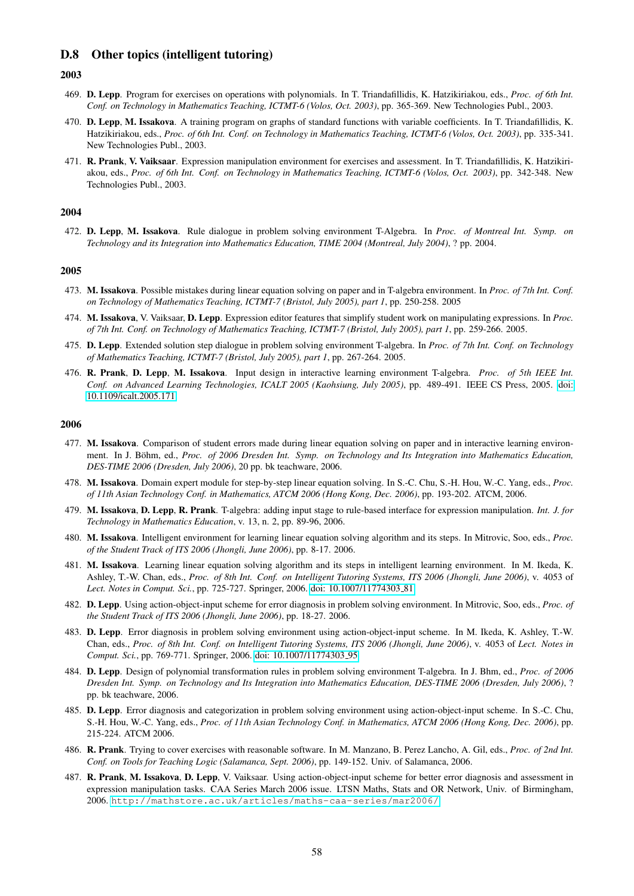# D.8 Other topics (intelligent tutoring)

### 2003

- 469. D. Lepp. Program for exercises on operations with polynomials. In T. Triandafillidis, K. Hatzikiriakou, eds., *Proc. of 6th Int. Conf. on Technology in Mathematics Teaching, ICTMT-6 (Volos, Oct. 2003)*, pp. 365-369. New Technologies Publ., 2003.
- 470. D. Lepp, M. Issakova. A training program on graphs of standard functions with variable coefficients. In T. Triandafillidis, K. Hatzikiriakou, eds., *Proc. of 6th Int. Conf. on Technology in Mathematics Teaching, ICTMT-6 (Volos, Oct. 2003)*, pp. 335-341. New Technologies Publ., 2003.
- 471. R. Prank, V. Vaiksaar. Expression manipulation environment for exercises and assessment. In T. Triandafillidis, K. Hatzikiriakou, eds., *Proc. of 6th Int. Conf. on Technology in Mathematics Teaching, ICTMT-6 (Volos, Oct. 2003)*, pp. 342-348. New Technologies Publ., 2003.

#### 2004

472. D. Lepp, M. Issakova. Rule dialogue in problem solving environment T-Algebra. In *Proc. of Montreal Int. Symp. on Technology and its Integration into Mathematics Education, TIME 2004 (Montreal, July 2004)*, ? pp. 2004.

#### 2005

- 473. M. Issakova. Possible mistakes during linear equation solving on paper and in T-algebra environment. In *Proc. of 7th Int. Conf. on Technology of Mathematics Teaching, ICTMT-7 (Bristol, July 2005), part 1*, pp. 250-258. 2005
- 474. M. Issakova, V. Vaiksaar, D. Lepp. Expression editor features that simplify student work on manipulating expressions. In *Proc. of 7th Int. Conf. on Technology of Mathematics Teaching, ICTMT-7 (Bristol, July 2005), part 1*, pp. 259-266. 2005.
- 475. D. Lepp. Extended solution step dialogue in problem solving environment T-algebra. In *Proc. of 7th Int. Conf. on Technology of Mathematics Teaching, ICTMT-7 (Bristol, July 2005), part 1*, pp. 267-264. 2005.
- 476. R. Prank, D. Lepp, M. Issakova. Input design in interactive learning environment T-algebra. *Proc. of 5th IEEE Int. Conf. on Advanced Learning Technologies, ICALT 2005 (Kaohsiung, July 2005)*, pp. 489-491. IEEE CS Press, 2005. [doi:](http://dx.doi.org/10.1109/icalt.2005.171) [10.1109/icalt.2005.171](http://dx.doi.org/10.1109/icalt.2005.171)

- 477. M. Issakova. Comparison of student errors made during linear equation solving on paper and in interactive learning environment. In J. Böhm, ed., Proc. of 2006 Dresden Int. Symp. on Technology and Its Integration into Mathematics Education, *DES-TIME 2006 (Dresden, July 2006)*, 20 pp. bk teachware, 2006.
- 478. M. Issakova. Domain expert module for step-by-step linear equation solving. In S.-C. Chu, S.-H. Hou, W.-C. Yang, eds., *Proc. of 11th Asian Technology Conf. in Mathematics, ATCM 2006 (Hong Kong, Dec. 2006)*, pp. 193-202. ATCM, 2006.
- 479. M. Issakova, D. Lepp, R. Prank. T-algebra: adding input stage to rule-based interface for expression manipulation. *Int. J. for Technology in Mathematics Education*, v. 13, n. 2, pp. 89-96, 2006.
- 480. M. Issakova. Intelligent environment for learning linear equation solving algorithm and its steps. In Mitrovic, Soo, eds., *Proc. of the Student Track of ITS 2006 (Jhongli, June 2006)*, pp. 8-17. 2006.
- 481. M. Issakova. Learning linear equation solving algorithm and its steps in intelligent learning environment. In M. Ikeda, K. Ashley, T.-W. Chan, eds., *Proc. of 8th Int. Conf. on Intelligent Tutoring Systems, ITS 2006 (Jhongli, June 2006)*, v. 4053 of Lect. Notes in Comput. Sci., pp. 725-727. Springer, 2006. [doi: 10.1007/11774303](http://dx.doi.org/10.1007/11774303_81)<sub>-81</sub>
- 482. D. Lepp. Using action-object-input scheme for error diagnosis in problem solving environment. In Mitrovic, Soo, eds., *Proc. of the Student Track of ITS 2006 (Jhongli, June 2006)*, pp. 18-27. 2006.
- 483. D. Lepp. Error diagnosis in problem solving environment using action-object-input scheme. In M. Ikeda, K. Ashley, T.-W. Chan, eds., *Proc. of 8th Int. Conf. on Intelligent Tutoring Systems, ITS 2006 (Jhongli, June 2006)*, v. 4053 of *Lect. Notes in* Comput. Sci., pp. 769-771. Springer, 2006. [doi: 10.1007/11774303](http://dx.doi.org/10.1007/11774303_95)<sub>-95</sub>
- 484. D. Lepp. Design of polynomial transformation rules in problem solving environment T-algebra. In J. Bhm, ed., *Proc. of 2006 Dresden Int. Symp. on Technology and Its Integration into Mathematics Education, DES-TIME 2006 (Dresden, July 2006)*, ? pp. bk teachware, 2006.
- 485. D. Lepp. Error diagnosis and categorization in problem solving environment using action-object-input scheme. In S.-C. Chu, S.-H. Hou, W.-C. Yang, eds., *Proc. of 11th Asian Technology Conf. in Mathematics, ATCM 2006 (Hong Kong, Dec. 2006)*, pp. 215-224. ATCM 2006.
- 486. R. Prank. Trying to cover exercises with reasonable software. In M. Manzano, B. Perez Lancho, A. Gil, eds., *Proc. of 2nd Int. Conf. on Tools for Teaching Logic (Salamanca, Sept. 2006)*, pp. 149-152. Univ. of Salamanca, 2006.
- 487. R. Prank, M. Issakova, D. Lepp, V. Vaiksaar. Using action-object-input scheme for better error diagnosis and assessment in expression manipulation tasks. CAA Series March 2006 issue. LTSN Maths, Stats and OR Network, Univ. of Birmingham, 2006. <http://mathstore.ac.uk/articles/maths-caa-series/mar2006/>